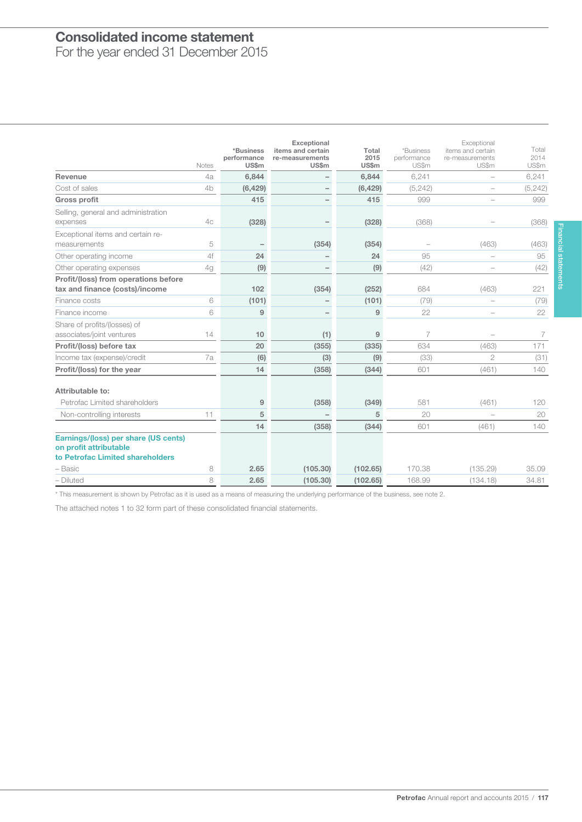### $\overline{\phantom{a}}$ Consolidated income statement

For the year ended 31 December 2015

|                                                                                                    | <b>Notes</b> | *Business<br>performance<br>US\$m | <b>Exceptional</b><br>items and certain<br>re-measurements<br><b>US\$m</b> | Total<br>2015<br>US\$m | *Business<br>performance<br>US\$m | Exceptional<br>items and certain<br>re-measurements<br>US\$m | Total<br>2014<br>US\$m |
|----------------------------------------------------------------------------------------------------|--------------|-----------------------------------|----------------------------------------------------------------------------|------------------------|-----------------------------------|--------------------------------------------------------------|------------------------|
| Revenue                                                                                            | 4a           | 6,844                             | -                                                                          | 6,844                  | 6,241                             | $\overline{\phantom{0}}$                                     | 6,241                  |
| Cost of sales                                                                                      | 4b           | (6, 429)                          |                                                                            | (6, 429)               | (5, 242)                          | $\qquad \qquad -$                                            | (5, 242)               |
| <b>Gross profit</b>                                                                                |              | 415                               |                                                                            | 415                    | 999                               |                                                              | 999                    |
| Selling, general and administration<br>expenses                                                    | 4c           | (328)                             |                                                                            | (328)                  | (368)                             |                                                              | (368)                  |
| Exceptional items and certain re-<br>measurements                                                  | 5            |                                   | (354)                                                                      | (354)                  |                                   | (463)                                                        | (463)                  |
| Other operating income                                                                             | 4f           | 24                                | $\overline{\phantom{0}}$                                                   | 24                     | 95                                |                                                              | 95                     |
| Other operating expenses                                                                           | 4g           | (9)                               | $\overline{\phantom{0}}$                                                   | (9)                    | (42)                              |                                                              | (42)                   |
| Profit/(loss) from operations before<br>tax and finance (costs)/income                             |              | 102                               | (354)                                                                      | (252)                  | 684                               | (463)                                                        | 221                    |
| Finance costs                                                                                      | 6            | (101)                             |                                                                            | (101)                  | (79)                              |                                                              | (79)                   |
| Finance income                                                                                     | 6            | 9                                 |                                                                            | 9                      | 22                                |                                                              | 22                     |
| Share of profits/(losses) of<br>associates/joint ventures                                          | 14           | 10                                | (1)                                                                        | 9                      | $\overline{7}$                    |                                                              | 7                      |
| Profit/(loss) before tax                                                                           |              | 20                                | (355)                                                                      | (335)                  | 634                               | (463)                                                        | 171                    |
| Income tax (expense)/credit                                                                        | 7a           | (6)                               | (3)                                                                        | (9)                    | (33)                              | $\overline{2}$                                               | (31)                   |
| Profit/(loss) for the year                                                                         |              | 14                                | (358)                                                                      | (344)                  | 601                               | (461)                                                        | 140                    |
| Attributable to:                                                                                   |              |                                   |                                                                            |                        |                                   |                                                              |                        |
| Petrofac Limited shareholders                                                                      |              | 9                                 | (358)                                                                      | (349)                  | 581                               | (461)                                                        | 120                    |
| Non-controlling interests                                                                          | 11           | 5                                 |                                                                            | 5                      | 20                                | $\overline{a}$                                               | 20                     |
|                                                                                                    |              | 14                                | (358)                                                                      | (344)                  | 601                               | (461)                                                        | 140                    |
| Earnings/(loss) per share (US cents)<br>on profit attributable<br>to Petrofac Limited shareholders |              |                                   |                                                                            |                        |                                   |                                                              |                        |
| – Basic                                                                                            | 8            | 2.65                              | (105.30)                                                                   | (102.65)               | 170.38                            | (135.29)                                                     | 35.09                  |
| - Diluted                                                                                          | 8            | 2.65                              | (105.30)                                                                   | (102.65)               | 168.99                            | (134.18)                                                     | 34.81                  |

\* This measurement is shown by Petrofac as it is used as a means of measuring the underlying performance of the business, see note 2.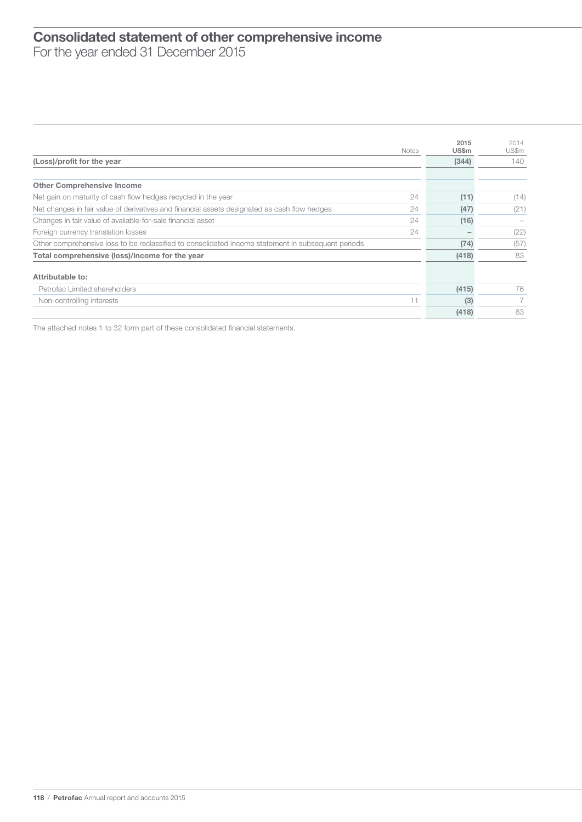### $\overline{\phantom{a}}$ Consolidated statement of other comprehensive income For the year ended 31 December 2015

|                                                                                                    | <b>Notes</b> | 2015<br><b>US\$m</b> | 2014<br>US\$m |
|----------------------------------------------------------------------------------------------------|--------------|----------------------|---------------|
| (Loss)/profit for the year                                                                         |              | (344)                | 140           |
|                                                                                                    |              |                      |               |
| <b>Other Comprehensive Income</b>                                                                  |              |                      |               |
| Net gain on maturity of cash flow hedges recycled in the year                                      | 24           | (11)                 | (14)          |
| Net changes in fair value of derivatives and financial assets designated as cash flow hedges       | 24           | (47)                 | (21)          |
| Changes in fair value of available-for-sale financial asset                                        | 24           | (16)                 |               |
| Foreign currency translation losses                                                                | 24           |                      | (22)          |
| Other comprehensive loss to be reclassified to consolidated income statement in subsequent periods |              | (74)                 | (57)          |
| Total comprehensive (loss)/income for the year                                                     |              | (418)                | 83            |
| Attributable to:                                                                                   |              |                      |               |
| Petrofac Limited shareholders                                                                      |              | (415)                | 76            |
| Non-controlling interests                                                                          | 11           | (3)                  |               |
|                                                                                                    |              | (418)                | 83            |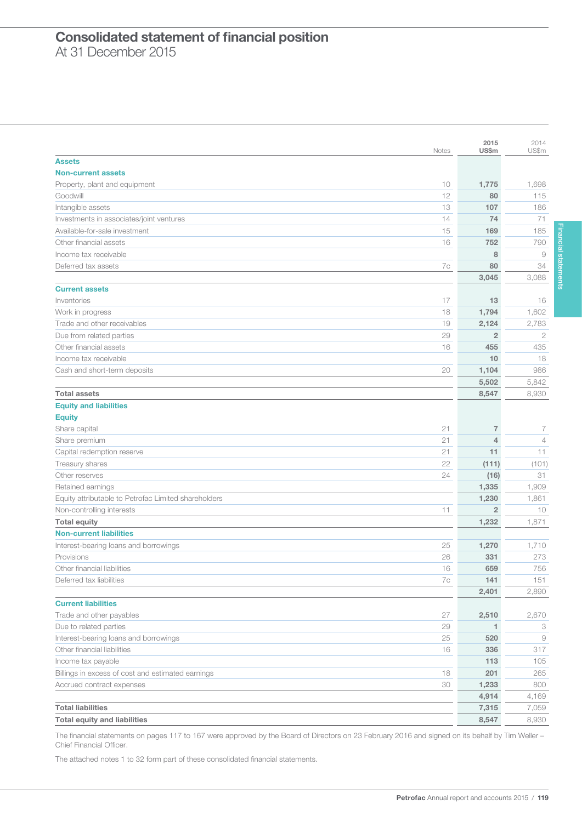### $\overline{\phantom{a}}$ Consolidated statement of financial position At 31 December 2015

|                                                      |              | 2015           | 2014           |
|------------------------------------------------------|--------------|----------------|----------------|
|                                                      | <b>Notes</b> | US\$m          | US\$m          |
| <b>Assets</b>                                        |              |                |                |
| <b>Non-current assets</b>                            |              |                |                |
| Property, plant and equipment                        | 10           | 1,775          | 1,698          |
| Goodwill                                             | 12           | 80             | 115            |
| Intangible assets                                    | 13           | 107            | 186            |
| Investments in associates/joint ventures             | 14           | 74             | 71             |
| Available-for-sale investment                        | 15           | 169            | 185            |
| Other financial assets                               | 16           | 752            | 790            |
| Income tax receivable                                |              | 8              | $\overline{9}$ |
| Deferred tax assets                                  | 7c           | 80             | 34             |
|                                                      |              | 3,045          | 3,088          |
| <b>Current assets</b>                                |              |                |                |
| Inventories                                          | 17           | 13             | 16             |
| Work in progress                                     | 18           | 1,794          | 1,602          |
| Trade and other receivables                          | 19           | 2,124          | 2,783          |
| Due from related parties                             | 29           | $\overline{2}$ | $\mathbf{2}$   |
| Other financial assets                               | 16           | 455            | 435            |
| Income tax receivable                                |              | 10             | 18             |
| Cash and short-term deposits                         | 20           | 1,104          | 986            |
|                                                      |              | 5,502          | 5,842          |
| <b>Total assets</b>                                  |              | 8,547          | 8,930          |
| <b>Equity and liabilities</b>                        |              |                |                |
| <b>Equity</b>                                        |              |                |                |
| Share capital                                        | 21           | $\overline{7}$ | 7              |
| Share premium                                        | 21           | $\overline{4}$ | $\overline{4}$ |
| Capital redemption reserve                           | 21           | 11             | 11             |
| Treasury shares                                      | 22           | (111)          | (101)          |
| Other reserves                                       | 24           | (16)           | 31             |
| Retained earnings                                    |              | 1,335          | 1,909          |
| Equity attributable to Petrofac Limited shareholders |              | 1,230          | 1,861          |
| Non-controlling interests                            | 11           | $\overline{2}$ | 10             |
| <b>Total equity</b>                                  |              | 1,232          | 1,871          |
| <b>Non-current liabilities</b>                       |              |                |                |
| Interest-bearing loans and borrowings                | 25           | 1,270          | 1,710          |
| Provisions                                           | 26           | 331            | 273            |
| Other financial liabilities                          | 16           | 659            | 756            |
| Deferred tax liabilities                             | 7c           | 141            | 151            |
|                                                      |              | 2,401          | 2,890          |
| <b>Current liabilities</b>                           |              |                |                |
| Trade and other payables                             | 27           | 2,510          | 2,670          |
| Due to related parties                               | 29           | $\mathbf{1}$   | 3              |
| Interest-bearing loans and borrowings                | 25           | 520            | $\Theta$       |
| Other financial liabilities                          | 16           | 336            | 317            |
| Income tax payable                                   |              | 113            | 105            |
| Billings in excess of cost and estimated earnings    | 18           | 201            | 265            |
| Accrued contract expenses                            | 30           | 1,233          | 800            |
|                                                      |              | 4,914          | 4,169          |
| <b>Total liabilities</b>                             |              | 7,315          | 7,059          |
| <b>Total equity and liabilities</b>                  |              | 8,547          | 8,930          |

The financial statements on pages 117 to 167 were approved by the Board of Directors on 23 February 2016 and signed on its behalf by Tim Weller – Chief Financial Officer.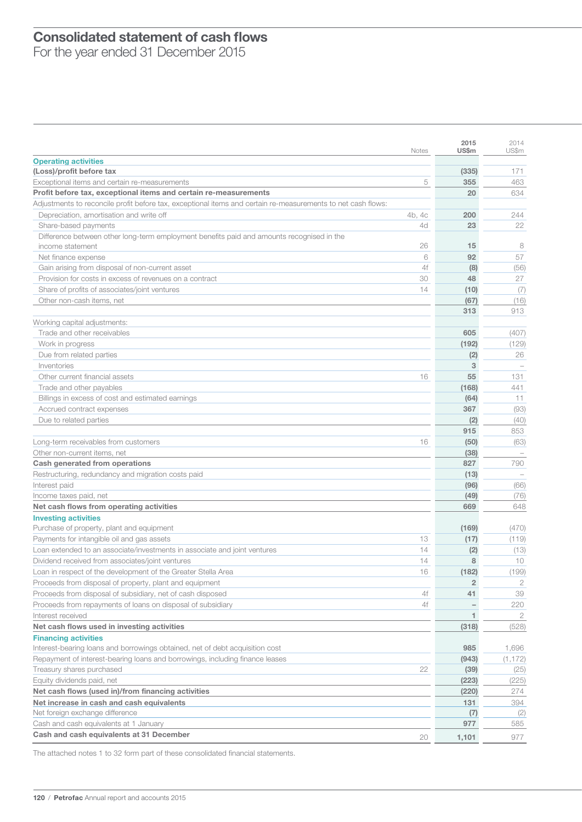### $\overline{\phantom{a}}$ Consolidated statement of cash flows

For the year ended 31 December 2015

|                                                                                                              | Notes  | 2015<br>US\$m  | 2014<br>US\$m |
|--------------------------------------------------------------------------------------------------------------|--------|----------------|---------------|
| <b>Operating activities</b>                                                                                  |        |                |               |
| (Loss)/profit before tax                                                                                     |        | (335)          | 171           |
| Exceptional items and certain re-measurements                                                                | 5      | 355            | 463           |
| Profit before tax, exceptional items and certain re-measurements                                             |        | 20             | 634           |
| Adjustments to reconcile profit before tax, exceptional items and certain re-measurements to net cash flows: |        |                |               |
| Depreciation, amortisation and write off                                                                     | 4b, 4c | 200            | 244           |
| Share-based payments                                                                                         | 4d     | 23             | 22            |
| Difference between other long-term employment benefits paid and amounts recognised in the                    |        |                |               |
| income statement                                                                                             | 26     | 15             | 8             |
| Net finance expense                                                                                          | 6      | 92             | 57            |
| Gain arising from disposal of non-current asset                                                              | 4f     | (8)            | (56)          |
| Provision for costs in excess of revenues on a contract                                                      | 30     | 48             | 27            |
| Share of profits of associates/joint ventures                                                                | 14     | (10)           | (7)           |
| Other non-cash items, net                                                                                    |        | (67)           | (16)          |
|                                                                                                              |        | 313            | 913           |
| Working capital adjustments:                                                                                 |        |                |               |
| Trade and other receivables                                                                                  |        | 605            | (407)         |
| Work in progress                                                                                             |        | (192)          | (129)         |
| Due from related parties                                                                                     |        | (2)            | 26            |
| Inventories                                                                                                  |        | 3              |               |
| Other current financial assets                                                                               | 16     | 55             | 131           |
| Trade and other payables                                                                                     |        | (168)          | 441           |
| Billings in excess of cost and estimated earnings                                                            |        | (64)           | 11            |
| Accrued contract expenses                                                                                    |        | 367            | (93)          |
| Due to related parties                                                                                       |        | (2)            | (40)          |
|                                                                                                              |        | 915            | 853           |
| Long-term receivables from customers                                                                         | 16     | (50)           | (63)          |
| Other non-current items, net                                                                                 |        | (38)           |               |
| Cash generated from operations                                                                               |        | 827            | 790           |
| Restructuring, redundancy and migration costs paid                                                           |        | (13)           |               |
| Interest paid                                                                                                |        | (96)           | (66)          |
| Income taxes paid, net                                                                                       |        | (49)           | (76)          |
| Net cash flows from operating activities                                                                     |        | 669            | 648           |
| <b>Investing activities</b>                                                                                  |        |                |               |
| Purchase of property, plant and equipment                                                                    |        | (169)          | (470)         |
| Payments for intangible oil and gas assets                                                                   | 13     | (17)           | (119)         |
| Loan extended to an associate/investments in associate and joint ventures                                    | 14     | (2)            | (13)          |
| Dividend received from associates/joint ventures                                                             | 14     | 8              | 10            |
| Loan in respect of the development of the Greater Stella Area                                                | 16     | (182)          | (199)         |
| Proceeds from disposal of property, plant and equipment                                                      |        | $\overline{2}$ | 2             |
| Proceeds from disposal of subsidiary, net of cash disposed                                                   | 4f     | 41             | 39            |
| Proceeds from repayments of loans on disposal of subsidiary                                                  | 4f     |                | 220           |
| Interest received                                                                                            |        | 1              | 2             |
| Net cash flows used in investing activities                                                                  |        | (318)          | (528)         |
| <b>Financing activities</b>                                                                                  |        |                |               |
| Interest-bearing loans and borrowings obtained, net of debt acquisition cost                                 |        | 985            | 1,696         |
| Repayment of interest-bearing loans and borrowings, including finance leases                                 |        | (943)          | (1, 172)      |
| Treasury shares purchased                                                                                    | 22     | (39)           | (25)          |
| Equity dividends paid, net                                                                                   |        | (223)          | (225)         |
| Net cash flows (used in)/from financing activities                                                           |        | (220)          | 274           |
| Net increase in cash and cash equivalents                                                                    |        | 131            | 394           |
| Net foreign exchange difference                                                                              |        | (7)            | (2)           |
| Cash and cash equivalents at 1 January                                                                       |        | 977            | 585           |
| Cash and cash equivalents at 31 December                                                                     | 20     | 1,101          | 977           |
|                                                                                                              |        |                |               |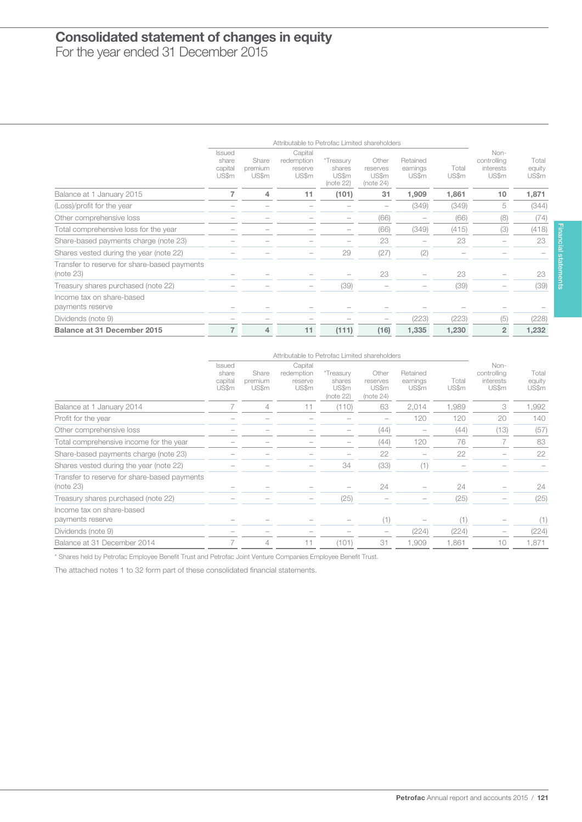# $\overline{1}$ Consolidated statement of changes in equity

For the year ended 31 December 2015

|                                                           |                                            |                           | Attributable to Petrofac Limited shareholders |                                           |                                         |                               |                |                                           |                          |
|-----------------------------------------------------------|--------------------------------------------|---------------------------|-----------------------------------------------|-------------------------------------------|-----------------------------------------|-------------------------------|----------------|-------------------------------------------|--------------------------|
|                                                           | <b>Issued</b><br>share<br>capital<br>US\$m | Share<br>premium<br>US\$m | Capital<br>redemption<br>reserve<br>US\$m     | *Treasury<br>shares<br>US\$m<br>(note 22) | Other<br>reserves<br>US\$m<br>(note 24) | Retained<br>earnings<br>US\$m | Total<br>US\$m | Non-<br>controlling<br>interests<br>US\$m | Total<br>equity<br>US\$m |
| Balance at 1 January 2015                                 | 7                                          | 4                         | 11                                            | (101)                                     | 31                                      | 1,909                         | 1.861          | 10                                        | 1,871                    |
| (Loss)/profit for the year                                |                                            |                           |                                               |                                           | $\overline{\phantom{0}}$                | (349)                         | (349)          | 5                                         | (344)                    |
| Other comprehensive loss                                  |                                            |                           |                                               |                                           | (66)                                    |                               | (66)           | (8)                                       | (74)                     |
| Total comprehensive loss for the year                     |                                            |                           |                                               |                                           | (66)                                    | (349)                         | (415)          | (3)                                       | (418)                    |
| Share-based payments charge (note 23)                     |                                            |                           |                                               |                                           | 23                                      |                               | 23             |                                           | 23                       |
| Shares vested during the year (note 22)                   |                                            |                           |                                               | 29                                        | (27)                                    | (2)                           |                |                                           |                          |
| Transfer to reserve for share-based payments<br>(note 23) |                                            |                           |                                               |                                           | 23                                      |                               | 23             |                                           | 23                       |
| Treasury shares purchased (note 22)                       |                                            |                           | $\overline{\phantom{m}}$                      | (39)                                      |                                         |                               | (39)           |                                           | (39)                     |
| Income tax on share-based<br>payments reserve             |                                            |                           |                                               |                                           |                                         |                               |                |                                           |                          |
| Dividends (note 9)                                        |                                            |                           |                                               |                                           |                                         | (223)                         | (223)          | (5)                                       | (228)                    |
| Balance at 31 December 2015                               | $\overline{7}$                             | 4                         | 11                                            | (111)                                     | (16)                                    | 1,335                         | 1,230          | $\overline{2}$                            | 1,232                    |

|                                                           |                                            |                           | Attributable to Petrofac Limited shareholders |                                           |                                         |                               |                |                                           |                          |
|-----------------------------------------------------------|--------------------------------------------|---------------------------|-----------------------------------------------|-------------------------------------------|-----------------------------------------|-------------------------------|----------------|-------------------------------------------|--------------------------|
|                                                           | <b>Issued</b><br>share<br>capital<br>US\$m | Share<br>premium<br>US\$m | Capital<br>redemption<br>reserve<br>US\$m     | *Treasury<br>shares<br>US\$m<br>(note 22) | Other<br>reserves<br>US\$m<br>(note 24) | Retained<br>earnings<br>US\$m | Total<br>US\$m | Non-<br>controlling<br>interests<br>US\$m | Total<br>equity<br>US\$m |
| Balance at 1 January 2014                                 |                                            | 4                         | 11                                            | (110)                                     | 63                                      | 2,014                         | 1,989          | 3                                         | 1,992                    |
| Profit for the year                                       |                                            |                           |                                               |                                           |                                         | 120                           | 120            | 20                                        | 140                      |
| Other comprehensive loss                                  |                                            |                           |                                               |                                           | (44)                                    |                               | (44)           | (13)                                      | (57)                     |
| Total comprehensive income for the year                   |                                            |                           |                                               |                                           | (44)                                    | 120                           | 76             |                                           | 83                       |
| Share-based payments charge (note 23)                     |                                            |                           |                                               |                                           | 22                                      |                               | 22             |                                           | 22                       |
| Shares vested during the year (note 22)                   |                                            |                           |                                               | 34                                        | (33)                                    | (1)                           |                |                                           |                          |
| Transfer to reserve for share-based payments<br>(note 23) |                                            |                           |                                               |                                           | 24                                      |                               | 24             |                                           | 24                       |
| Treasury shares purchased (note 22)                       |                                            |                           |                                               | (25)                                      |                                         |                               | (25)           |                                           | (25)                     |
| Income tax on share-based<br>payments reserve             |                                            |                           |                                               |                                           | (1)                                     |                               | (1)            |                                           | (1)                      |
| Dividends (note 9)                                        |                                            |                           |                                               |                                           |                                         | (224)                         | (224)          |                                           | (224)                    |
| Balance at 31 December 2014                               |                                            | 4                         | 11                                            | (101)                                     | 31                                      | 1,909                         | 1,861          | 10                                        | 1,871                    |

\* Shares held by Petrofac Employee Benefit Trust and Petrofac Joint Venture Companies Employee Benefit Trust.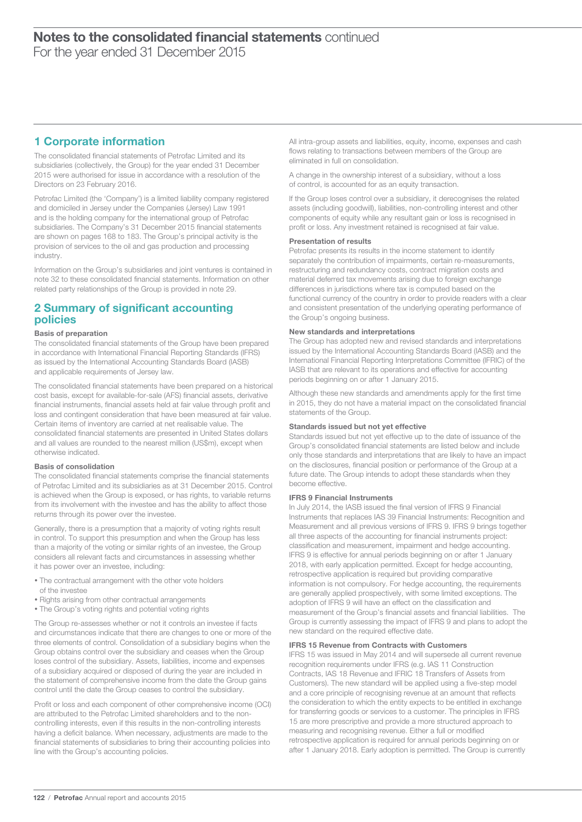# 1 Corporate information

The consolidated financial statements of Petrofac Limited and its subsidiaries (collectively, the Group) for the year ended 31 December 2015 were authorised for issue in accordance with a resolution of the Directors on 23 February 2016.

Petrofac Limited (the 'Company') is a limited liability company registered and domiciled in Jersey under the Companies (Jersey) Law 1991 and is the holding company for the international group of Petrofac subsidiaries. The Company's 31 December 2015 financial statements are shown on pages 168 to 183. The Group's principal activity is the provision of services to the oil and gas production and processing industry.

Information on the Group's subsidiaries and joint ventures is contained in note 32 to these consolidated financial statements. Information on other related party relationships of the Group is provided in note 29.

### 2 Summary of significant accounting policies

#### Basis of preparation

The consolidated financial statements of the Group have been prepared in accordance with International Financial Reporting Standards (IFRS) as issued by the International Accounting Standards Board (IASB) and applicable requirements of Jersey law.

The consolidated financial statements have been prepared on a historical cost basis, except for available-for-sale (AFS) financial assets, derivative financial instruments, financial assets held at fair value through profit and loss and contingent consideration that have been measured at fair value. Certain items of inventory are carried at net realisable value. The consolidated financial statements are presented in United States dollars and all values are rounded to the nearest million (US\$m), except when otherwise indicated.

#### Basis of consolidation

The consolidated financial statements comprise the financial statements of Petrofac Limited and its subsidiaries as at 31 December 2015. Control is achieved when the Group is exposed, or has rights, to variable returns from its involvement with the investee and has the ability to affect those returns through its power over the investee.

Generally, there is a presumption that a majority of voting rights result in control. To support this presumption and when the Group has less than a majority of the voting or similar rights of an investee, the Group considers all relevant facts and circumstances in assessing whether it has power over an investee, including:

- The contractual arrangement with the other vote holders of the investee
- Rights arising from other contractual arrangements
- The Group's voting rights and potential voting rights

The Group re-assesses whether or not it controls an investee if facts and circumstances indicate that there are changes to one or more of the three elements of control. Consolidation of a subsidiary begins when the Group obtains control over the subsidiary and ceases when the Group loses control of the subsidiary. Assets, liabilities, income and expenses of a subsidiary acquired or disposed of during the year are included in the statement of comprehensive income from the date the Group gains control until the date the Group ceases to control the subsidiary.

Profit or loss and each component of other comprehensive income (OCI) are attributed to the Petrofac Limited shareholders and to the noncontrolling interests, even if this results in the non-controlling interests having a deficit balance. When necessary, adjustments are made to the financial statements of subsidiaries to bring their accounting policies into line with the Group's accounting policies.

All intra-group assets and liabilities, equity, income, expenses and cash flows relating to transactions between members of the Group are eliminated in full on consolidation.

A change in the ownership interest of a subsidiary, without a loss of control, is accounted for as an equity transaction.

If the Group loses control over a subsidiary, it derecognises the related assets (including goodwill), liabilities, non-controlling interest and other components of equity while any resultant gain or loss is recognised in profit or loss. Any investment retained is recognised at fair value.

#### Presentation of results

Petrofac presents its results in the income statement to identify separately the contribution of impairments, certain re-measurements, restructuring and redundancy costs, contract migration costs and material deferred tax movements arising due to foreign exchange differences in jurisdictions where tax is computed based on the functional currency of the country in order to provide readers with a clear and consistent presentation of the underlying operating performance of the Group's ongoing business.

#### New standards and interpretations

The Group has adopted new and revised standards and interpretations issued by the International Accounting Standards Board (IASB) and the International Financial Reporting Interpretations Committee (IFRIC) of the IASB that are relevant to its operations and effective for accounting periods beginning on or after 1 January 2015.

Although these new standards and amendments apply for the first time in 2015, they do not have a material impact on the consolidated financial statements of the Group.

#### Standards issued but not yet effective

Standards issued but not yet effective up to the date of issuance of the Group's consolidated financial statements are listed below and include only those standards and interpretations that are likely to have an impact on the disclosures, financial position or performance of the Group at a future date. The Group intends to adopt these standards when they become effective.

#### IFRS 9 Financial Instruments

In July 2014, the IASB issued the final version of IFRS 9 Financial Instruments that replaces IAS 39 Financial Instruments: Recognition and Measurement and all previous versions of IFRS 9. IFRS 9 brings together all three aspects of the accounting for financial instruments project: classification and measurement, impairment and hedge accounting. IFRS 9 is effective for annual periods beginning on or after 1 January 2018, with early application permitted. Except for hedge accounting, retrospective application is required but providing comparative information is not compulsory. For hedge accounting, the requirements are generally applied prospectively, with some limited exceptions. The adoption of IFRS 9 will have an effect on the classification and measurement of the Group's financial assets and financial liabilities. The Group is currently assessing the impact of IFRS 9 and plans to adopt the new standard on the required effective date.

#### IFRS 15 Revenue from Contracts with Customers

IFRS 15 was issued in May 2014 and will supersede all current revenue recognition requirements under IFRS (e.g. IAS 11 Construction Contracts, IAS 18 Revenue and IFRIC 18 Transfers of Assets from Customers). The new standard will be applied using a five-step model and a core principle of recognising revenue at an amount that reflects the consideration to which the entity expects to be entitled in exchange for transferring goods or services to a customer. The principles in IFRS 15 are more prescriptive and provide a more structured approach to measuring and recognising revenue. Either a full or modified retrospective application is required for annual periods beginning on or after 1 January 2018. Early adoption is permitted. The Group is currently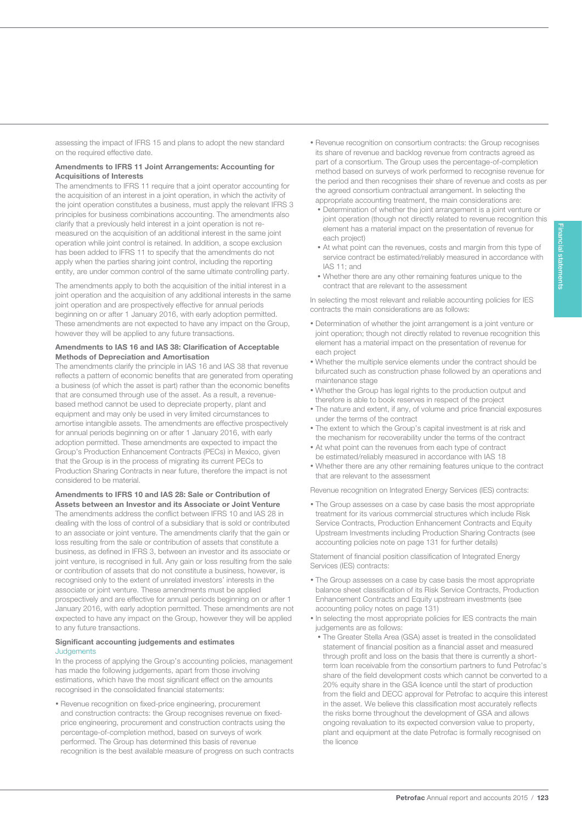assessing the impact of IFRS 15 and plans to adopt the new standard on the required effective date.

#### Amendments to IFRS 11 Joint Arrangements: Accounting for Acquisitions of Interests

123

The amendments to IFRS 11 require that a joint operator accounting for the acquisition of an interest in a joint operation, in which the activity of the joint operation constitutes a business, must apply the relevant IFRS 3 principles for business combinations accounting. The amendments also clarify that a previously held interest in a joint operation is not remeasured on the acquisition of an additional interest in the same joint operation while joint control is retained. In addition, a scope exclusion has been added to IFRS 11 to specify that the amendments do not apply when the parties sharing joint control, including the reporting entity, are under common control of the same ultimate controlling party.

The amendments apply to both the acquisition of the initial interest in a joint operation and the acquisition of any additional interests in the same joint operation and are prospectively effective for annual periods beginning on or after 1 January 2016, with early adoption permitted. These amendments are not expected to have any impact on the Group, however they will be applied to any future transactions.

#### Amendments to IAS 16 and IAS 38: Clarification of Acceptable Methods of Depreciation and Amortisation

The amendments clarify the principle in IAS 16 and IAS 38 that revenue reflects a pattern of economic benefits that are generated from operating a business (of which the asset is part) rather than the economic benefits that are consumed through use of the asset. As a result, a revenuebased method cannot be used to depreciate property, plant and equipment and may only be used in very limited circumstances to amortise intangible assets. The amendments are effective prospectively for annual periods beginning on or after 1 January 2016, with early adoption permitted. These amendments are expected to impact the Group's Production Enhancement Contracts (PECs) in Mexico, given that the Group is in the process of migrating its current PECs to Production Sharing Contracts in near future, therefore the impact is not considered to be material.

#### Amendments to IFRS 10 and IAS 28: Sale or Contribution of Assets between an Investor and its Associate or Joint Venture

The amendments address the conflict between IFRS 10 and IAS 28 in dealing with the loss of control of a subsidiary that is sold or contributed to an associate or joint venture. The amendments clarify that the gain or loss resulting from the sale or contribution of assets that constitute a business, as defined in IFRS 3, between an investor and its associate or joint venture, is recognised in full. Any gain or loss resulting from the sale or contribution of assets that do not constitute a business, however, is recognised only to the extent of unrelated investors' interests in the associate or joint venture. These amendments must be applied prospectively and are effective for annual periods beginning on or after 1 January 2016, with early adoption permitted. These amendments are not expected to have any impact on the Group, however they will be applied to any future transactions.

#### Significant accounting judgements and estimates **Judgements**

In the process of applying the Group's accounting policies, management has made the following judgements, apart from those involving estimations, which have the most significant effect on the amounts recognised in the consolidated financial statements:

• Revenue recognition on fixed-price engineering, procurement and construction contracts: the Group recognises revenue on fixedprice engineering, procurement and construction contracts using the percentage-of-completion method, based on surveys of work performed. The Group has determined this basis of revenue recognition is the best available measure of progress on such contracts

- Revenue recognition on consortium contracts: the Group recognises its share of revenue and backlog revenue from contracts agreed as part of a consortium. The Group uses the percentage-of-completion method based on surveys of work performed to recognise revenue for the period and then recognises their share of revenue and costs as per the agreed consortium contractual arrangement. In selecting the appropriate accounting treatment, the main considerations are:
	- Determination of whether the joint arrangement is a joint venture or joint operation (though not directly related to revenue recognition this element has a material impact on the presentation of revenue for each project)
	- At what point can the revenues, costs and margin from this type of service contract be estimated/reliably measured in accordance with IAS 11; and
	- Whether there are any other remaining features unique to the contract that are relevant to the assessment

In selecting the most relevant and reliable accounting policies for IES contracts the main considerations are as follows:

- Determination of whether the joint arrangement is a joint venture or joint operation; though not directly related to revenue recognition this element has a material impact on the presentation of revenue for each project
- Whether the multiple service elements under the contract should be bifurcated such as construction phase followed by an operations and maintenance stage
- Whether the Group has legal rights to the production output and therefore is able to book reserves in respect of the project
- The nature and extent, if any, of volume and price financial exposures under the terms of the contract
- The extent to which the Group's capital investment is at risk and the mechanism for recoverability under the terms of the contract
- At what point can the revenues from each type of contract be estimated/reliably measured in accordance with IAS 18
- Whether there are any other remaining features unique to the contract that are relevant to the assessment

Revenue recognition on Integrated Energy Services (IES) contracts:

• The Group assesses on a case by case basis the most appropriate treatment for its various commercial structures which include Risk Service Contracts, Production Enhancement Contracts and Equity Upstream Investments including Production Sharing Contracts (see accounting policies note on page 131 for further details)

Statement of financial position classification of Integrated Energy Services (IES) contracts:

- The Group assesses on a case by case basis the most appropriate balance sheet classification of its Risk Service Contracts, Production Enhancement Contracts and Equity upstream investments (see accounting policy notes on page 131)
- In selecting the most appropriate policies for IES contracts the main judgements are as follows:
	- The Greater Stella Area (GSA) asset is treated in the consolidated statement of financial position as a financial asset and measured through profit and loss on the basis that there is currently a shortterm loan receivable from the consortium partners to fund Petrofac's share of the field development costs which cannot be converted to a 20% equity share in the GSA licence until the start of production from the field and DECC approval for Petrofac to acquire this interest in the asset. We believe this classification most accurately reflects the risks borne throughout the development of GSA and allows ongoing revaluation to its expected conversion value to property, plant and equipment at the date Petrofac is formally recognised on the licence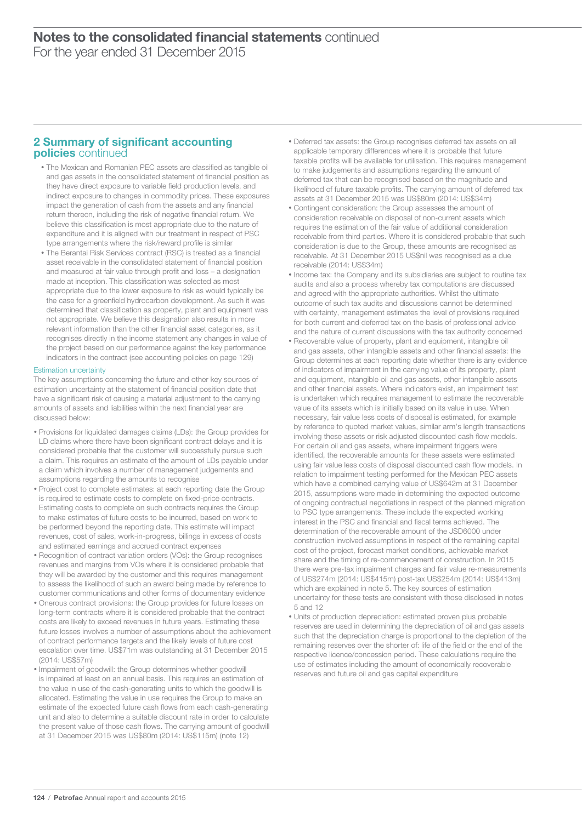### 2 Summary of significant accounting policies continued

- The Mexican and Romanian PEC assets are classified as tangible oil and gas assets in the consolidated statement of financial position as they have direct exposure to variable field production levels, and indirect exposure to changes in commodity prices. These exposures impact the generation of cash from the assets and any financial return thereon, including the risk of negative financial return. We believe this classification is most appropriate due to the nature of expenditure and it is aligned with our treatment in respect of PSC type arrangements where the risk/reward profile is similar
- The Berantai Risk Services contract (RSC) is treated as a financial asset receivable in the consolidated statement of financial position and measured at fair value through profit and loss – a designation made at inception. This classification was selected as most appropriate due to the lower exposure to risk as would typically be the case for a greenfield hydrocarbon development. As such it was determined that classification as property, plant and equipment was not appropriate. We believe this designation also results in more relevant information than the other financial asset categories, as it recognises directly in the income statement any changes in value of the project based on our performance against the key performance indicators in the contract (see accounting policies on page 129)

#### Estimation uncertainty

The key assumptions concerning the future and other key sources of estimation uncertainty at the statement of financial position date that have a significant risk of causing a material adjustment to the carrying amounts of assets and liabilities within the next financial year are discussed below:

- Provisions for liquidated damages claims (LDs): the Group provides for LD claims where there have been significant contract delays and it is considered probable that the customer will successfully pursue such a claim. This requires an estimate of the amount of LDs payable under a claim which involves a number of management judgements and assumptions regarding the amounts to recognise
- Project cost to complete estimates: at each reporting date the Group is required to estimate costs to complete on fixed-price contracts. Estimating costs to complete on such contracts requires the Group to make estimates of future costs to be incurred, based on work to be performed beyond the reporting date. This estimate will impact revenues, cost of sales, work-in-progress, billings in excess of costs and estimated earnings and accrued contract expenses
- Recognition of contract variation orders (VOs): the Group recognises revenues and margins from VOs where it is considered probable that they will be awarded by the customer and this requires management to assess the likelihood of such an award being made by reference to customer communications and other forms of documentary evidence
- Onerous contract provisions: the Group provides for future losses on long-term contracts where it is considered probable that the contract costs are likely to exceed revenues in future years. Estimating these future losses involves a number of assumptions about the achievement of contract performance targets and the likely levels of future cost escalation over time. US\$71m was outstanding at 31 December 2015 (2014: US\$57m)
- Impairment of goodwill: the Group determines whether goodwill is impaired at least on an annual basis. This requires an estimation of the value in use of the cash-generating units to which the goodwill is allocated. Estimating the value in use requires the Group to make an estimate of the expected future cash flows from each cash-generating unit and also to determine a suitable discount rate in order to calculate the present value of those cash flows. The carrying amount of goodwill at 31 December 2015 was US\$80m (2014: US\$115m) (note 12)
- Deferred tax assets: the Group recognises deferred tax assets on all applicable temporary differences where it is probable that future taxable profits will be available for utilisation. This requires management to make judgements and assumptions regarding the amount of deferred tax that can be recognised based on the magnitude and likelihood of future taxable profits. The carrying amount of deferred tax assets at 31 December 2015 was US\$80m (2014: US\$34m)
- Contingent consideration: the Group assesses the amount of consideration receivable on disposal of non-current assets which requires the estimation of the fair value of additional consideration receivable from third parties. Where it is considered probable that such consideration is due to the Group, these amounts are recognised as receivable. At 31 December 2015 US\$nil was recognised as a due receivable (2014: US\$34m)
- Income tax: the Company and its subsidiaries are subject to routine tax audits and also a process whereby tax computations are discussed and agreed with the appropriate authorities. Whilst the ultimate outcome of such tax audits and discussions cannot be determined with certainty, management estimates the level of provisions required for both current and deferred tax on the basis of professional advice and the nature of current discussions with the tax authority concerned
- Recoverable value of property, plant and equipment, intangible oil and gas assets, other intangible assets and other financial assets: the Group determines at each reporting date whether there is any evidence of indicators of impairment in the carrying value of its property, plant and equipment, intangible oil and gas assets, other intangible assets and other financial assets. Where indicators exist, an impairment test is undertaken which requires management to estimate the recoverable value of its assets which is initially based on its value in use. When necessary, fair value less costs of disposal is estimated, for example by reference to quoted market values, similar arm's length transactions involving these assets or risk adjusted discounted cash flow models. For certain oil and gas assets, where impairment triggers were identified, the recoverable amounts for these assets were estimated using fair value less costs of disposal discounted cash flow models. In relation to impairment testing performed for the Mexican PEC assets which have a combined carrying value of US\$642m at 31 December 2015, assumptions were made in determining the expected outcome of ongoing contractual negotiations in respect of the planned migration to PSC type arrangements. These include the expected working interest in the PSC and financial and fiscal terms achieved. The determination of the recoverable amount of the JSD6000 under construction involved assumptions in respect of the remaining capital cost of the project, forecast market conditions, achievable market share and the timing of re-commencement of construction. In 2015 there were pre-tax impairment charges and fair value re-measurements of US\$274m (2014: US\$415m) post-tax US\$254m (2014: US\$413m) which are explained in note 5. The key sources of estimation uncertainty for these tests are consistent with those disclosed in notes 5 and 12
- Units of production depreciation: estimated proven plus probable reserves are used in determining the depreciation of oil and gas assets such that the depreciation charge is proportional to the depletion of the remaining reserves over the shorter of: life of the field or the end of the respective licence/concession period. These calculations require the use of estimates including the amount of economically recoverable reserves and future oil and gas capital expenditure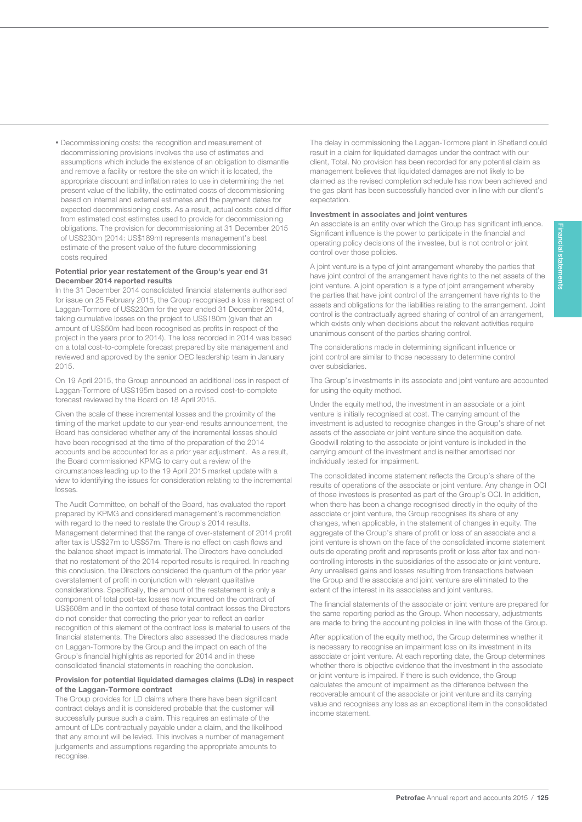• Decommissioning costs: the recognition and measurement of decommissioning provisions involves the use of estimates and assumptions which include the existence of an obligation to dismantle and remove a facility or restore the site on which it is located, the appropriate discount and inflation rates to use in determining the net present value of the liability, the estimated costs of decommissioning based on internal and external estimates and the payment dates for expected decommissioning costs. As a result, actual costs could differ from estimated cost estimates used to provide for decommissioning obligations. The provision for decommissioning at 31 December 2015 of US\$230m (2014: US\$189m) represents management's best estimate of the present value of the future decommissioning costs required

125

#### Potential prior year restatement of the Group's year end 31 December 2014 reported results

In the 31 December 2014 consolidated financial statements authorised for issue on 25 February 2015, the Group recognised a loss in respect of Laggan-Tormore of US\$230m for the year ended 31 December 2014, taking cumulative losses on the project to US\$180m (given that an amount of US\$50m had been recognised as profits in respect of the project in the years prior to 2014). The loss recorded in 2014 was based on a total cost-to-complete forecast prepared by site management and reviewed and approved by the senior OEC leadership team in January 2015.

On 19 April 2015, the Group announced an additional loss in respect of Laggan-Tormore of US\$195m based on a revised cost-to-complete forecast reviewed by the Board on 18 April 2015.

Given the scale of these incremental losses and the proximity of the timing of the market update to our year-end results announcement, the Board has considered whether any of the incremental losses should have been recognised at the time of the preparation of the 2014 accounts and be accounted for as a prior year adjustment. As a result, the Board commissioned KPMG to carry out a review of the circumstances leading up to the 19 April 2015 market update with a view to identifying the issues for consideration relating to the incremental losses.

The Audit Committee, on behalf of the Board, has evaluated the report prepared by KPMG and considered management's recommendation with regard to the need to restate the Group's 2014 results. Management determined that the range of over-statement of 2014 profit after tax is US\$27m to US\$57m. There is no effect on cash flows and the balance sheet impact is immaterial. The Directors have concluded that no restatement of the 2014 reported results is required. In reaching this conclusion, the Directors considered the quantum of the prior year overstatement of profit in conjunction with relevant qualitative considerations. Specifically, the amount of the restatement is only a component of total post-tax losses now incurred on the contract of US\$608m and in the context of these total contract losses the Directors do not consider that correcting the prior year to reflect an earlier recognition of this element of the contract loss is material to users of the financial statements. The Directors also assessed the disclosures made on Laggan-Tormore by the Group and the impact on each of the Group's financial highlights as reported for 2014 and in these consolidated financial statements in reaching the conclusion.

#### Provision for potential liquidated damages claims (LDs) in respect of the Laggan-Tormore contract

The Group provides for LD claims where there have been significant contract delays and it is considered probable that the customer will successfully pursue such a claim. This requires an estimate of the amount of LDs contractually payable under a claim, and the likelihood that any amount will be levied. This involves a number of management judgements and assumptions regarding the appropriate amounts to recognise.

The delay in commissioning the Laggan-Tormore plant in Shetland could result in a claim for liquidated damages under the contract with our client, Total. No provision has been recorded for any potential claim as management believes that liquidated damages are not likely to be claimed as the revised completion schedule has now been achieved and the gas plant has been successfully handed over in line with our client's expectation.

#### Investment in associates and joint ventures

An associate is an entity over which the Group has significant influence. Significant influence is the power to participate in the financial and operating policy decisions of the investee, but is not control or joint control over those policies.

A joint venture is a type of joint arrangement whereby the parties that have joint control of the arrangement have rights to the net assets of the joint venture. A joint operation is a type of joint arrangement whereby the parties that have joint control of the arrangement have rights to the assets and obligations for the liabilities relating to the arrangement. Joint control is the contractually agreed sharing of control of an arrangement, which exists only when decisions about the relevant activities require unanimous consent of the parties sharing control.

The considerations made in determining significant influence or joint control are similar to those necessary to determine control over subsidiaries.

The Group's investments in its associate and joint venture are accounted for using the equity method.

Under the equity method, the investment in an associate or a joint venture is initially recognised at cost. The carrying amount of the investment is adjusted to recognise changes in the Group's share of net assets of the associate or joint venture since the acquisition date. Goodwill relating to the associate or joint venture is included in the carrying amount of the investment and is neither amortised nor individually tested for impairment.

The consolidated income statement reflects the Group's share of the results of operations of the associate or joint venture. Any change in OCI of those investees is presented as part of the Group's OCI. In addition, when there has been a change recognised directly in the equity of the associate or joint venture, the Group recognises its share of any changes, when applicable, in the statement of changes in equity. The aggregate of the Group's share of profit or loss of an associate and a joint venture is shown on the face of the consolidated income statement outside operating profit and represents profit or loss after tax and noncontrolling interests in the subsidiaries of the associate or joint venture. Any unrealised gains and losses resulting from transactions between the Group and the associate and joint venture are eliminated to the extent of the interest in its associates and joint ventures.

The financial statements of the associate or joint venture are prepared for the same reporting period as the Group. When necessary, adjustments are made to bring the accounting policies in line with those of the Group.

After application of the equity method, the Group determines whether it is necessary to recognise an impairment loss on its investment in its associate or joint venture. At each reporting date, the Group determines whether there is objective evidence that the investment in the associate or joint venture is impaired. If there is such evidence, the Group calculates the amount of impairment as the difference between the recoverable amount of the associate or joint venture and its carrying value and recognises any loss as an exceptional item in the consolidated income statement.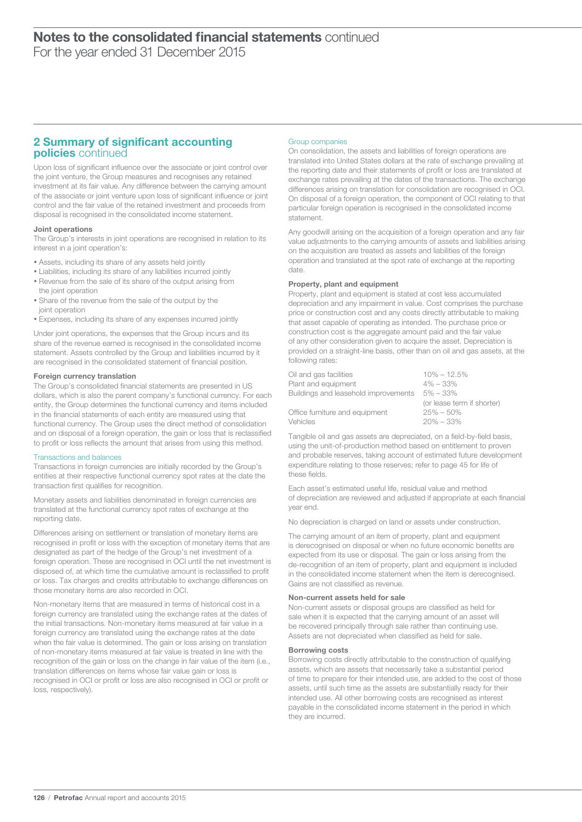### 2 Summary of significant accounting policies continued

Upon loss of significant influence over the associate or joint control over the joint venture, the Group measures and recognises any retained investment at its fair value. Any difference between the carrying amount of the associate or joint venture upon loss of significant influence or joint control and the fair value of the retained investment and proceeds from disposal is recognised in the consolidated income statement.

#### Joint operations

The Group's interests in joint operations are recognised in relation to its interest in a joint operation's:

- Assets, including its share of any assets held jointly
- Liabilities, including its share of any liabilities incurred jointly • Revenue from the sale of its share of the output arising from
- the joint operation • Share of the revenue from the sale of the output by the joint operation
- Expenses, including its share of any expenses incurred jointly

Under joint operations, the expenses that the Group incurs and its share of the revenue earned is recognised in the consolidated income statement. Assets controlled by the Group and liabilities incurred by it are recognised in the consolidated statement of financial position.

#### Foreign currency translation

The Group's consolidated financial statements are presented in US dollars, which is also the parent company's functional currency. For each entity, the Group determines the functional currency and items included in the financial statements of each entity are measured using that functional currency. The Group uses the direct method of consolidation and on disposal of a foreign operation, the gain or loss that is reclassified to profit or loss reflects the amount that arises from using this method.

#### Transactions and balances

Transactions in foreign currencies are initially recorded by the Group's entities at their respective functional currency spot rates at the date the transaction first qualifies for recognition.

Monetary assets and liabilities denominated in foreign currencies are translated at the functional currency spot rates of exchange at the reporting date.

Differences arising on settlement or translation of monetary items are recognised in profit or loss with the exception of monetary items that are designated as part of the hedge of the Group's net investment of a foreign operation. These are recognised in OCI until the net investment is disposed of, at which time the cumulative amount is reclassified to profit or loss. Tax charges and credits attributable to exchange differences on those monetary items are also recorded in OCI.

Non-monetary items that are measured in terms of historical cost in a foreign currency are translated using the exchange rates at the dates of the initial transactions. Non-monetary items measured at fair value in a foreign currency are translated using the exchange rates at the date when the fair value is determined. The gain or loss arising on translation of non-monetary items measured at fair value is treated in line with the recognition of the gain or loss on the change in fair value of the item (i.e., translation differences on items whose fair value gain or loss is recognised in OCI or profit or loss are also recognised in OCI or profit or loss, respectively).

#### Group companies

On consolidation, the assets and liabilities of foreign operations are translated into United States dollars at the rate of exchange prevailing at the reporting date and their statements of profit or loss are translated at exchange rates prevailing at the dates of the transactions. The exchange differences arising on translation for consolidation are recognised in OCI. On disposal of a foreign operation, the component of OCI relating to that particular foreign operation is recognised in the consolidated income statement.

Any goodwill arising on the acquisition of a foreign operation and any fair value adjustments to the carrying amounts of assets and liabilities arising on the acquisition are treated as assets and liabilities of the foreign operation and translated at the spot rate of exchange at the reporting date.

#### Property, plant and equipment

Property, plant and equipment is stated at cost less accumulated depreciation and any impairment in value. Cost comprises the purchase price or construction cost and any costs directly attributable to making that asset capable of operating as intended. The purchase price or construction cost is the aggregate amount paid and the fair value of any other consideration given to acquire the asset. Depreciation is provided on a straight-line basis, other than on oil and gas assets, at the following rates:

| Oil and gas facilities               | $10\% - 12.5\%$            |
|--------------------------------------|----------------------------|
| Plant and equipment                  | $4\% - 33\%$               |
| Buildings and leasehold improvements | $5\% - 33\%$               |
|                                      | (or lease term if shorter) |
| Office furniture and equipment       | $25\% - 50\%$              |
| Vehicles                             | $20\% - 33\%$              |
|                                      |                            |

Tangible oil and gas assets are depreciated, on a field-by-field basis, using the unit-of-production method based on entitlement to proven and probable reserves, taking account of estimated future development expenditure relating to those reserves; refer to page 45 for life of these fields.

Each asset's estimated useful life, residual value and method of depreciation are reviewed and adjusted if appropriate at each financial year end.

No depreciation is charged on land or assets under construction.

The carrying amount of an item of property, plant and equipment is derecognised on disposal or when no future economic benefits are expected from its use or disposal. The gain or loss arising from the de-recognition of an item of property, plant and equipment is included in the consolidated income statement when the item is derecognised. Gains are not classified as revenue.

#### Non-current assets held for sale

Non-current assets or disposal groups are classified as held for sale when it is expected that the carrying amount of an asset will be recovered principally through sale rather than continuing use. Assets are not depreciated when classified as held for sale.

#### Borrowing costs

Borrowing costs directly attributable to the construction of qualifying assets, which are assets that necessarily take a substantial period of time to prepare for their intended use, are added to the cost of those assets, until such time as the assets are substantially ready for their intended use. All other borrowing costs are recognised as interest payable in the consolidated income statement in the period in which they are incurred.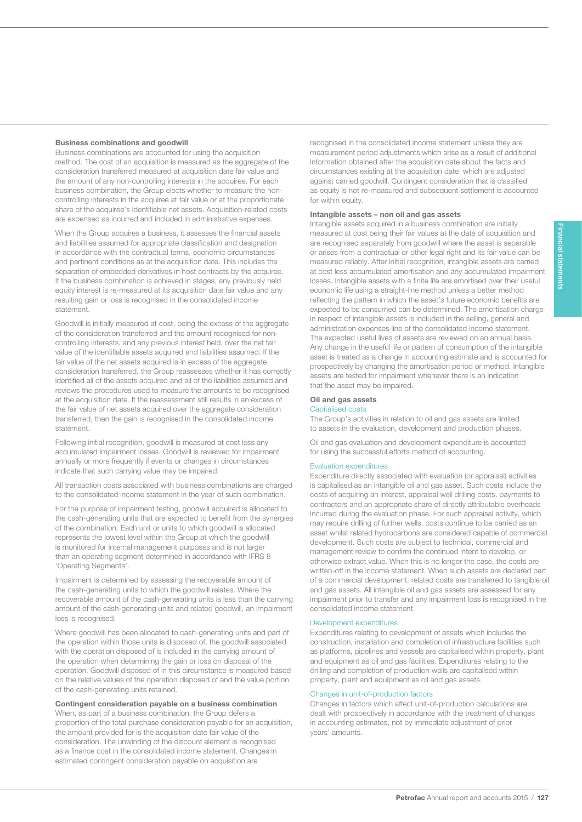#### Business combinations and goodwill

127

Business combinations are accounted for using the acquisition method. The cost of an acquisition is measured as the aggregate of the consideration transferred measured at acquisition date fair value and the amount of any non-controlling interests in the acquiree. For each business combination, the Group elects whether to measure the noncontrolling interests in the acquiree at fair value or at the proportionate share of the acquiree's identifiable net assets. Acquisition-related costs are expensed as incurred and included in administrative expenses.

When the Group acquires a business, it assesses the financial assets and liabilities assumed for appropriate classification and designation in accordance with the contractual terms, economic circumstances and pertinent conditions as at the acquisition date. This includes the separation of embedded derivatives in host contracts by the acquiree. If the business combination is achieved in stages, any previously held equity interest is re-measured at its acquisition date fair value and any resulting gain or loss is recognised in the consolidated income statement.

Goodwill is initially measured at cost, being the excess of the aggregate of the consideration transferred and the amount recognised for noncontrolling interests, and any previous interest held, over the net fair value of the identifiable assets acquired and liabilities assumed. If the fair value of the net assets acquired is in excess of the aggregate consideration transferred, the Group reassesses whether it has correctly identified all of the assets acquired and all of the liabilities assumed and reviews the procedures used to measure the amounts to be recognised at the acquisition date. If the reassessment still results in an excess of the fair value of net assets acquired over the aggregate consideration transferred, then the gain is recognised in the consolidated income statement.

Following initial recognition, goodwill is measured at cost less any accumulated impairment losses. Goodwill is reviewed for impairment annually or more frequently if events or changes in circumstances indicate that such carrying value may be impaired.

All transaction costs associated with business combinations are charged to the consolidated income statement in the year of such combination.

For the purpose of impairment testing, goodwill acquired is allocated to the cash-generating units that are expected to benefit from the synergies of the combination. Each unit or units to which goodwill is allocated represents the lowest level within the Group at which the goodwill is monitored for internal management purposes and is not larger than an operating segment determined in accordance with IFRS 8 'Operating Segments'.

Impairment is determined by assessing the recoverable amount of the cash-generating units to which the goodwill relates. Where the recoverable amount of the cash-generating units is less than the carrying amount of the cash-generating units and related goodwill, an impairment loss is recognised.

Where goodwill has been allocated to cash-generating units and part of the operation within those units is disposed of, the goodwill associated with the operation disposed of is included in the carrying amount of the operation when determining the gain or loss on disposal of the operation. Goodwill disposed of in this circumstance is measured based on the relative values of the operation disposed of and the value portion of the cash-generating units retained.

Contingent consideration payable on a business combination When, as part of a business combination, the Group defers a proportion of the total purchase consideration payable for an acquisition, the amount provided for is the acquisition date fair value of the consideration. The unwinding of the discount element is recognised as a finance cost in the consolidated income statement. Changes in estimated contingent consideration payable on acquisition are

recognised in the consolidated income statement unless they are measurement period adjustments which arise as a result of additional information obtained after the acquisition date about the facts and circumstances existing at the acquisition date, which are adjusted against carried goodwill. Contingent consideration that is classified as equity is not re-measured and subsequent settlement is accounted for within equity.

#### Intangible assets – non oil and gas assets

Intangible assets acquired in a business combination are initially measured at cost being their fair values at the date of acquisition and are recognised separately from goodwill where the asset is separable or arises from a contractual or other legal right and its fair value can be measured reliably. After initial recognition, intangible assets are carried at cost less accumulated amortisation and any accumulated impairment losses. Intangible assets with a finite life are amortised over their useful economic life using a straight-line method unless a better method reflecting the pattern in which the asset's future economic benefits are expected to be consumed can be determined. The amortisation charge in respect of intangible assets is included in the selling, general and administration expenses line of the consolidated income statement. The expected useful lives of assets are reviewed on an annual basis. Any change in the useful life or pattern of consumption of the intangible asset is treated as a change in accounting estimate and is accounted for prospectively by changing the amortisation period or method. Intangible assets are tested for impairment whenever there is an indication that the asset may be impaired.

### Oil and gas assets

#### Capitalised costs

The Group's activities in relation to oil and gas assets are limited to assets in the evaluation, development and production phases.

Oil and gas evaluation and development expenditure is accounted for using the successful efforts method of accounting.

#### Evaluation expenditures

Expenditure directly associated with evaluation (or appraisal) activities is capitalised as an intangible oil and gas asset. Such costs include the costs of acquiring an interest, appraisal well drilling costs, payments to contractors and an appropriate share of directly attributable overheads incurred during the evaluation phase. For such appraisal activity, which may require drilling of further wells, costs continue to be carried as an asset whilst related hydrocarbons are considered capable of commercial development. Such costs are subject to technical, commercial and management review to confirm the continued intent to develop, or otherwise extract value. When this is no longer the case, the costs are written-off in the income statement. When such assets are declared part of a commercial development, related costs are transferred to tangible oil and gas assets. All intangible oil and gas assets are assessed for any impairment prior to transfer and any impairment loss is recognised in the consolidated income statement.

#### Development expenditures

Expenditures relating to development of assets which includes the construction, installation and completion of infrastructure facilities such as platforms, pipelines and vessels are capitalised within property, plant and equipment as oil and gas facilities. Expenditures relating to the drilling and completion of production wells are capitalised within property, plant and equipment as oil and gas assets.

#### Changes in unit-of-production factors

Changes in factors which affect unit-of-production calculations are dealt with prospectively in accordance with the treatment of changes in accounting estimates, not by immediate adjustment of prior years' amounts.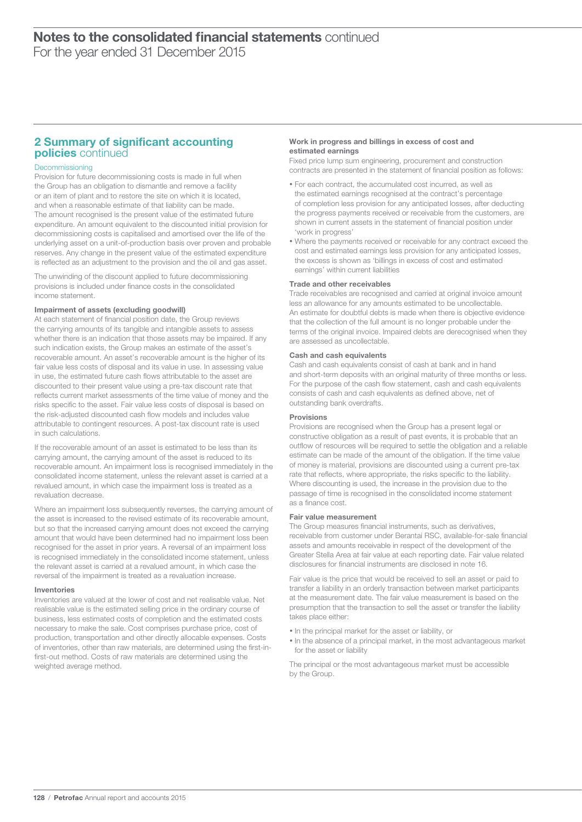### 2 Summary of significant accounting policies continued

#### Decommissioning

Provision for future decommissioning costs is made in full when the Group has an obligation to dismantle and remove a facility or an item of plant and to restore the site on which it is located, and when a reasonable estimate of that liability can be made. The amount recognised is the present value of the estimated future expenditure. An amount equivalent to the discounted initial provision for decommissioning costs is capitalised and amortised over the life of the underlying asset on a unit-of-production basis over proven and probable reserves. Any change in the present value of the estimated expenditure is reflected as an adjustment to the provision and the oil and gas asset.

The unwinding of the discount applied to future decommissioning provisions is included under finance costs in the consolidated income statement.

#### Impairment of assets (excluding goodwill)

At each statement of financial position date, the Group reviews the carrying amounts of its tangible and intangible assets to assess whether there is an indication that those assets may be impaired. If any such indication exists, the Group makes an estimate of the asset's recoverable amount. An asset's recoverable amount is the higher of its fair value less costs of disposal and its value in use. In assessing value in use, the estimated future cash flows attributable to the asset are discounted to their present value using a pre-tax discount rate that reflects current market assessments of the time value of money and the risks specific to the asset. Fair value less costs of disposal is based on the risk-adjusted discounted cash flow models and includes value attributable to contingent resources. A post-tax discount rate is used in such calculations.

If the recoverable amount of an asset is estimated to be less than its carrying amount, the carrying amount of the asset is reduced to its recoverable amount. An impairment loss is recognised immediately in the consolidated income statement, unless the relevant asset is carried at a revalued amount, in which case the impairment loss is treated as a revaluation decrease.

Where an impairment loss subsequently reverses, the carrying amount of the asset is increased to the revised estimate of its recoverable amount, but so that the increased carrying amount does not exceed the carrying amount that would have been determined had no impairment loss been recognised for the asset in prior years. A reversal of an impairment loss is recognised immediately in the consolidated income statement, unless the relevant asset is carried at a revalued amount, in which case the reversal of the impairment is treated as a revaluation increase.

#### Inventories

Inventories are valued at the lower of cost and net realisable value. Net realisable value is the estimated selling price in the ordinary course of business, less estimated costs of completion and the estimated costs necessary to make the sale. Cost comprises purchase price, cost of production, transportation and other directly allocable expenses. Costs of inventories, other than raw materials, are determined using the first-infirst-out method. Costs of raw materials are determined using the weighted average method.

#### Work in progress and billings in excess of cost and estimated earnings

Fixed price lump sum engineering, procurement and construction contracts are presented in the statement of financial position as follows:

- For each contract, the accumulated cost incurred, as well as the estimated earnings recognised at the contract's percentage of completion less provision for any anticipated losses, after deducting the progress payments received or receivable from the customers, are shown in current assets in the statement of financial position under 'work in progress'
- Where the payments received or receivable for any contract exceed the cost and estimated earnings less provision for any anticipated losses, the excess is shown as 'billings in excess of cost and estimated earnings' within current liabilities

#### Trade and other receivables

Trade receivables are recognised and carried at original invoice amount less an allowance for any amounts estimated to be uncollectable. An estimate for doubtful debts is made when there is objective evidence that the collection of the full amount is no longer probable under the terms of the original invoice. Impaired debts are derecognised when they are assessed as uncollectable.

#### Cash and cash equivalents

Cash and cash equivalents consist of cash at bank and in hand and short-term deposits with an original maturity of three months or less. For the purpose of the cash flow statement, cash and cash equivalents consists of cash and cash equivalents as defined above, net of outstanding bank overdrafts.

#### Provisions

Provisions are recognised when the Group has a present legal or constructive obligation as a result of past events, it is probable that an outflow of resources will be required to settle the obligation and a reliable estimate can be made of the amount of the obligation. If the time value of money is material, provisions are discounted using a current pre-tax rate that reflects, where appropriate, the risks specific to the liability. Where discounting is used, the increase in the provision due to the passage of time is recognised in the consolidated income statement as a finance cost.

#### Fair value measurement

The Group measures financial instruments, such as derivatives, receivable from customer under Berantai RSC, available-for-sale financial assets and amounts receivable in respect of the development of the Greater Stella Area at fair value at each reporting date. Fair value related disclosures for financial instruments are disclosed in note 16.

Fair value is the price that would be received to sell an asset or paid to transfer a liability in an orderly transaction between market participants at the measurement date. The fair value measurement is based on the presumption that the transaction to sell the asset or transfer the liability takes place either:

- In the principal market for the asset or liability, or
- In the absence of a principal market, in the most advantageous market for the asset or liability

The principal or the most advantageous market must be accessible by the Group.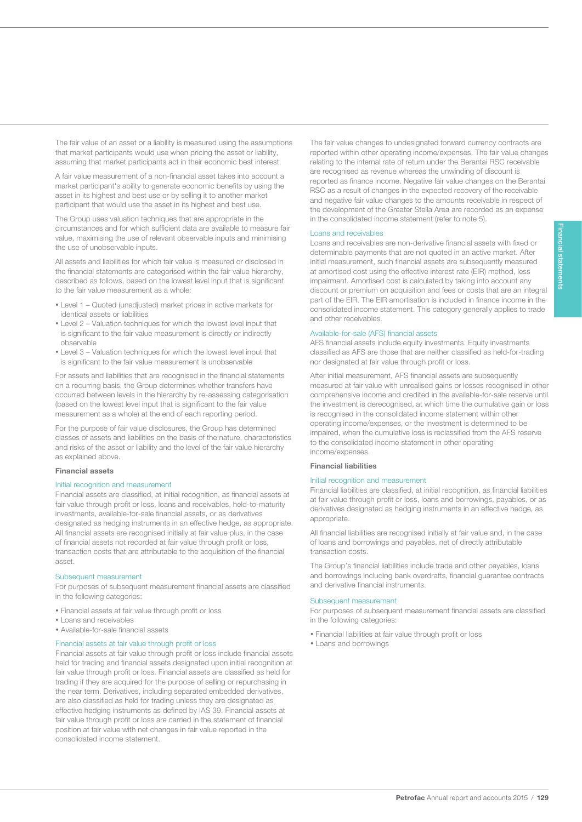The fair value of an asset or a liability is measured using the assumptions that market participants would use when pricing the asset or liability, assuming that market participants act in their economic best interest.

A fair value measurement of a non-financial asset takes into account a market participant's ability to generate economic benefits by using the asset in its highest and best use or by selling it to another market participant that would use the asset in its highest and best use.

The Group uses valuation techniques that are appropriate in the circumstances and for which sufficient data are available to measure fair value, maximising the use of relevant observable inputs and minimising the use of unobservable inputs.

All assets and liabilities for which fair value is measured or disclosed in the financial statements are categorised within the fair value hierarchy, described as follows, based on the lowest level input that is significant to the fair value measurement as a whole:

- Level 1 Quoted (unadjusted) market prices in active markets for identical assets or liabilities
- Level 2 Valuation techniques for which the lowest level input that is significant to the fair value measurement is directly or indirectly observable
- Level 3 Valuation techniques for which the lowest level input that is significant to the fair value measurement is unobservable

For assets and liabilities that are recognised in the financial statements on a recurring basis, the Group determines whether transfers have occurred between levels in the hierarchy by re-assessing categorisation (based on the lowest level input that is significant to the fair value measurement as a whole) at the end of each reporting period.

For the purpose of fair value disclosures, the Group has determined classes of assets and liabilities on the basis of the nature, characteristics and risks of the asset or liability and the level of the fair value hierarchy as explained above.

#### Financial assets

129

#### Initial recognition and measurement

Financial assets are classified, at initial recognition, as financial assets at fair value through profit or loss, loans and receivables, held-to-maturity investments, available-for-sale financial assets, or as derivatives designated as hedging instruments in an effective hedge, as appropriate. All financial assets are recognised initially at fair value plus, in the case of financial assets not recorded at fair value through profit or loss, transaction costs that are attributable to the acquisition of the financial asset.

#### Subsequent measurement

For purposes of subsequent measurement financial assets are classified in the following categories:

- Financial assets at fair value through profit or loss
- Loans and receivables
- Available-for-sale financial assets

#### Financial assets at fair value through profit or loss

Financial assets at fair value through profit or loss include financial assets held for trading and financial assets designated upon initial recognition at fair value through profit or loss. Financial assets are classified as held for trading if they are acquired for the purpose of selling or repurchasing in the near term. Derivatives, including separated embedded derivatives, are also classified as held for trading unless they are designated as effective hedging instruments as defined by IAS 39. Financial assets at fair value through profit or loss are carried in the statement of financial position at fair value with net changes in fair value reported in the consolidated income statement.

The fair value changes to undesignated forward currency contracts are reported within other operating income/expenses. The fair value changes relating to the internal rate of return under the Berantai RSC receivable are recognised as revenue whereas the unwinding of discount is reported as finance income. Negative fair value changes on the Berantai RSC as a result of changes in the expected recovery of the receivable and negative fair value changes to the amounts receivable in respect of the development of the Greater Stella Area are recorded as an expense in the consolidated income statement (refer to note 5).

#### Loans and receivables

Loans and receivables are non-derivative financial assets with fixed or determinable payments that are not quoted in an active market. After initial measurement, such financial assets are subsequently measured at amortised cost using the effective interest rate (EIR) method, less impairment. Amortised cost is calculated by taking into account any discount or premium on acquisition and fees or costs that are an integral part of the EIR. The EIR amortisation is included in finance income in the consolidated income statement. This category generally applies to trade and other receivables.

#### Available-for-sale (AFS) financial assets

AFS financial assets include equity investments. Equity investments classified as AFS are those that are neither classified as held-for-trading nor designated at fair value through profit or loss.

After initial measurement, AFS financial assets are subsequently measured at fair value with unrealised gains or losses recognised in other comprehensive income and credited in the available-for-sale reserve until the investment is derecognised, at which time the cumulative gain or loss is recognised in the consolidated income statement within other operating income/expenses, or the investment is determined to be impaired, when the cumulative loss is reclassified from the AFS reserve to the consolidated income statement in other operating income/expenses.

#### Financial liabilities

#### Initial recognition and measurement

Financial liabilities are classified, at initial recognition, as financial liabilities at fair value through profit or loss, loans and borrowings, payables, or as derivatives designated as hedging instruments in an effective hedge, as appropriate.

All financial liabilities are recognised initially at fair value and, in the case of loans and borrowings and payables, net of directly attributable transaction costs.

The Group's financial liabilities include trade and other payables, loans and borrowings including bank overdrafts, financial guarantee contracts and derivative financial instruments.

#### Subsequent measurement

For purposes of subsequent measurement financial assets are classified in the following categories:

- Financial liabilities at fair value through profit or loss
- Loans and borrowings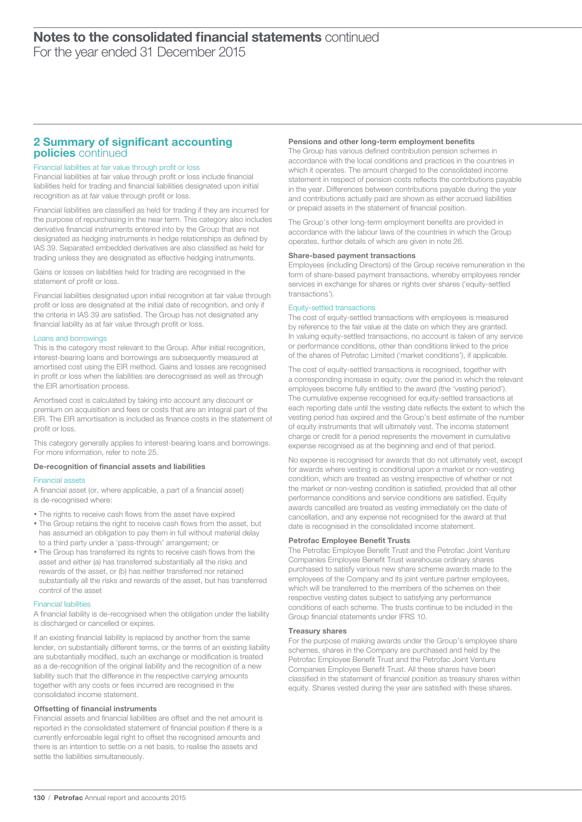### 2 Summary of significant accounting policies continued

#### Financial liabilities at fair value through profit or loss

Financial liabilities at fair value through profit or loss include financial liabilities held for trading and financial liabilities designated upon initial recognition as at fair value through profit or loss.

Financial liabilities are classified as held for trading if they are incurred for the purpose of repurchasing in the near term. This category also includes derivative financial instruments entered into by the Group that are not designated as hedging instruments in hedge relationships as defined by IAS 39. Separated embedded derivatives are also classified as held for trading unless they are designated as effective hedging instruments.

Gains or losses on liabilities held for trading are recognised in the statement of profit or loss.

Financial liabilities designated upon initial recognition at fair value through profit or loss are designated at the initial date of recognition, and only if the criteria in IAS 39 are satisfied. The Group has not designated any financial liability as at fair value through profit or loss.

#### Loans and borrowings

This is the category most relevant to the Group. After initial recognition, interest-bearing loans and borrowings are subsequently measured at amortised cost using the EIR method. Gains and losses are recognised in profit or loss when the liabilities are derecognised as well as through the EIR amortisation process.

Amortised cost is calculated by taking into account any discount or premium on acquisition and fees or costs that are an integral part of the EIR. The EIR amortisation is included as finance costs in the statement of profit or loss.

This category generally applies to interest-bearing loans and borrowings. For more information, refer to note 25.

#### De-recognition of financial assets and liabilities

#### Financial assets

A financial asset (or, where applicable, a part of a financial asset) is de-recognised where:

- The rights to receive cash flows from the asset have expired
- The Group retains the right to receive cash flows from the asset, but has assumed an obligation to pay them in full without material delay to a third party under a 'pass-through' arrangement; or
- The Group has transferred its rights to receive cash flows from the asset and either (a) has transferred substantially all the risks and rewards of the asset, or (b) has neither transferred nor retained substantially all the risks and rewards of the asset, but has transferred control of the asset

#### Financial liabilities

A financial liability is de-recognised when the obligation under the liability is discharged or cancelled or expires.

If an existing financial liability is replaced by another from the same lender, on substantially different terms, or the terms of an existing liability are substantially modified, such an exchange or modification is treated as a de-recognition of the original liability and the recognition of a new liability such that the difference in the respective carrying amounts together with any costs or fees incurred are recognised in the consolidated income statement.

#### Offsetting of financial instruments

Financial assets and financial liabilities are offset and the net amount is reported in the consolidated statement of financial position if there is a currently enforceable legal right to offset the recognised amounts and there is an intention to settle on a net basis, to realise the assets and settle the liabilities simultaneously.

#### Pensions and other long-term employment benefits

The Group has various defined contribution pension schemes in accordance with the local conditions and practices in the countries in which it operates. The amount charged to the consolidated income statement in respect of pension costs reflects the contributions payable in the year. Differences between contributions payable during the year and contributions actually paid are shown as either accrued liabilities or prepaid assets in the statement of financial position.

The Group's other long-term employment benefits are provided in accordance with the labour laws of the countries in which the Group operates, further details of which are given in note 26.

#### Share-based payment transactions

Employees (including Directors) of the Group receive remuneration in the form of share-based payment transactions, whereby employees render services in exchange for shares or rights over shares ('equity-settled transactions').

#### Equity-settled transactions

The cost of equity-settled transactions with employees is measured by reference to the fair value at the date on which they are granted. In valuing equity-settled transactions, no account is taken of any service or performance conditions, other than conditions linked to the price of the shares of Petrofac Limited ('market conditions'), if applicable.

The cost of equity-settled transactions is recognised, together with a corresponding increase in equity, over the period in which the relevant employees become fully entitled to the award (the 'vesting period'). The cumulative expense recognised for equity-settled transactions at each reporting date until the vesting date reflects the extent to which the vesting period has expired and the Group's best estimate of the number of equity instruments that will ultimately vest. The income statement charge or credit for a period represents the movement in cumulative expense recognised as at the beginning and end of that period.

No expense is recognised for awards that do not ultimately vest, except for awards where vesting is conditional upon a market or non-vesting condition, which are treated as vesting irrespective of whether or not the market or non-vesting condition is satisfied, provided that all other performance conditions and service conditions are satisfied. Equity awards cancelled are treated as vesting immediately on the date of cancellation, and any expense not recognised for the award at that date is recognised in the consolidated income statement.

#### Petrofac Employee Benefit Trusts

The Petrofac Employee Benefit Trust and the Petrofac Joint Venture Companies Employee Benefit Trust warehouse ordinary shares purchased to satisfy various new share scheme awards made to the employees of the Company and its joint venture partner employees, which will be transferred to the members of the schemes on their respective vesting dates subject to satisfying any performance conditions of each scheme. The trusts continue to be included in the Group financial statements under IFRS 10.

#### Treasury shares

For the purpose of making awards under the Group's employee share schemes, shares in the Company are purchased and held by the Petrofac Employee Benefit Trust and the Petrofac Joint Venture Companies Employee Benefit Trust. All these shares have been classified in the statement of financial position as treasury shares within equity. Shares vested during the year are satisfied with these shares.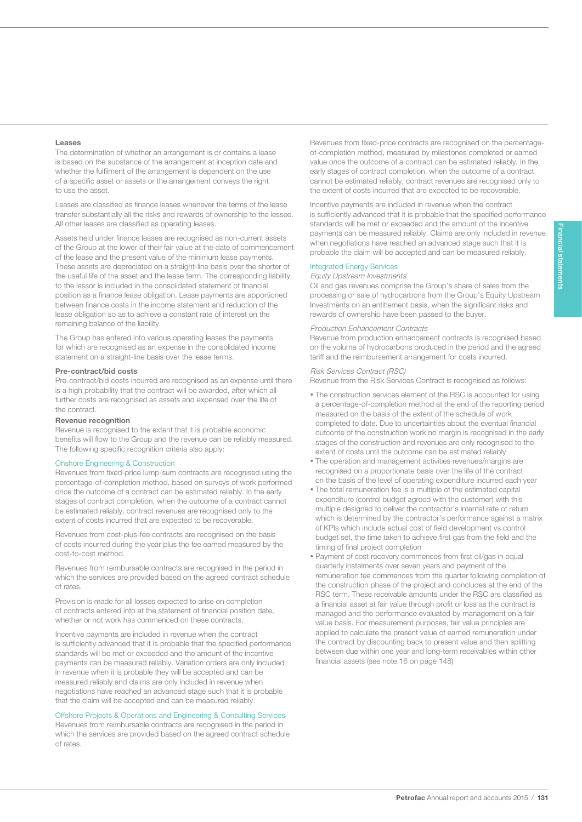#### Leases

131

The determination of whether an arrangement is or contains a lease is based on the substance of the arrangement at inception date and whether the fulfilment of the arrangement is dependent on the use of a specific asset or assets or the arrangement conveys the right to use the asset.

Leases are classified as finance leases whenever the terms of the lease transfer substantially all the risks and rewards of ownership to the lessee. All other leases are classified as operating leases.

Assets held under finance leases are recognised as non-current assets of the Group at the lower of their fair value at the date of commencement of the lease and the present value of the minimum lease payments. These assets are depreciated on a straight-line basis over the shorter of the useful life of the asset and the lease term. The corresponding liability to the lessor is included in the consolidated statement of financial position as a finance lease obligation. Lease payments are apportioned between finance costs in the income statement and reduction of the lease obligation so as to achieve a constant rate of interest on the remaining balance of the liability.

The Group has entered into various operating leases the payments for which are recognised as an expense in the consolidated income statement on a straight-line basis over the lease terms.

#### Pre-contract/bid costs

Pre-contract/bid costs incurred are recognised as an expense until there is a high probability that the contract will be awarded, after which all further costs are recognised as assets and expensed over the life of the contract.

#### Revenue recognition

Revenue is recognised to the extent that it is probable economic benefits will flow to the Group and the revenue can be reliably measured. The following specific recognition criteria also apply:

#### Onshore Engineering & Construction

Revenues from fixed-price lump-sum contracts are recognised using the percentage-of-completion method, based on surveys of work performed once the outcome of a contract can be estimated reliably. In the early stages of contract completion, when the outcome of a contract cannot be estimated reliably, contract revenues are recognised only to the extent of costs incurred that are expected to be recoverable.

Revenues from cost-plus-fee contracts are recognised on the basis of costs incurred during the year plus the fee earned measured by the cost-to-cost method.

Revenues from reimbursable contracts are recognised in the period in which the services are provided based on the agreed contract schedule of rates.

Provision is made for all losses expected to arise on completion of contracts entered into at the statement of financial position date, whether or not work has commenced on these contracts.

Incentive payments are included in revenue when the contract is sufficiently advanced that it is probable that the specified performance standards will be met or exceeded and the amount of the incentive payments can be measured reliably. Variation orders are only included in revenue when it is probable they will be accepted and can be measured reliably and claims are only included in revenue when negotiations have reached an advanced stage such that it is probable that the claim will be accepted and can be measured reliably.

#### Offshore Projects & Operations and Engineering & Consulting Services

Revenues from reimbursable contracts are recognised in the period in which the services are provided based on the agreed contract schedule of rates.

Revenues from fixed-price contracts are recognised on the percentageof-completion method, measured by milestones completed or earned value once the outcome of a contract can be estimated reliably. In the early stages of contract completion, when the outcome of a contract cannot be estimated reliably, contract revenues are recognised only to the extent of costs incurred that are expected to be recoverable.

Incentive payments are included in revenue when the contract is sufficiently advanced that it is probable that the specified performance standards will be met or exceeded and the amount of the incentive payments can be measured reliably. Claims are only included in revenue when negotiations have reached an advanced stage such that it is probable the claim will be accepted and can be measured reliably.

#### Integrated Energy Services

Equity Upstream Investments

Oil and gas revenues comprise the Group's share of sales from the processing or sale of hydrocarbons from the Group's Equity Upstream Investments on an entitlement basis, when the significant risks and rewards of ownership have been passed to the buyer.

#### Production Enhancement Contracts

Revenue from production enhancement contracts is recognised based on the volume of hydrocarbons produced in the period and the agreed tariff and the reimbursement arrangement for costs incurred.

#### Risk Services Contract (RSC)

Revenue from the Risk Services Contract is recognised as follows:

- The construction services element of the RSC is accounted for using a percentage-of-completion method at the end of the reporting period measured on the basis of the extent of the schedule of work completed to date. Due to uncertainties about the eventual financial outcome of the construction work no margin is recognised in the early stages of the construction and revenues are only recognised to the extent of costs until the outcome can be estimated reliably
- The operation and management activities revenues/margins are recognised on a proportionate basis over the life of the contract on the basis of the level of operating expenditure incurred each year
- The total remuneration fee is a multiple of the estimated capital expenditure (control budget agreed with the customer) with this multiple designed to deliver the contractor's internal rate of return which is determined by the contractor's performance against a matrix of KPIs which include actual cost of field development vs control budget set, the time taken to achieve first gas from the field and the timing of final project completion
- Payment of cost recovery commences from first oil/gas in equal quarterly instalments over seven years and payment of the remuneration fee commences from the quarter following completion of the construction phase of the project and concludes at the end of the RSC term. These receivable amounts under the RSC are classified as a financial asset at fair value through profit or loss as the contract is managed and the performance evaluated by management on a fair value basis. For measurement purposes, fair value principles are applied to calculate the present value of earned remuneration under the contract by discounting back to present value and then splitting between due within one year and long-term receivables within other financial assets (see note 16 on page 148)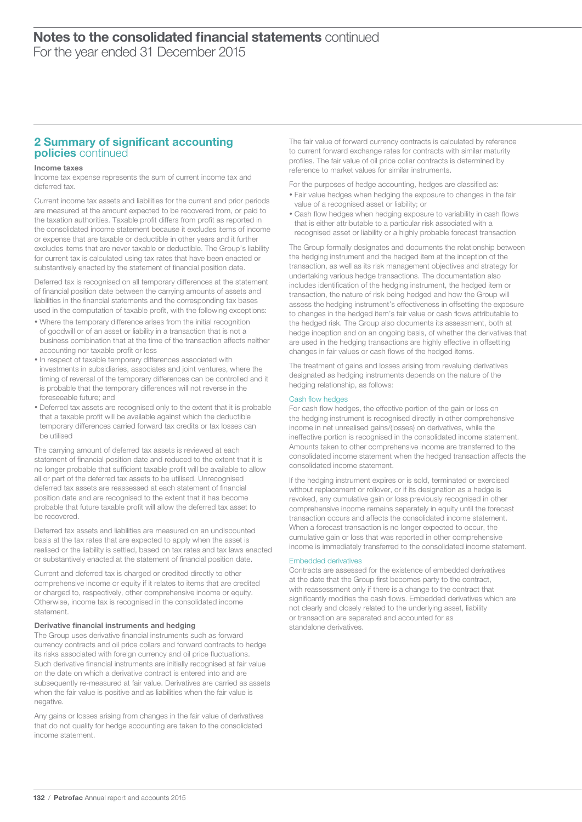### 2 Summary of significant accounting policies continued

#### Income taxes

Income tax expense represents the sum of current income tax and deferred tax.

Current income tax assets and liabilities for the current and prior periods are measured at the amount expected to be recovered from, or paid to the taxation authorities. Taxable profit differs from profit as reported in the consolidated income statement because it excludes items of income or expense that are taxable or deductible in other years and it further excludes items that are never taxable or deductible. The Group's liability for current tax is calculated using tax rates that have been enacted or substantively enacted by the statement of financial position date.

Deferred tax is recognised on all temporary differences at the statement of financial position date between the carrying amounts of assets and liabilities in the financial statements and the corresponding tax bases used in the computation of taxable profit, with the following exceptions:

- Where the temporary difference arises from the initial recognition of goodwill or of an asset or liability in a transaction that is not a business combination that at the time of the transaction affects neither accounting nor taxable profit or loss
- In respect of taxable temporary differences associated with investments in subsidiaries, associates and joint ventures, where the timing of reversal of the temporary differences can be controlled and it is probable that the temporary differences will not reverse in the foreseeable future; and
- Deferred tax assets are recognised only to the extent that it is probable that a taxable profit will be available against which the deductible temporary differences carried forward tax credits or tax losses can be utilised

The carrying amount of deferred tax assets is reviewed at each statement of financial position date and reduced to the extent that it is no longer probable that sufficient taxable profit will be available to allow all or part of the deferred tax assets to be utilised. Unrecognised deferred tax assets are reassessed at each statement of financial position date and are recognised to the extent that it has become probable that future taxable profit will allow the deferred tax asset to be recovered.

Deferred tax assets and liabilities are measured on an undiscounted basis at the tax rates that are expected to apply when the asset is realised or the liability is settled, based on tax rates and tax laws enacted or substantively enacted at the statement of financial position date.

Current and deferred tax is charged or credited directly to other comprehensive income or equity if it relates to items that are credited or charged to, respectively, other comprehensive income or equity. Otherwise, income tax is recognised in the consolidated income statement.

#### Derivative financial instruments and hedging

The Group uses derivative financial instruments such as forward currency contracts and oil price collars and forward contracts to hedge its risks associated with foreign currency and oil price fluctuations. Such derivative financial instruments are initially recognised at fair value on the date on which a derivative contract is entered into and are subsequently re-measured at fair value. Derivatives are carried as assets when the fair value is positive and as liabilities when the fair value is negative.

Any gains or losses arising from changes in the fair value of derivatives that do not qualify for hedge accounting are taken to the consolidated income statement.

The fair value of forward currency contracts is calculated by reference to current forward exchange rates for contracts with similar maturity profiles. The fair value of oil price collar contracts is determined by reference to market values for similar instruments.

For the purposes of hedge accounting, hedges are classified as:

- Fair value hedges when hedging the exposure to changes in the fair value of a recognised asset or liability; or
- Cash flow hedges when hedging exposure to variability in cash flows that is either attributable to a particular risk associated with a recognised asset or liability or a highly probable forecast transaction

The Group formally designates and documents the relationship between the hedging instrument and the hedged item at the inception of the transaction, as well as its risk management objectives and strategy for undertaking various hedge transactions. The documentation also includes identification of the hedging instrument, the hedged item or transaction, the nature of risk being hedged and how the Group will assess the hedging instrument's effectiveness in offsetting the exposure to changes in the hedged item's fair value or cash flows attributable to the hedged risk. The Group also documents its assessment, both at hedge inception and on an ongoing basis, of whether the derivatives that are used in the hedging transactions are highly effective in offsetting changes in fair values or cash flows of the hedged items.

The treatment of gains and losses arising from revaluing derivatives designated as hedging instruments depends on the nature of the hedging relationship, as follows:

#### Cash flow hedges

For cash flow hedges, the effective portion of the gain or loss on the hedging instrument is recognised directly in other comprehensive income in net unrealised gains/(losses) on derivatives, while the ineffective portion is recognised in the consolidated income statement. Amounts taken to other comprehensive income are transferred to the consolidated income statement when the hedged transaction affects the consolidated income statement.

If the hedging instrument expires or is sold, terminated or exercised without replacement or rollover, or if its designation as a hedge is revoked, any cumulative gain or loss previously recognised in other comprehensive income remains separately in equity until the forecast transaction occurs and affects the consolidated income statement. When a forecast transaction is no longer expected to occur, the cumulative gain or loss that was reported in other comprehensive income is immediately transferred to the consolidated income statement.

#### Embedded derivatives

Contracts are assessed for the existence of embedded derivatives at the date that the Group first becomes party to the contract, with reassessment only if there is a change to the contract that significantly modifies the cash flows. Embedded derivatives which are not clearly and closely related to the underlying asset, liability or transaction are separated and accounted for as standalone derivatives.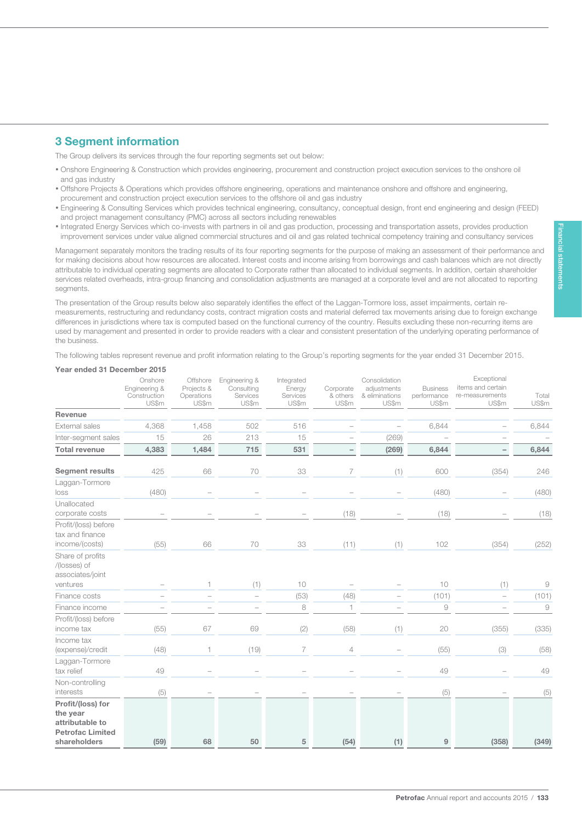# 3 Segment information

133

The Group delivers its services through the four reporting segments set out below:

- Onshore Engineering & Construction which provides engineering, procurement and construction project execution services to the onshore oil and gas industry
- Offshore Projects & Operations which provides offshore engineering, operations and maintenance onshore and offshore and engineering, procurement and construction project execution services to the offshore oil and gas industry
- Engineering & Consulting Services which provides technical engineering, consultancy, conceptual design, front end engineering and design (FEED) and project management consultancy (PMC) across all sectors including renewables
- Integrated Energy Services which co-invests with partners in oil and gas production, processing and transportation assets, provides production improvement services under value aligned commercial structures and oil and gas related technical competency training and consultancy services

Management separately monitors the trading results of its four reporting segments for the purpose of making an assessment of their performance and for making decisions about how resources are allocated. Interest costs and income arising from borrowings and cash balances which are not directly attributable to individual operating segments are allocated to Corporate rather than allocated to individual segments. In addition, certain shareholder services related overheads, intra-group financing and consolidation adjustments are managed at a corporate level and are not allocated to reporting segments

The presentation of the Group results below also separately identifies the effect of the Laggan-Tormore loss, asset impairments, certain remeasurements, restructuring and redundancy costs, contract migration costs and material deferred tax movements arising due to foreign exchange differences in jurisdictions where tax is computed based on the functional currency of the country. Results excluding these non-recurring items are used by management and presented in order to provide readers with a clear and consistent presentation of the underlying operating performance of the business.

The following tables represent revenue and profit information relating to the Group's reporting segments for the year ended 31 December 2015.

### Year ended 31 December 2015

|                                                                                             | Onshore<br>Engineering &<br>Construction<br>US\$m | Offshore<br>Projects &<br>Operations<br>US\$m | Engineering &<br>Consulting<br>Services<br>US\$m | Integrated<br>Energy<br>Services<br>US\$m | Corporate<br>& others<br>US\$m | Consolidation<br>adjustments<br>& eliminations<br>US\$m | <b>Business</b><br>performance<br>US\$m | Exceptional<br>items and certain<br>re-measurements<br>US\$m | Total<br>US\$m |
|---------------------------------------------------------------------------------------------|---------------------------------------------------|-----------------------------------------------|--------------------------------------------------|-------------------------------------------|--------------------------------|---------------------------------------------------------|-----------------------------------------|--------------------------------------------------------------|----------------|
| Revenue                                                                                     |                                                   |                                               |                                                  |                                           |                                |                                                         |                                         |                                                              |                |
| External sales                                                                              | 4,368                                             | 1,458                                         | 502                                              | 516                                       | $\overline{a}$                 | $\overline{\phantom{0}}$                                | 6,844                                   |                                                              | 6,844          |
| Inter-segment sales                                                                         | 15                                                | 26                                            | 213                                              | 15                                        |                                | (269)                                                   |                                         |                                                              |                |
| <b>Total revenue</b>                                                                        | 4,383                                             | 1,484                                         | 715                                              | 531                                       | $\qquad \qquad -$              | (269)                                                   | 6,844                                   | $\overline{\phantom{0}}$                                     | 6,844          |
| <b>Segment results</b>                                                                      | 425                                               | 66                                            | 70                                               | 33                                        | $\overline{7}$                 | (1)                                                     | 600                                     | (354)                                                        | 246            |
| Laggan-Tormore<br>loss                                                                      | (480)                                             |                                               |                                                  |                                           |                                |                                                         | (480)                                   |                                                              | (480)          |
| Unallocated<br>corporate costs                                                              |                                                   |                                               |                                                  |                                           | (18)                           |                                                         | (18)                                    |                                                              | (18)           |
| Profit/(loss) before<br>tax and finance<br>income/(costs)                                   | (55)                                              | 66                                            | 70                                               | 33                                        | (11)                           | (1)                                                     | 102                                     | (354)                                                        | (252)          |
| Share of profits<br>/(losses) of<br>associates/joint<br>ventures                            |                                                   | 1                                             | (1)                                              | 10                                        |                                |                                                         | 10                                      | (1)                                                          | 9              |
| Finance costs                                                                               |                                                   |                                               | $\overline{\phantom{a}}$                         | (53)                                      | (48)                           |                                                         | (101)                                   | $\overline{a}$                                               | (101)          |
| Finance income                                                                              |                                                   |                                               |                                                  | 8                                         | 1                              |                                                         | 9                                       |                                                              | 9              |
| Profit/(loss) before<br>income tax                                                          | (55)                                              | 67                                            | 69                                               | (2)                                       | (58)                           | (1)                                                     | 20                                      | (355)                                                        | (335)          |
| Income tax<br>(expense)/credit                                                              | (48)                                              | 1                                             | (19)                                             | $\overline{7}$                            | $\overline{4}$                 |                                                         | (55)                                    | (3)                                                          | (58)           |
| Laggan-Tormore<br>tax relief                                                                | 49                                                |                                               |                                                  |                                           |                                |                                                         | 49                                      |                                                              | 49             |
| Non-controlling<br>interests                                                                | (5)                                               |                                               |                                                  |                                           |                                |                                                         | (5)                                     |                                                              | (5)            |
| Profit/(loss) for<br>the year<br>attributable to<br><b>Petrofac Limited</b><br>shareholders | (59)                                              | 68                                            | 50                                               | 5                                         | (54)                           | (1)                                                     | 9                                       | (358)                                                        | (349)          |

Petrofac Annual report and accounts 2015 / 133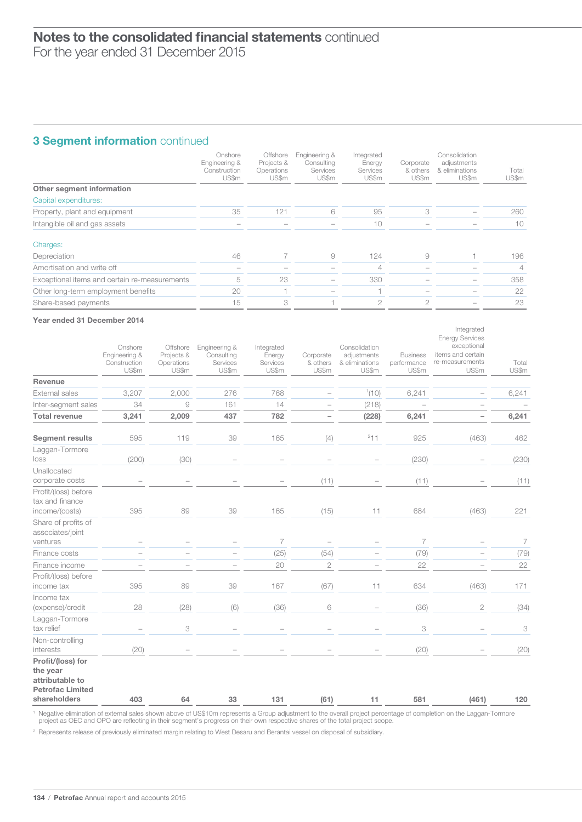# 134 Notes to the consolidated financial statements continued

For the year ended 31 December 2015

# 3 Segment information continued

|                                               | Onshore<br>Engineering &<br>Construction<br>US\$m | Offshore<br>Projects &<br>Operations<br>US\$m | Engineering &<br>Consulting<br>Services<br>US\$m | Integrated<br>Energy<br>Services<br>US\$m | Corporate<br>& others<br>US\$m | Consolidation<br>adjustments<br>& eliminations<br>US\$m | Total<br>US\$m |
|-----------------------------------------------|---------------------------------------------------|-----------------------------------------------|--------------------------------------------------|-------------------------------------------|--------------------------------|---------------------------------------------------------|----------------|
| Other segment information                     |                                                   |                                               |                                                  |                                           |                                |                                                         |                |
| Capital expenditures:                         |                                                   |                                               |                                                  |                                           |                                |                                                         |                |
| Property, plant and equipment                 | 35                                                | 121                                           | 6                                                | 95                                        | 3                              |                                                         | 260            |
| Intangible oil and gas assets                 |                                                   |                                               |                                                  | 10                                        |                                |                                                         | 10             |
| Charges:                                      |                                                   |                                               |                                                  |                                           |                                |                                                         |                |
| Depreciation                                  | 46                                                |                                               | 9                                                | 124                                       | 9                              |                                                         | 196            |
| Amortisation and write off                    |                                                   |                                               |                                                  | 4                                         |                                |                                                         | 4              |
| Exceptional items and certain re-measurements | 5                                                 | 23                                            |                                                  | 330                                       |                                |                                                         | 358            |
| Other long-term employment benefits           | 20                                                |                                               |                                                  |                                           |                                |                                                         | 22             |
| Share-based payments                          | 15                                                | 3                                             |                                                  | $\mathcal{D}$                             | ◠                              |                                                         | 23             |

#### Year ended 31 December 2014

|                                                                                             | Onshore<br>Engineering &<br>Construction<br>US\$m | Offshore<br>Projects &<br>Operations<br>US\$m             | Engineering &<br>Consulting<br>Services<br>US\$m | Integrated<br>Energy<br>Services<br>US\$m | Corporate<br>& others<br>US\$m | Consolidation<br>adjustments<br>& eliminations<br>US\$m | <b>Business</b><br>performance<br>US\$m | Integrated<br><b>Energy Services</b><br>exceptional<br>items and certain<br>re-measurements<br>US\$m | Total<br>US\$m |
|---------------------------------------------------------------------------------------------|---------------------------------------------------|-----------------------------------------------------------|--------------------------------------------------|-------------------------------------------|--------------------------------|---------------------------------------------------------|-----------------------------------------|------------------------------------------------------------------------------------------------------|----------------|
| <b>Revenue</b>                                                                              |                                                   |                                                           |                                                  |                                           |                                |                                                         |                                         |                                                                                                      |                |
| External sales                                                                              | 3,207                                             | 2,000                                                     | 276                                              | 768                                       |                                | 1(10)                                                   | 6,241                                   |                                                                                                      | 6,241          |
| Inter-segment sales                                                                         | 34                                                | $\mathcal{G}% _{M_{1},M_{2}}^{\alpha,\beta}(\mathcal{G})$ | 161                                              | 14                                        |                                | (218)                                                   |                                         |                                                                                                      |                |
| <b>Total revenue</b>                                                                        | 3,241                                             | 2,009                                                     | 437                                              | 782                                       | -                              | (228)                                                   | 6,241                                   |                                                                                                      | 6,241          |
| <b>Segment results</b>                                                                      | 595                                               | 119                                                       | 39                                               | 165                                       | (4)                            | 211                                                     | 925                                     | (463)                                                                                                | 462            |
| Laggan-Tormore<br>loss                                                                      | (200)                                             | (30)                                                      | $\overline{\phantom{0}}$                         |                                           | $\overline{\phantom{a}}$       | $\overline{\phantom{0}}$                                | (230)                                   |                                                                                                      | (230)          |
| Unallocated<br>corporate costs                                                              |                                                   |                                                           |                                                  |                                           | (11)                           |                                                         | (11)                                    |                                                                                                      | (11)           |
| Profit/(loss) before<br>tax and finance<br>income/(costs)                                   | 395                                               | 89                                                        | 39                                               | 165                                       | (15)                           | 11                                                      | 684                                     | (463)                                                                                                | 221            |
| Share of profits of<br>associates/joint<br>ventures                                         |                                                   |                                                           | $\overline{\phantom{0}}$                         | $\overline{7}$                            | $\overline{a}$                 | $\overline{\phantom{0}}$                                | $\overline{7}$                          | $\overline{\phantom{0}}$                                                                             | 7              |
| Finance costs                                                                               |                                                   |                                                           | $\overline{\phantom{0}}$                         | (25)                                      | (54)                           |                                                         | (79)                                    |                                                                                                      | (79)           |
| Finance income                                                                              |                                                   |                                                           |                                                  | 20                                        | $\mathbf{2}$                   |                                                         | 22                                      |                                                                                                      | 22             |
| Profit/(loss) before<br>income tax                                                          | 395                                               | 89                                                        | 39                                               | 167                                       | (67)                           | 11                                                      | 634                                     | (463)                                                                                                | 171            |
| Income tax<br>(expense)/credit                                                              | 28                                                | (28)                                                      | (6)                                              | (36)                                      | 6                              |                                                         | (36)                                    | $\mathbf{2}$                                                                                         | (34)           |
| Laggan-Tormore<br>tax relief                                                                |                                                   | 3                                                         |                                                  |                                           |                                |                                                         | 3                                       |                                                                                                      | 3              |
| Non-controlling<br>interests                                                                | (20)                                              |                                                           |                                                  |                                           |                                |                                                         | (20)                                    |                                                                                                      | (20)           |
| Profit/(loss) for<br>the year<br>attributable to<br><b>Petrofac Limited</b><br>shareholders | 403                                               | 64                                                        | 33                                               | 131                                       | (61)                           | 11                                                      | 581                                     | (461)                                                                                                | 120            |

1 Negative elimination of external sales shown above of US\$10m represents a Group adjustment to the overall project percentage of completion on the Laggan-Tormore<br>project as OEC and OPO are reflecting in their segment's pr

<sup>2</sup> Represents release of previously eliminated margin relating to West Desaru and Berantai vessel on disposal of subsidiary.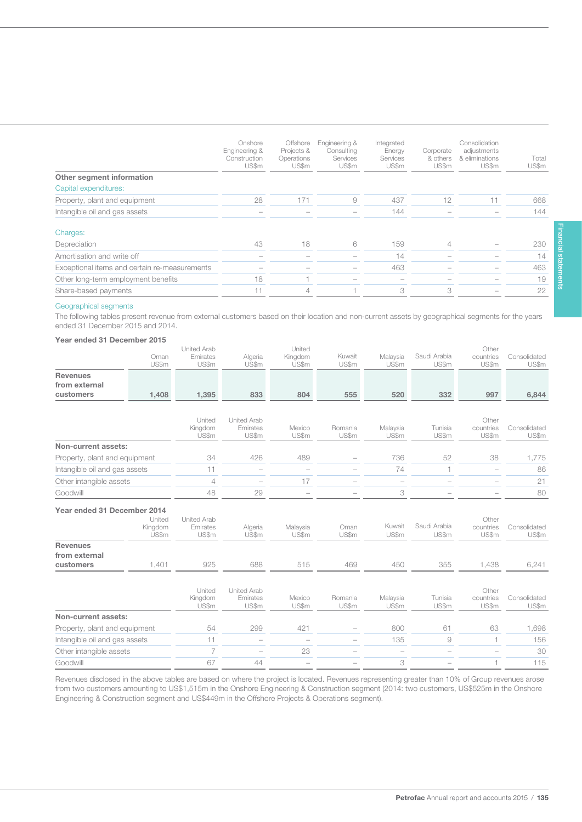|                                               | Onshore<br>Engineering &<br>Construction<br>US\$m | Offshore<br>Projects &<br>Operations<br>US\$m | Engineering &<br>Consultina<br>Services<br>US\$m | Integrated<br>Energy<br>Services<br>US\$m | Corporate<br>& others<br>US\$m | Consolidation<br>adjustments<br>& eliminations<br>US\$m | Total<br>US\$m |
|-----------------------------------------------|---------------------------------------------------|-----------------------------------------------|--------------------------------------------------|-------------------------------------------|--------------------------------|---------------------------------------------------------|----------------|
| Other segment information                     |                                                   |                                               |                                                  |                                           |                                |                                                         |                |
| Capital expenditures:                         |                                                   |                                               |                                                  |                                           |                                |                                                         |                |
| Property, plant and equipment                 | 28                                                | 171                                           | 9                                                | 437                                       | 12                             |                                                         | 668            |
| Intangible oil and gas assets                 | $\hspace{0.1mm}-\hspace{0.1mm}$                   |                                               |                                                  | 144                                       |                                |                                                         | 144            |
| Charges:                                      |                                                   |                                               |                                                  |                                           |                                |                                                         |                |
| Depreciation                                  | 43                                                | 18                                            | 6                                                | 159                                       | $\overline{4}$                 |                                                         | 230            |
| Amortisation and write off                    |                                                   |                                               |                                                  | 14                                        |                                |                                                         | 14             |
| Exceptional items and certain re-measurements |                                                   |                                               |                                                  | 463                                       |                                |                                                         | 463            |
| Other long-term employment benefits           | 18                                                |                                               |                                                  |                                           |                                |                                                         | 19             |
| Share-based payments                          | $-1$                                              | 4                                             |                                                  | 3                                         | 3                              |                                                         | 22             |

#### Geographical segments

135

The following tables present revenue from external customers based on their location and non-current assets by geographical segments for the years ended 31 December 2015 and 2014.

#### Year ended 31 December 2015

|                               | Oman             | United Arab<br>Emirates | Algeria                        | United<br>Kingdom        | Kuwait           | Malaysia                 | Saudi Arabia          | Other<br>countries       | Consolidated          |
|-------------------------------|------------------|-------------------------|--------------------------------|--------------------------|------------------|--------------------------|-----------------------|--------------------------|-----------------------|
|                               | US\$m            | US\$m                   | US\$m                          | US\$m                    | US\$m            | US\$m                    | US\$m                 | US\$m                    | US\$m                 |
| <b>Revenues</b>               |                  |                         |                                |                          |                  |                          |                       |                          |                       |
| from external                 |                  |                         |                                |                          |                  |                          |                       |                          |                       |
| customers                     | 1,408            | 1,395                   | 833                            | 804                      | 555              | 520                      | 332                   | 997                      | 6,844                 |
|                               |                  |                         |                                |                          |                  |                          |                       |                          |                       |
|                               |                  | United                  | <b>United Arab</b>             |                          |                  |                          |                       | Other                    | Consolidated          |
|                               |                  | Kingdom<br>US\$m        | Emirates<br>US\$m              | Mexico<br>US\$m          | Romania<br>US\$m | Malaysia<br>US\$m        | Tunisia<br>US\$m      | countries<br>US\$m       | US\$m                 |
| Non-current assets:           |                  |                         |                                |                          |                  |                          |                       |                          |                       |
| Property, plant and equipment |                  | 34                      | 426                            | 489                      |                  | 736                      | 52                    | 38                       | 1,775                 |
| Intangible oil and gas assets |                  | 11                      | $\overline{\phantom{0}}$       | $\overline{\phantom{0}}$ |                  | 74                       | $\mathbf{1}$          | $\overline{\phantom{0}}$ | 86                    |
| Other intangible assets       |                  | 4                       |                                | 17                       |                  | $\overline{\phantom{0}}$ |                       |                          | 21                    |
| Goodwill                      |                  | 48                      | 29                             | $\overline{\phantom{0}}$ |                  | 3                        |                       |                          | 80                    |
| Year ended 31 December 2014   |                  |                         |                                |                          |                  |                          |                       |                          |                       |
|                               | United           | <b>United Arab</b>      |                                |                          |                  |                          |                       | Other                    |                       |
|                               | Kingdom<br>US\$m | Emirates<br>US\$m       | Algeria<br>US\$m               | Malaysia<br>US\$m        | Oman<br>US\$m    | Kuwait<br>US\$m          | Saudi Arabia<br>US\$m | countries<br>US\$m       | Consolidated<br>US\$m |
| <b>Revenues</b>               |                  |                         |                                |                          |                  |                          |                       |                          |                       |
| from external                 |                  |                         |                                |                          |                  |                          |                       |                          |                       |
| customers                     | 1,401            | 925                     | 688                            | 515                      | 469              | 450                      | 355                   | 1,438                    | 6,241                 |
|                               |                  |                         |                                |                          |                  |                          |                       |                          |                       |
|                               |                  | United<br>Kingdom       | <b>United Arab</b><br>Emirates | Mexico                   | Romania          | Malaysia                 | Tunisia               | Other<br>countries       | Consolidated          |
|                               |                  | US\$m                   | US\$m                          | US\$m                    | US\$m            | US\$m                    | US\$m                 | US\$m                    | US\$m                 |
| Non-current assets:           |                  |                         |                                |                          |                  |                          |                       |                          |                       |
| Property, plant and equipment |                  | 54                      | 299                            | 421                      |                  | 800                      | 61                    | 63                       | 1,698                 |
| Intangible oil and gas assets |                  | 11                      |                                |                          |                  | 135                      | $\overline{9}$        | $\overline{1}$           | 156                   |
| Other intangible assets       |                  | $\overline{7}$          |                                | 23                       |                  | $\overline{\phantom{0}}$ |                       |                          | 30                    |
| Goodwill                      |                  | 67                      | 44                             |                          |                  | 3                        |                       |                          | 115                   |

Revenues disclosed in the above tables are based on where the project is located. Revenues representing greater than 10% of Group revenues arose from two customers amounting to US\$1,515m in the Onshore Engineering & Construction segment (2014: two customers, US\$525m in the Onshore Engineering & Construction segment and US\$449m in the Offshore Projects & Operations segment).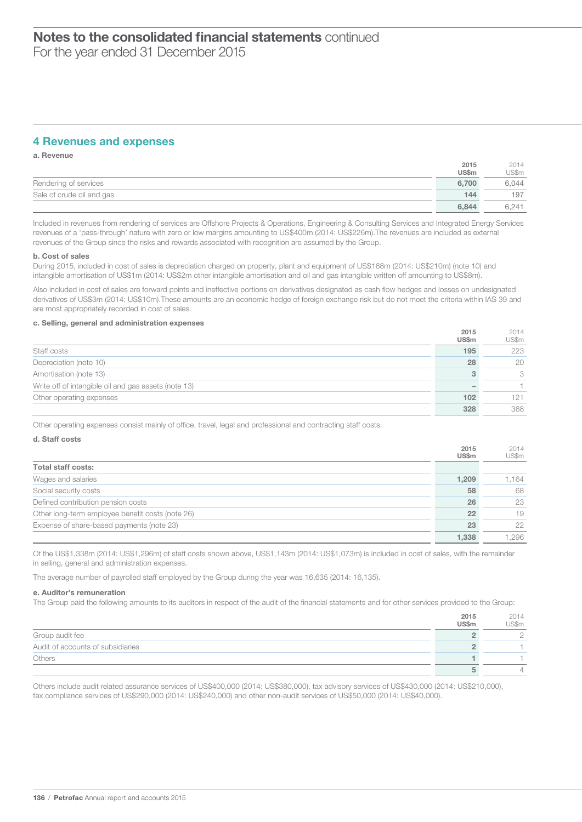### 4 Revenues and expenses

a. Revenue

|                           | 2015  | 2014  |
|---------------------------|-------|-------|
|                           | US\$m | US\$m |
| Rendering of services     | 6.700 | 6,044 |
| Sale of crude oil and gas | 144   | 197   |
|                           | 6.844 | 6.241 |

Included in revenues from rendering of services are Offshore Projects & Operations, Engineering & Consulting Services and Integrated Energy Services revenues of a 'pass-through' nature with zero or low margins amounting to US\$400m (2014: US\$226m).The revenues are included as external revenues of the Group since the risks and rewards associated with recognition are assumed by the Group.

#### b. Cost of sales

During 2015, included in cost of sales is depreciation charged on property, plant and equipment of US\$168m (2014: US\$210m) (note 10) and intangible amortisation of US\$1m (2014: US\$2m other intangible amortisation and oil and gas intangible written off amounting to US\$8m).

Also included in cost of sales are forward points and ineffective portions on derivatives designated as cash flow hedges and losses on undesignated derivatives of US\$3m (2014: US\$10m).These amounts are an economic hedge of foreign exchange risk but do not meet the criteria within IAS 39 and are most appropriately recorded in cost of sales.

#### c. Selling, general and administration expenses

|                                                      | 2015<br><b>US\$m</b> | 2014<br>US\$m |
|------------------------------------------------------|----------------------|---------------|
| Staff costs                                          | 195                  | 223           |
| Depreciation (note 10)                               | 28                   | 20            |
| Amortisation (note 13)                               |                      | 3             |
| Write off of intangible oil and gas assets (note 13) |                      |               |
| Other operating expenses                             | 102                  | 121           |
|                                                      | 328                  | 368           |

Other operating expenses consist mainly of office, travel, legal and professional and contracting staff costs.

#### d. Staff costs

|                                                  | 2015<br><b>US\$m</b> | 2014<br>US\$m |
|--------------------------------------------------|----------------------|---------------|
| <b>Total staff costs:</b>                        |                      |               |
| Wages and salaries                               | 1,209                | 1,164         |
| Social security costs                            | 58                   | 68            |
| Defined contribution pension costs               | 26                   | 23            |
| Other long-term employee benefit costs (note 26) | 22                   | 19            |
| Expense of share-based payments (note 23)        | 23                   | 22            |
|                                                  | 1.338                | .296          |

Of the US\$1,338m (2014: US\$1,296m) of staff costs shown above, US\$1,143m (2014: US\$1,073m) is included in cost of sales, with the remainder in selling, general and administration expenses.

The average number of payrolled staff employed by the Group during the year was 16,635 (2014: 16,135).

#### e. Auditor's remuneration

The Group paid the following amounts to its auditors in respect of the audit of the financial statements and for other services provided to the Group:

|                                   | 2015<br>US\$m | 2014<br>US\$m |
|-----------------------------------|---------------|---------------|
| Group audit fee                   |               | ∩             |
| Audit of accounts of subsidiaries |               |               |
| Others                            |               |               |
|                                   |               | 4             |

Others include audit related assurance services of US\$400,000 (2014: US\$380,000), tax advisory services of US\$430,000 (2014: US\$210,000), tax compliance services of US\$290,000 (2014: US\$240,000) and other non-audit services of US\$50,000 (2014: US\$40,000).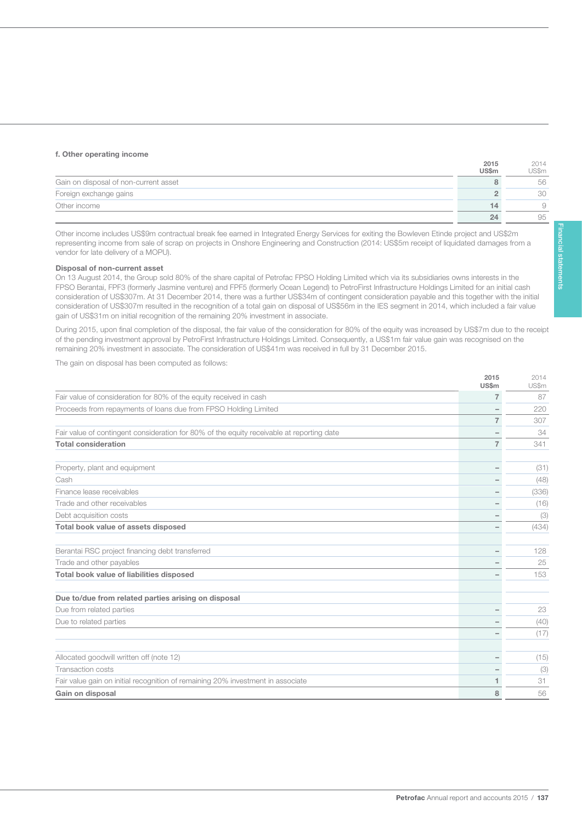#### f. Other operating income

137

|                                       | ----<br><b>US\$m</b> | _____<br>US\$m |
|---------------------------------------|----------------------|----------------|
| Gain on disposal of non-current asset |                      | 56             |
| Foreign exchange gains                |                      | 30             |
| Other income                          | ه ۱                  |                |
|                                       | 24                   | 95             |

Other income includes US\$9m contractual break fee earned in Integrated Energy Services for exiting the Bowleven Etinde project and US\$2m representing income from sale of scrap on projects in Onshore Engineering and Construction (2014: US\$5m receipt of liquidated damages from a vendor for late delivery of a MOPU).

#### Disposal of non-current asset

On 13 August 2014, the Group sold 80% of the share capital of Petrofac FPSO Holding Limited which via its subsidiaries owns interests in the FPSO Berantai, FPF3 (formerly Jasmine venture) and FPF5 (formerly Ocean Legend) to PetroFirst Infrastructure Holdings Limited for an initial cash consideration of US\$307m. At 31 December 2014, there was a further US\$34m of contingent consideration payable and this together with the initial consideration of US\$307m resulted in the recognition of a total gain on disposal of US\$56m in the IES segment in 2014, which included a fair value gain of US\$31m on initial recognition of the remaining 20% investment in associate.

During 2015, upon final completion of the disposal, the fair value of the consideration for 80% of the equity was increased by US\$7m due to the receipt of the pending investment approval by PetroFirst Infrastructure Holdings Limited. Consequently, a US\$1m fair value gain was recognised on the remaining 20% investment in associate. The consideration of US\$41m was received in full by 31 December 2015.

The gain on disposal has been computed as follows:

|                                                                                           | 2015<br><b>US\$m</b> | 2014<br>US\$m |
|-------------------------------------------------------------------------------------------|----------------------|---------------|
| Fair value of consideration for 80% of the equity received in cash                        | $\overline{7}$       | 87            |
| Proceeds from repayments of loans due from FPSO Holding Limited                           | -                    | 220           |
|                                                                                           | $\overline{7}$       | 307           |
| Fair value of contingent consideration for 80% of the equity receivable at reporting date |                      | 34            |
| <b>Total consideration</b>                                                                | $\overline{7}$       | 341           |
| Property, plant and equipment                                                             |                      | (31)          |
| Cash                                                                                      |                      | (48)          |
| Finance lease receivables                                                                 |                      | (336)         |
| Trade and other receivables                                                               |                      | (16)          |
| Debt acquisition costs                                                                    |                      | (3)           |
| Total book value of assets disposed                                                       |                      | (434)         |
| Berantai RSC project financing debt transferred                                           | ۰                    | 128           |
| Trade and other payables                                                                  |                      | 25            |
| Total book value of liabilities disposed                                                  |                      | 153           |
| Due to/due from related parties arising on disposal                                       |                      |               |
| Due from related parties                                                                  |                      | 23            |
| Due to related parties                                                                    |                      | (40)          |
|                                                                                           |                      | (17)          |
| Allocated goodwill written off (note 12)                                                  | ۰                    | (15)          |
| Transaction costs                                                                         |                      | (3)           |
| Fair value gain on initial recognition of remaining 20% investment in associate           | 1                    | 31            |
| Gain on disposal                                                                          | 8                    | 56            |

 $2014$ 

2015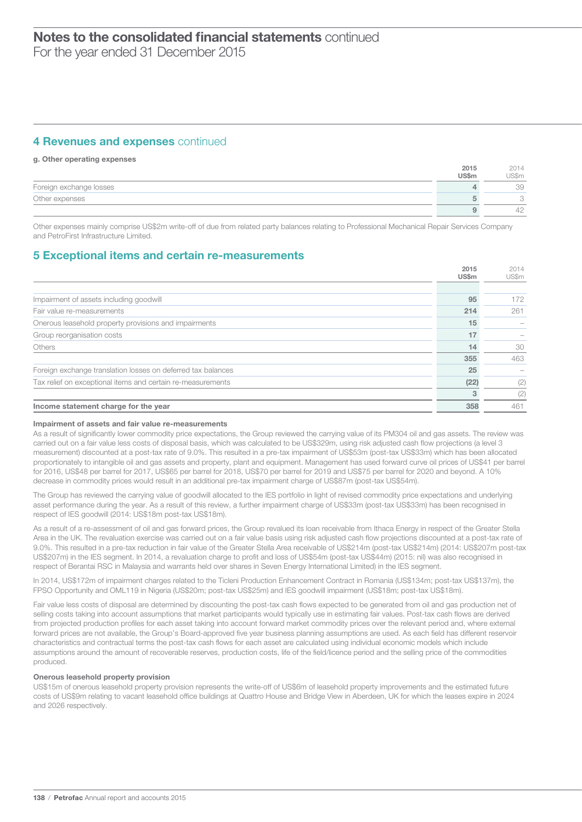### **4 Revenues and expenses continued**

#### g. Other operating expenses

|                         | 2015<br><b>US\$m</b> | 2014<br>US\$m |
|-------------------------|----------------------|---------------|
| Foreign exchange losses |                      | 39            |
| Other expenses          |                      |               |
|                         |                      | 42            |

Other expenses mainly comprise US\$2m write-off of due from related party balances relating to Professional Mechanical Repair Services Company and PetroFirst Infrastructure Limited.

### 5 Exceptional items and certain re-measurements

|                                                              | 2015         | 2014  |
|--------------------------------------------------------------|--------------|-------|
|                                                              | <b>US\$m</b> | US\$m |
|                                                              |              |       |
| Impairment of assets including goodwill                      | 95           | 172   |
| Fair value re-measurements                                   | 214          | 261   |
| Onerous leasehold property provisions and impairments        | 15           |       |
| Group reorganisation costs                                   | 17           |       |
| <b>Others</b>                                                | 14           | 30    |
|                                                              | 355          | 463   |
| Foreign exchange translation losses on deferred tax balances | 25           |       |
| Tax relief on exceptional items and certain re-measurements  | (22)         | (2)   |
|                                                              |              | (2)   |
| Income statement charge for the year                         | 358          | 461   |

#### Impairment of assets and fair value re-measurements

As a result of significantly lower commodity price expectations, the Group reviewed the carrying value of its PM304 oil and gas assets. The review was carried out on a fair value less costs of disposal basis, which was calculated to be US\$329m, using risk adjusted cash flow projections (a level 3 measurement) discounted at a post-tax rate of 9.0%. This resulted in a pre-tax impairment of US\$53m (post-tax US\$33m) which has been allocated proportionately to intangible oil and gas assets and property, plant and equipment. Management has used forward curve oil prices of US\$41 per barrel for 2016, US\$48 per barrel for 2017, US\$65 per barrel for 2018, US\$70 per barrel for 2019 and US\$75 per barrel for 2020 and beyond. A 10% decrease in commodity prices would result in an additional pre-tax impairment charge of US\$87m (post-tax US\$54m).

The Group has reviewed the carrying value of goodwill allocated to the IES portfolio in light of revised commodity price expectations and underlying asset performance during the year. As a result of this review, a further impairment charge of US\$33m (post-tax US\$33m) has been recognised in respect of IES goodwill (2014: US\$18m post-tax US\$18m).

As a result of a re-assessment of oil and gas forward prices, the Group revalued its loan receivable from Ithaca Energy in respect of the Greater Stella Area in the UK. The revaluation exercise was carried out on a fair value basis using risk adjusted cash flow projections discounted at a post-tax rate of 9.0%. This resulted in a pre-tax reduction in fair value of the Greater Stella Area receivable of US\$214m (post-tax US\$214m) (2014: US\$207m post-tax US\$207m) in the IES segment. In 2014, a revaluation charge to profit and loss of US\$54m (post-tax US\$44m) (2015: nil) was also recognised in respect of Berantai RSC in Malaysia and warrants held over shares in Seven Energy International Limited) in the IES segment.

In 2014, US\$172m of impairment charges related to the Ticleni Production Enhancement Contract in Romania (US\$134m; post-tax US\$137m), the FPSO Opportunity and OML119 in Nigeria (US\$20m; post-tax US\$25m) and IES goodwill impairment (US\$18m; post-tax US\$18m).

Fair value less costs of disposal are determined by discounting the post-tax cash flows expected to be generated from oil and gas production net of selling costs taking into account assumptions that market participants would typically use in estimating fair values. Post-tax cash flows are derived from projected production profiles for each asset taking into account forward market commodity prices over the relevant period and, where external forward prices are not available, the Group's Board-approved five year business planning assumptions are used. As each field has different reservoir characteristics and contractual terms the post-tax cash flows for each asset are calculated using individual economic models which include assumptions around the amount of recoverable reserves, production costs, life of the field/licence period and the selling price of the commodities produced.

#### Onerous leasehold property provision

US\$15m of onerous leasehold property provision represents the write-off of US\$6m of leasehold property improvements and the estimated future costs of US\$9m relating to vacant leasehold office buildings at Quattro House and Bridge View in Aberdeen, UK for which the leases expire in 2024 and 2026 respectively.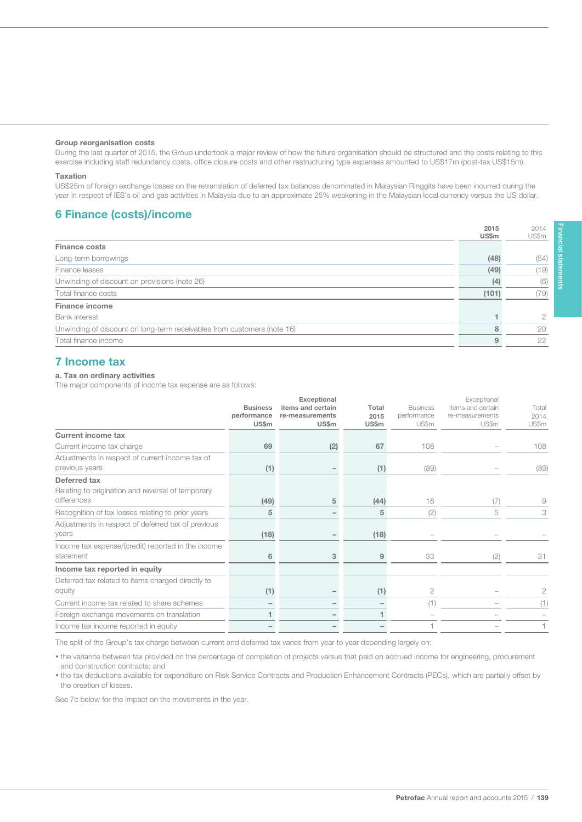#### Group reorganisation costs

During the last quarter of 2015, the Group undertook a major review of how the future organisation should be structured and the costs relating to this exercise including staff redundancy costs, office closure costs and other restructuring type expenses amounted to US\$17m (post-tax US\$15m).

#### Taxation

139

US\$25m of foreign exchange losses on the retranslation of deferred tax balances denominated in Malaysian Ringgits have been incurred during the year in respect of IES's oil and gas activities in Malaysia due to an approximate 25% weakening in the Malaysian local currency versus the US dollar.

### 6 Finance (costs)/income

|                                                                         | 20 I U<br>US\$m | 2014<br>US\$m |
|-------------------------------------------------------------------------|-----------------|---------------|
| <b>Finance costs</b>                                                    |                 |               |
| Long-term borrowings                                                    | (48)            | (54)          |
| Finance leases                                                          | (49)            | 19)           |
| Unwinding of discount on provisions (note 26)                           | (4)             | (6)           |
| Total finance costs                                                     | (101)           | (79)          |
| <b>Finance income</b>                                                   |                 |               |
| <b>Bank interest</b>                                                    |                 | n             |
| Unwinding of discount on long-term receivables from customers (note 16) |                 | 20            |
| Total finance income                                                    |                 | 22            |

# 7 Income tax

#### a. Tax on ordinary activities

The major components of income tax expense are as follows:

|                                                                                  | <b>Business</b><br>performance<br><b>US\$m</b> | Exceptional<br>items and certain<br>re-measurements<br><b>US\$m</b> | Total<br>2015<br><b>US\$m</b> | <b>Business</b><br>performance<br>US\$m | Exceptional<br>items and certain<br>re-measurements<br>US\$m | Total<br>2014<br>US\$m |
|----------------------------------------------------------------------------------|------------------------------------------------|---------------------------------------------------------------------|-------------------------------|-----------------------------------------|--------------------------------------------------------------|------------------------|
| <b>Current income tax</b>                                                        |                                                |                                                                     |                               |                                         |                                                              |                        |
| Current income tax charge                                                        | 69                                             | (2)                                                                 | 67                            | 108                                     |                                                              | 108                    |
| Adjustments in respect of current income tax of<br>previous years                | (1)                                            |                                                                     | (1)                           | (89)                                    |                                                              | (89)                   |
| Deferred tax<br>Relating to origination and reversal of temporary<br>differences | (49)                                           | 5                                                                   | (44)                          | 16                                      | (7)                                                          | 9                      |
| Recognition of tax losses relating to prior years                                | 5                                              |                                                                     | 5                             | (2)                                     | 5                                                            | 3                      |
| Adjustments in respect of deferred tax of previous<br>vears                      | (18)                                           |                                                                     | (18)                          |                                         |                                                              |                        |
| Income tax expense/(credit) reported in the income<br>statement                  | 6                                              | 3                                                                   | 9                             | 33                                      | (2)                                                          | 31                     |
| Income tax reported in equity                                                    |                                                |                                                                     |                               |                                         |                                                              |                        |
| Deferred tax related to items charged directly to<br>equity                      | (1)                                            |                                                                     | (1)                           | 2                                       |                                                              | 2                      |
| Current income tax related to share schemes                                      |                                                |                                                                     |                               | (1)                                     |                                                              | (1)                    |
| Foreign exchange movements on translation                                        |                                                |                                                                     |                               |                                         |                                                              |                        |
| Income tax income reported in equity                                             |                                                |                                                                     |                               |                                         |                                                              |                        |

The split of the Group's tax charge between current and deferred tax varies from year to year depending largely on:

• the variance between tax provided on the percentage of completion of projects versus that paid on accrued income for engineering, procurement and construction contracts; and

• the tax deductions available for expenditure on Risk Service Contracts and Production Enhancement Contracts (PECs), which are partially offset by the creation of losses.

See 7c below for the impact on the movements in the year.

2014

 $2015$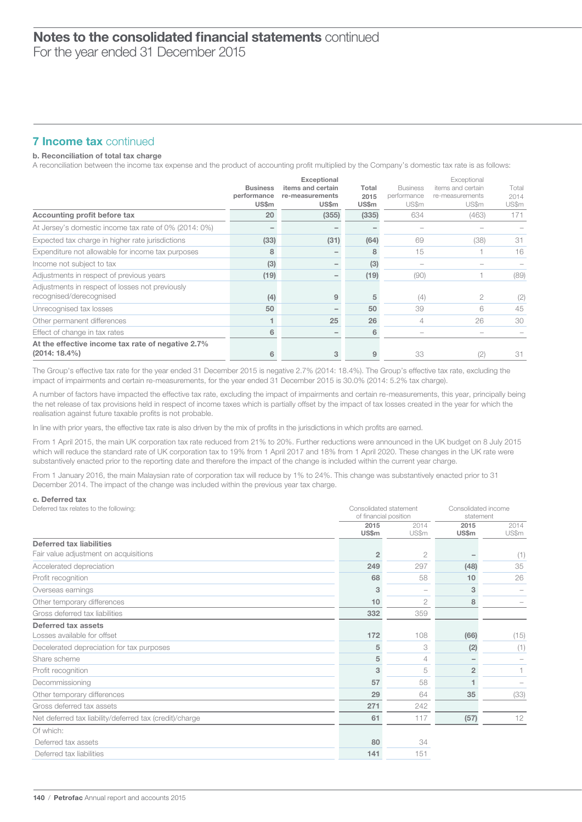# $\overline{\phantom{a}}$ Notes to the consolidated financial statements continued

For the year ended 31 December 2015

### **7 Income tax continued**

#### b. Reconciliation of total tax charge

A reconciliation between the income tax expense and the product of accounting profit multiplied by the Company's domestic tax rate is as follows:

|                                                                            | <b>Business</b><br>performance<br><b>US\$m</b> | Exceptional<br>items and certain<br>re-measurements<br><b>US\$m</b> | Total<br>2015<br><b>US\$m</b> | <b>Business</b><br>performance<br>US\$m | Exceptional<br>items and certain<br>re-measurements<br>US\$m | Total<br>2014<br>US\$m |
|----------------------------------------------------------------------------|------------------------------------------------|---------------------------------------------------------------------|-------------------------------|-----------------------------------------|--------------------------------------------------------------|------------------------|
| Accounting profit before tax                                               | 20                                             | (355)                                                               | (335)                         | 634                                     | (463)                                                        | 171                    |
| At Jersey's domestic income tax rate of 0% (2014: 0%)                      |                                                |                                                                     |                               |                                         |                                                              |                        |
| Expected tax charge in higher rate jurisdictions                           | (33)                                           | (31)                                                                | (64)                          | 69                                      | (38)                                                         | 31                     |
| Expenditure not allowable for income tax purposes                          | 8                                              |                                                                     | 8                             | 15                                      |                                                              | 16                     |
| Income not subject to tax                                                  | (3)                                            |                                                                     | (3)                           |                                         |                                                              |                        |
| Adjustments in respect of previous years                                   | (19)                                           |                                                                     | (19)                          | (90)                                    |                                                              | (89)                   |
| Adjustments in respect of losses not previously<br>recognised/derecognised | (4)                                            | 9                                                                   | 5                             | (4)                                     | 2                                                            | (2)                    |
| Unrecognised tax losses                                                    | 50                                             |                                                                     | 50                            | 39                                      | 6                                                            | 45                     |
| Other permanent differences                                                |                                                | 25                                                                  | 26                            | 4                                       | 26                                                           | 30                     |
| Effect of change in tax rates                                              | 6                                              |                                                                     | 6                             |                                         |                                                              |                        |
| At the effective income tax rate of negative 2.7%<br>$(2014:18.4\%)$       | 6                                              | 3                                                                   |                               | 33                                      | (2)                                                          | 31                     |

The Group's effective tax rate for the year ended 31 December 2015 is negative 2.7% (2014: 18.4%). The Group's effective tax rate, excluding the impact of impairments and certain re-measurements, for the year ended 31 December 2015 is 30.0% (2014: 5.2% tax charge).

A number of factors have impacted the effective tax rate, excluding the impact of impairments and certain re-measurements, this year, principally being the net release of tax provisions held in respect of income taxes which is partially offset by the impact of tax losses created in the year for which the realisation against future taxable profits is not probable.

In line with prior years, the effective tax rate is also driven by the mix of profits in the jurisdictions in which profits are earned.

From 1 April 2015, the main UK corporation tax rate reduced from 21% to 20%. Further reductions were announced in the UK budget on 8 July 2015 which will reduce the standard rate of UK corporation tax to 19% from 1 April 2017 and 18% from 1 April 2020. These changes in the UK rate were substantively enacted prior to the reporting date and therefore the impact of the change is included within the current year charge.

From 1 January 2016, the main Malaysian rate of corporation tax will reduce by 1% to 24%. This change was substantively enacted prior to 31 December 2014. The impact of the change was included within the previous year tax charge.

#### c. Deferred tax

| Deferred tax relates to the following:                  |                | Consolidated statement<br>of financial position |                      | Consolidated income<br>statement |  |
|---------------------------------------------------------|----------------|-------------------------------------------------|----------------------|----------------------------------|--|
|                                                         | 2015<br>US\$m  | 2014<br>US\$m                                   | 2015<br><b>US\$m</b> | 2014<br>US\$m                    |  |
| Deferred tax liabilities                                |                |                                                 |                      |                                  |  |
| Fair value adjustment on acquisitions                   | $\overline{2}$ | 2                                               |                      | (1)                              |  |
| Accelerated depreciation                                | 249            | 297                                             | (48)                 | 35                               |  |
| Profit recognition                                      | 68             | 58                                              | 10                   | 26                               |  |
| Overseas earnings                                       | 3              |                                                 | 3                    |                                  |  |
| Other temporary differences                             | 10             | $\overline{2}$                                  | 8                    |                                  |  |
| Gross deferred tax liabilities                          | 332            | 359                                             |                      |                                  |  |
| Deferred tax assets                                     |                |                                                 |                      |                                  |  |
| Losses available for offset                             | 172            | 108                                             | (66)                 | (15)                             |  |
| Decelerated depreciation for tax purposes               | 5              | 3                                               | (2)                  | (1)                              |  |
| Share scheme                                            | 5              | $\overline{4}$                                  |                      |                                  |  |
| Profit recognition                                      | 3              | 5                                               | $\overline{2}$       |                                  |  |
| Decommissioning                                         | 57             | 58                                              |                      |                                  |  |
| Other temporary differences                             | 29             | 64                                              | 35                   | (33)                             |  |
| Gross deferred tax assets                               | 271            | 242                                             |                      |                                  |  |
| Net deferred tax liability/deferred tax (credit)/charge | 61             | 117                                             | (57)                 | 12                               |  |
| Of which:                                               |                |                                                 |                      |                                  |  |
| Deferred tax assets                                     | 80             | 34                                              |                      |                                  |  |
| Deferred tax liabilities                                | 141            | 151                                             |                      |                                  |  |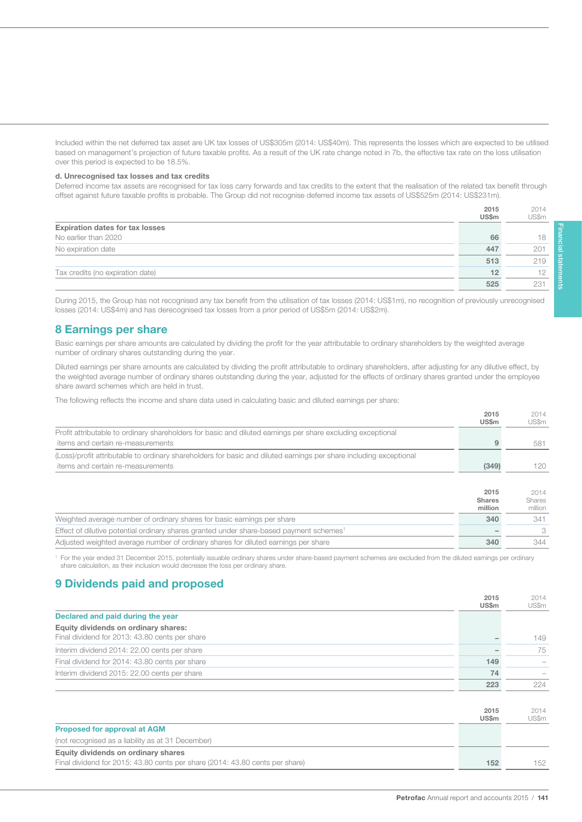Included within the net deferred tax asset are UK tax losses of US\$305m (2014: US\$40m). This represents the losses which are expected to be utilised based on management's projection of future taxable profits. As a result of the UK rate change noted in 7b, the effective tax rate on the loss utilisation over this period is expected to be 18.5%.

#### d. Unrecognised tax losses and tax credits

141

Deferred income tax assets are recognised for tax loss carry forwards and tax credits to the extent that the realisation of the related tax benefit through offset against future taxable profits is probable. The Group did not recognise deferred income tax assets of US\$525m (2014: US\$231m).

|                                        | 2015<br>US\$m | 2014<br>US\$m |
|----------------------------------------|---------------|---------------|
| <b>Expiration dates for tax losses</b> |               |               |
| No earlier than 2020                   | 66            | 18            |
| No expiration date                     | 447           | 201           |
|                                        | 513           | 219           |
| Tax credits (no expiration date)       | 12            |               |
|                                        | 525           | $23 -$        |

During 2015, the Group has not recognised any tax benefit from the utilisation of tax losses (2014: US\$1m), no recognition of previously unrecognised losses (2014: US\$4m) and has derecognised tax losses from a prior period of US\$5m (2014: US\$2m).

### 8 Earnings per share

Basic earnings per share amounts are calculated by dividing the profit for the year attributable to ordinary shareholders by the weighted average number of ordinary shares outstanding during the year.

Diluted earnings per share amounts are calculated by dividing the profit attributable to ordinary shareholders, after adjusting for any dilutive effect, by the weighted average number of ordinary shares outstanding during the year, adjusted for the effects of ordinary shares granted under the employee share award schemes which are held in trust.

The following reflects the income and share data used in calculating basic and diluted earnings per share:

|                                                                                                                                                         | 2015<br><b>US\$m</b>             | 2014<br>US\$m                    |
|---------------------------------------------------------------------------------------------------------------------------------------------------------|----------------------------------|----------------------------------|
| Profit attributable to ordinary shareholders for basic and diluted earnings per share excluding exceptional<br>items and certain re-measurements        | 9                                | 581                              |
| (Loss)/profit attributable to ordinary shareholders for basic and diluted earnings per share including exceptional<br>items and certain re-measurements | (349)                            | 120                              |
|                                                                                                                                                         | 2015<br><b>Shares</b><br>million | 2014<br><b>Shares</b><br>million |
| Weighted average number of ordinary shares for basic earnings per share                                                                                 | 340                              | 341                              |
| Effect of dilutive potential ordinary shares granted under share-based payment schemes <sup>1</sup>                                                     |                                  | 3                                |
| Adjusted weighted average number of ordinary shares for diluted earnings per share                                                                      | 340                              | 344                              |

<sup>1</sup> For the year ended 31 December 2015, potentially issuable ordinary shares under share-based payment schemes are excluded from the diluted earnings per ordinary share calculation, as their inclusion would decrease the loss per ordinary share.

### 9 Dividends paid and proposed

|                                                | 2015<br><b>US\$m</b> | 2014<br>US\$m |
|------------------------------------------------|----------------------|---------------|
| Declared and paid during the year              |                      |               |
| Equity dividends on ordinary shares:           |                      |               |
| Final dividend for 2013: 43.80 cents per share |                      | 149           |
| Interim dividend 2014: 22.00 cents per share   |                      | 75            |
| Final dividend for 2014: 43.80 cents per share | 149                  |               |
| Interim dividend 2015: 22.00 cents per share   | 74                   |               |
|                                                | 223                  | 224           |
|                                                |                      |               |
|                                                | 2015                 | 2014          |

|                                                                              | 2013<br><b>US\$m</b> | 2114<br>US\$m |
|------------------------------------------------------------------------------|----------------------|---------------|
| <b>Proposed for approval at AGM</b>                                          |                      |               |
| (not recognised as a liability as at 31 December)                            |                      |               |
| Equity dividends on ordinary shares                                          |                      |               |
| Final dividend for 2015: 43.80 cents per share (2014: 43.80 cents per share) | 152                  | 152           |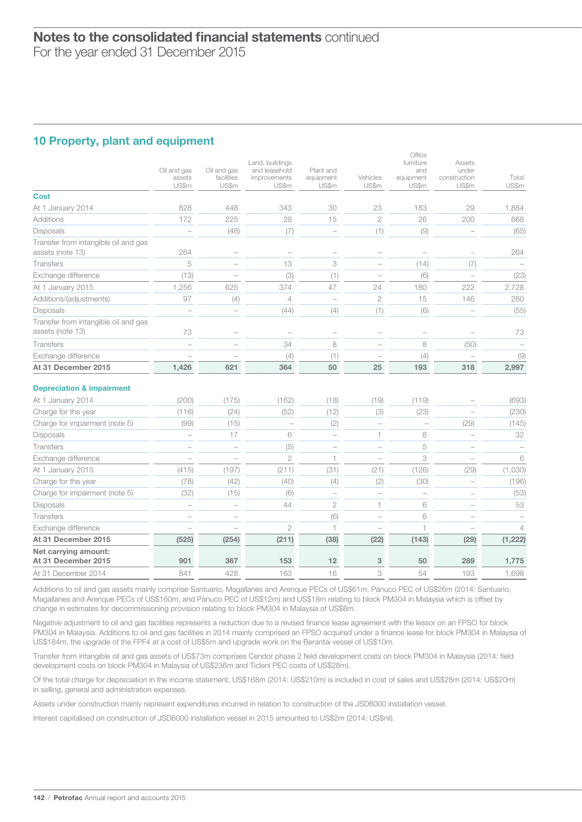# 10 Property, plant and equipment

|                                                          | Oil and gas<br>assets<br>US\$m | Oil and gas<br>facilities<br>US\$m | Land, buildings<br>and leasehold<br>improvements<br>US\$m | Plant and<br>equipment<br>US\$m | Vehicles<br>US\$m        | Office<br>furniture<br>and<br>equipment<br>US\$m | Assets<br>under<br>construction<br>US\$m | Total<br>US\$m |
|----------------------------------------------------------|--------------------------------|------------------------------------|-----------------------------------------------------------|---------------------------------|--------------------------|--------------------------------------------------|------------------------------------------|----------------|
| <b>Cost</b>                                              |                                |                                    |                                                           |                                 |                          |                                                  |                                          |                |
| At 1 January 2014                                        | 828                            | 448                                | 343                                                       | 30                              | 23                       | 183                                              | 29                                       | 1,884          |
| <b>Additions</b>                                         | 172                            | 225                                | 28                                                        | 15                              | $\overline{2}$           | 26                                               | 200                                      | 668            |
| <b>Disposals</b>                                         | $\qquad \qquad -$              | (48)                               | (7)                                                       | $\qquad \qquad -$               | (1)                      | (9)                                              | $\overline{\phantom{0}}$                 | (65)           |
| Transfer from intangible oil and gas<br>assets (note 13) | 264                            | $\overline{\phantom{0}}$           |                                                           | $\overline{\phantom{0}}$        |                          |                                                  | ÷                                        | 264            |
| <b>Transfers</b>                                         | 5                              | $\overline{\phantom{0}}$           | 13                                                        | 3                               | $\overline{\phantom{0}}$ | (14)                                             | (7)                                      |                |
| Exchange difference                                      | (13)                           | $\overline{\phantom{0}}$           | (3)                                                       | (1)                             | $\overline{\phantom{a}}$ | (6)                                              | $\overline{\phantom{0}}$                 | (23)           |
| At 1 January 2015                                        | 1,256                          | 625                                | 374                                                       | 47                              | 24                       | 180                                              | 222                                      | 2,728          |
| Additions/(adjustments)                                  | 97                             | (4)                                | $\overline{4}$                                            | $\overline{a}$                  | $\overline{2}$           | 15                                               | 146                                      | 260            |
| <b>Disposals</b>                                         |                                |                                    | (44)                                                      | (4)                             | (1)                      | (6)                                              | $\overline{\phantom{0}}$                 | (55)           |
| Transfer from intangible oil and gas<br>assets (note 13) | 73                             |                                    |                                                           |                                 |                          |                                                  | $\overline{\phantom{a}}$                 | 73             |
| Transfers                                                | $\overline{a}$                 |                                    | 34                                                        | 8                               | $\overline{\phantom{0}}$ | 8                                                | (50)                                     |                |
| Exchange difference                                      |                                |                                    | (4)                                                       | (1)                             |                          | (4)                                              |                                          | (9)            |
| At 31 December 2015                                      | 1,426                          | 621                                | 364                                                       | 50                              | 25                       | 193                                              | 318                                      | 2,997          |
| <b>Depreciation &amp; impairment</b>                     |                                |                                    |                                                           |                                 |                          |                                                  |                                          |                |
| At 1 January 2014                                        | (200)                          | (175)                              | (162)                                                     | (18)                            | (19)                     | (119)                                            |                                          | (693)          |
| Charge for the year                                      | (116)                          | (24)                               | (52)                                                      | (12)                            | (3)                      | (23)                                             |                                          | (230)          |
| Charge for impairment (note 5)                           | (99)                           | (15)                               | $\overline{a}$                                            | (2)                             | $\overline{a}$           | $\overline{a}$                                   | (29)                                     | (145)          |
| Disposals                                                | $\overline{a}$                 | 17                                 | 6                                                         | $\overline{a}$                  | 1                        | 8                                                | $\overline{\phantom{a}}$                 | 32             |
| <b>Transfers</b>                                         |                                | $\overline{\phantom{0}}$           | (5)                                                       | $\overline{\phantom{a}}$        | $\overline{\phantom{a}}$ | 5                                                | $\overline{\phantom{a}}$                 |                |
| Exchange difference                                      |                                |                                    | $\overline{2}$                                            | 1                               | $\overline{\phantom{0}}$ | 3                                                |                                          | 6              |
| At 1 January 2015                                        | (415)                          | (197)                              | (211)                                                     | (31)                            | (21)                     | (126)                                            | (29)                                     | (1,030)        |
| Charge for the year                                      | (78)                           | (42)                               | (40)                                                      | (4)                             | (2)                      | (30)                                             | $\overline{\phantom{0}}$                 | (196)          |
| Charge for impairment (note 5)                           | (32)                           | (15)                               | (6)                                                       |                                 |                          | $\overline{\phantom{0}}$                         |                                          | (53)           |
| Disposals                                                |                                | $\overline{a}$                     | 44                                                        | $\overline{c}$                  | $\mathbf{1}$             | 6                                                | $\overline{\phantom{0}}$                 | 53             |
| Transfers                                                |                                | $\overline{\phantom{0}}$           |                                                           | (6)                             | $\overline{\phantom{0}}$ | 6                                                | $\overline{\phantom{0}}$                 |                |
| Exchange difference                                      |                                |                                    | $\overline{2}$                                            | $\mathbf{1}$                    | $\overline{\phantom{0}}$ | 1                                                |                                          | $\overline{4}$ |
| At 31 December 2015                                      | (525)                          | (254)                              | (211)                                                     | (38)                            | (22)                     | (143)                                            | (29)                                     | (1, 222)       |
| Net carrying amount:<br>At 31 December 2015              | 901                            | 367                                | 153                                                       | 12                              | 3                        | 50                                               | 289                                      | 1,775          |
| At 31 December 2014                                      | 841                            | 428                                | 163                                                       | 16                              | 3                        | 54                                               | 193                                      | 1,698          |

Additions to oil and gas assets mainly comprise Santuario, Magallanes and Arenque PECs of US\$61m, Pánuco PEC of US\$26m (2014: Santuario, Magallanes and Arenque PECs of US\$160m, and Pánuco PEC of US\$12m) and US\$18m relating to block PM304 in Malaysia which is offset by change in estimates for decommissioning provision relating to block PM304 in Malaysia of US\$8m.

Negative adjustment to oil and gas facilities represents a reduction due to a revised finance lease agreement with the lessor on an FPSO for block PM304 in Malaysia. Additions to oil and gas facilities in 2014 mainly comprised an FPSO acquired under a finance lease for block PM304 in Malaysia of US\$184m, the upgrade of the FPF4 at a cost of US\$5m and upgrade work on the Berantai vessel of US\$10m.

Transfer from intangible oil and gas assets of US\$73m comprises Cendor phase 2 field development costs on block PM304 in Malaysia (2014: field development costs on block PM304 in Malaysia of US\$236m and Ticleni PEC costs of US\$28m).

Of the total charge for depreciation in the income statement, US\$168m (2014: US\$210m) is included in cost of sales and US\$28m (2014: US\$20m) in selling, general and administration expenses.

Assets under construction mainly represent expenditures incurred in relation to construction of the JSD6000 installation vessel.

Interest capitalised on construction of JSD6000 installation vessel in 2015 amounted to US\$2m (2014: US\$nil).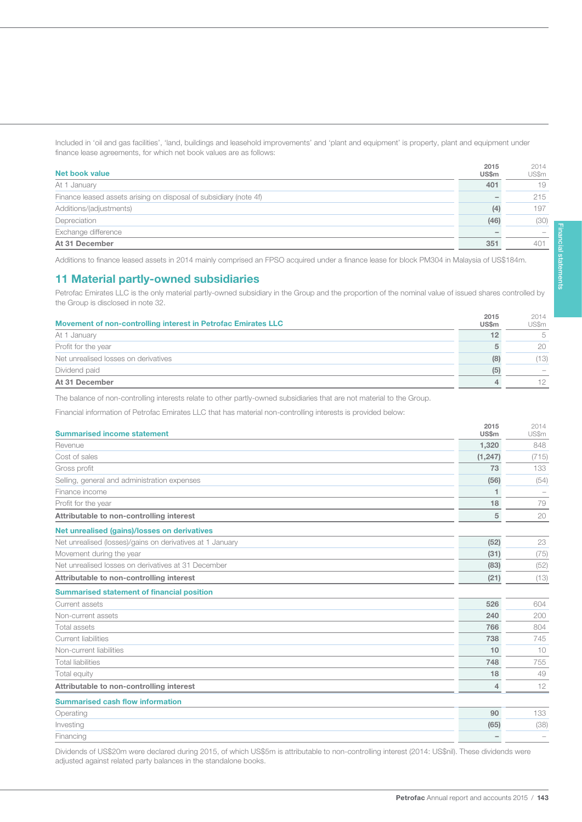Included in 'oil and gas facilities', 'land, buildings and leasehold improvements' and 'plant and equipment' is property, plant and equipment under finance lease agreements, for which net book values are as follows:

| Net book value                                                    | 2015<br><b>US\$m</b> | 2014<br>US\$m |
|-------------------------------------------------------------------|----------------------|---------------|
| At 1 January                                                      | 401                  | 19            |
| Finance leased assets arising on disposal of subsidiary (note 4f) | -                    | 215           |
| Additions/(adjustments)                                           | (4)                  | 197           |
| Depreciation                                                      | (46)                 | (30)          |
| Exchange difference                                               |                      |               |
| At 31 December                                                    | 351                  | 401           |

Additions to finance leased assets in 2014 mainly comprised an FPSO acquired under a finance lease for block PM304 in Malaysia of US\$184m.

### 11 Material partly-owned subsidiaries

143

Petrofac Emirates LLC is the only material partly-owned subsidiary in the Group and the proportion of the nominal value of issued shares controlled by the Group is disclosed in note 32.

| Movement of non-controlling interest in Petrofac Emirates LLC | 2015<br><b>US\$m</b> | 2014<br><b>US\$m</b>     |
|---------------------------------------------------------------|----------------------|--------------------------|
| At 1 January                                                  | 12                   | .5                       |
| Profit for the year                                           |                      | 20                       |
| Net unrealised losses on derivatives                          | (8)                  | (13)                     |
| Dividend paid                                                 | (5)                  | $\overline{\phantom{a}}$ |
| At 31 December                                                |                      | 12                       |

The balance of non-controlling interests relate to other partly-owned subsidiaries that are not material to the Group.

Financial information of Petrofac Emirates LLC that has material non-controlling interests is provided below:

| <b>Summarised income statement</b>                        | 2015<br><b>US\$m</b> | 2014<br>US\$m |
|-----------------------------------------------------------|----------------------|---------------|
| Revenue                                                   | 1.320                | 848           |
| Cost of sales                                             | (1, 247)             | (715)         |
| Gross profit                                              | 73                   | 133           |
| Selling, general and administration expenses              | (56)                 | (54)          |
| Finance income                                            |                      |               |
| Profit for the year                                       | 18                   | 79            |
| Attributable to non-controlling interest                  | 5                    | 20            |
| Net unrealised (gains)/losses on derivatives              |                      |               |
| Net unrealised (losses)/gains on derivatives at 1 January | (52)                 | 23            |
| Movement during the year                                  | (31)                 | (75)          |
| Net unrealised losses on derivatives at 31 December       | (83)                 | (52)          |
| Attributable to non-controlling interest                  | (21)                 | (13)          |
| <b>Summarised statement of financial position</b>         |                      |               |
| Current assets                                            | 526                  | 604           |
| Non-current assets                                        | 240                  | 200           |
| Total assets                                              | 766                  | 804           |
| Current liabilities                                       | 738                  | 745           |
| Non-current liabilities                                   | 10                   | 10            |
| <b>Total liabilities</b>                                  | 748                  | 755           |
| Total equity                                              | 18                   | 49            |
| Attributable to non-controlling interest                  | $\overline{4}$       | 12            |
| <b>Summarised cash flow information</b>                   |                      |               |
| Operating                                                 | 90                   | 133           |
| Investing                                                 | (65)                 | (38)          |
| Financing                                                 |                      |               |

Dividends of US\$20m were declared during 2015, of which US\$5m is attributable to non-controlling interest (2014: US\$nil). These dividends were adjusted against related party balances in the standalone books.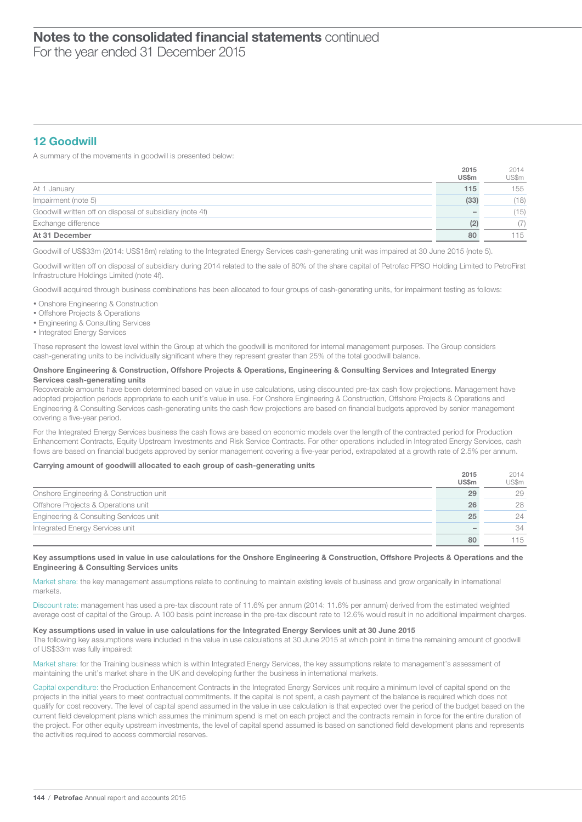# $\overline{\phantom{a}}$ Notes to the consolidated financial statements continued

For the year ended 31 December 2015

# 12 Goodwill

A summary of the movements in goodwill is presented below:

|                                                          | 2015         | 2014  |
|----------------------------------------------------------|--------------|-------|
|                                                          | <b>US\$m</b> | US\$m |
| At 1 January                                             | 115          | 155   |
| Impairment (note 5)                                      | (33)         | (18)  |
| Goodwill written off on disposal of subsidiary (note 4f) |              | (15)  |
| Exchange difference                                      |              |       |
| At 31 December                                           | 80           | 115   |

Goodwill of US\$33m (2014: US\$18m) relating to the Integrated Energy Services cash-generating unit was impaired at 30 June 2015 (note 5).

Goodwill written off on disposal of subsidiary during 2014 related to the sale of 80% of the share capital of Petrofac FPSO Holding Limited to PetroFirst Infrastructure Holdings Limited (note 4f).

Goodwill acquired through business combinations has been allocated to four groups of cash-generating units, for impairment testing as follows:

- Onshore Engineering & Construction
- Offshore Projects & Operations
- Engineering & Consulting Services
- Integrated Energy Services

These represent the lowest level within the Group at which the goodwill is monitored for internal management purposes. The Group considers cash-generating units to be individually significant where they represent greater than 25% of the total goodwill balance.

#### Onshore Engineering & Construction, Offshore Projects & Operations, Engineering & Consulting Services and Integrated Energy Services cash-generating units

Recoverable amounts have been determined based on value in use calculations, using discounted pre-tax cash flow projections. Management have adopted projection periods appropriate to each unit's value in use. For Onshore Engineering & Construction, Offshore Projects & Operations and Engineering & Consulting Services cash-generating units the cash flow projections are based on financial budgets approved by senior management covering a five-year period.

For the Integrated Energy Services business the cash flows are based on economic models over the length of the contracted period for Production Enhancement Contracts, Equity Upstream Investments and Risk Service Contracts. For other operations included in Integrated Energy Services, cash flows are based on financial budgets approved by senior management covering a five-year period, extrapolated at a growth rate of 2.5% per annum.

#### Carrying amount of goodwill allocated to each group of cash-generating units

|                                         | 2015         | 2014  |
|-----------------------------------------|--------------|-------|
|                                         | <b>US\$m</b> | US\$m |
| Onshore Engineering & Construction unit | 29           | 29    |
| Offshore Projects & Operations unit     | 26           | 28    |
| Engineering & Consulting Services unit  | 25           | 24    |
| Integrated Energy Services unit         |              | 34    |
|                                         | 80           | 115   |

#### Key assumptions used in value in use calculations for the Onshore Engineering & Construction, Offshore Projects & Operations and the Engineering & Consulting Services units

Market share: the key management assumptions relate to continuing to maintain existing levels of business and grow organically in international markets.

Discount rate: management has used a pre-tax discount rate of 11.6% per annum (2014: 11.6% per annum) derived from the estimated weighted average cost of capital of the Group. A 100 basis point increase in the pre-tax discount rate to 12.6% would result in no additional impairment charges.

#### Key assumptions used in value in use calculations for the Integrated Energy Services unit at 30 June 2015

The following key assumptions were included in the value in use calculations at 30 June 2015 at which point in time the remaining amount of goodwill of US\$33m was fully impaired:

Market share: for the Training business which is within Integrated Energy Services, the key assumptions relate to management's assessment of maintaining the unit's market share in the UK and developing further the business in international markets.

Capital expenditure: the Production Enhancement Contracts in the Integrated Energy Services unit require a minimum level of capital spend on the projects in the initial years to meet contractual commitments. If the capital is not spent, a cash payment of the balance is required which does not qualify for cost recovery. The level of capital spend assumed in the value in use calculation is that expected over the period of the budget based on the current field development plans which assumes the minimum spend is met on each project and the contracts remain in force for the entire duration of the project. For other equity upstream investments, the level of capital spend assumed is based on sanctioned field development plans and represents the activities required to access commercial reserves.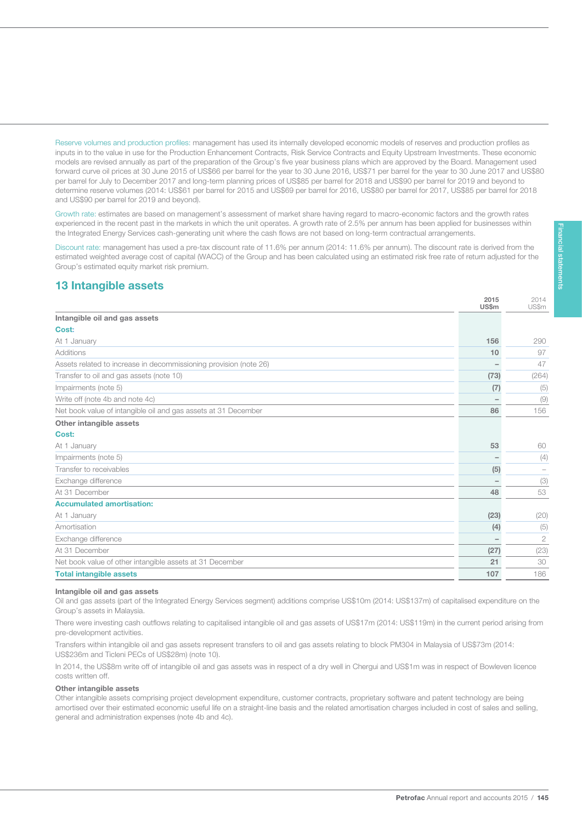Reserve volumes and production profiles: management has used its internally developed economic models of reserves and production profiles as inputs in to the value in use for the Production Enhancement Contracts, Risk Service Contracts and Equity Upstream Investments. These economic models are revised annually as part of the preparation of the Group's five year business plans which are approved by the Board. Management used forward curve oil prices at 30 June 2015 of US\$66 per barrel for the year to 30 June 2016, US\$71 per barrel for the year to 30 June 2017 and US\$80 per barrel for July to December 2017 and long-term planning prices of US\$85 per barrel for 2018 and US\$90 per barrel for 2019 and beyond to determine reserve volumes (2014: US\$61 per barrel for 2015 and US\$69 per barrel for 2016, US\$80 per barrel for 2017, US\$85 per barrel for 2018 and US\$90 per barrel for 2019 and beyond).

Growth rate: estimates are based on management's assessment of market share having regard to macro-economic factors and the growth rates experienced in the recent past in the markets in which the unit operates. A growth rate of 2.5% per annum has been applied for businesses within the Integrated Energy Services cash-generating unit where the cash flows are not based on long-term contractual arrangements.

Discount rate: management has used a pre-tax discount rate of 11.6% per annum (2014: 11.6% per annum). The discount rate is derived from the estimated weighted average cost of capital (WACC) of the Group and has been calculated using an estimated risk free rate of return adjusted for the Group's estimated equity market risk premium.

# 13 Intangible assets

145

|                                                                   | 2015<br>US\$m | 2014<br>US\$m  |
|-------------------------------------------------------------------|---------------|----------------|
| Intangible oil and gas assets                                     |               |                |
| Cost:                                                             |               |                |
| At 1 January                                                      | 156           | 290            |
| Additions                                                         | 10            | 97             |
| Assets related to increase in decommissioning provision (note 26) |               | 47             |
| Transfer to oil and gas assets (note 10)                          | (73)          | (264)          |
| Impairments (note 5)                                              | (7)           | (5)            |
| Write off (note 4b and note 4c)                                   |               | (9)            |
| Net book value of intangible oil and gas assets at 31 December    | 86            | 156            |
| Other intangible assets                                           |               |                |
| Cost:                                                             |               |                |
| At 1 January                                                      | 53            | 60             |
| Impairments (note 5)                                              |               | (4)            |
| Transfer to receivables                                           | (5)           |                |
| Exchange difference                                               |               | (3)            |
| At 31 December                                                    | 48            | 53             |
| <b>Accumulated amortisation:</b>                                  |               |                |
| At 1 January                                                      | (23)          | (20)           |
| Amortisation                                                      | (4)           | (5)            |
| Exchange difference                                               |               | $\overline{2}$ |
| At 31 December                                                    | (27)          | (23)           |
| Net book value of other intangible assets at 31 December          | 21            | 30             |
| <b>Total intangible assets</b>                                    | 107           | 186            |

#### Intangible oil and gas assets

Oil and gas assets (part of the Integrated Energy Services segment) additions comprise US\$10m (2014: US\$137m) of capitalised expenditure on the Group's assets in Malaysia.

There were investing cash outflows relating to capitalised intangible oil and gas assets of US\$17m (2014: US\$119m) in the current period arising from pre-development activities.

Transfers within intangible oil and gas assets represent transfers to oil and gas assets relating to block PM304 in Malaysia of US\$73m (2014: US\$236m and Ticleni PECs of US\$28m) (note 10).

In 2014, the US\$8m write off of intangible oil and gas assets was in respect of a dry well in Chergui and US\$1m was in respect of Bowleven licence costs written off.

#### Other intangible assets

Other intangible assets comprising project development expenditure, customer contracts, proprietary software and patent technology are being amortised over their estimated economic useful life on a straight-line basis and the related amortisation charges included in cost of sales and selling, general and administration expenses (note 4b and 4c).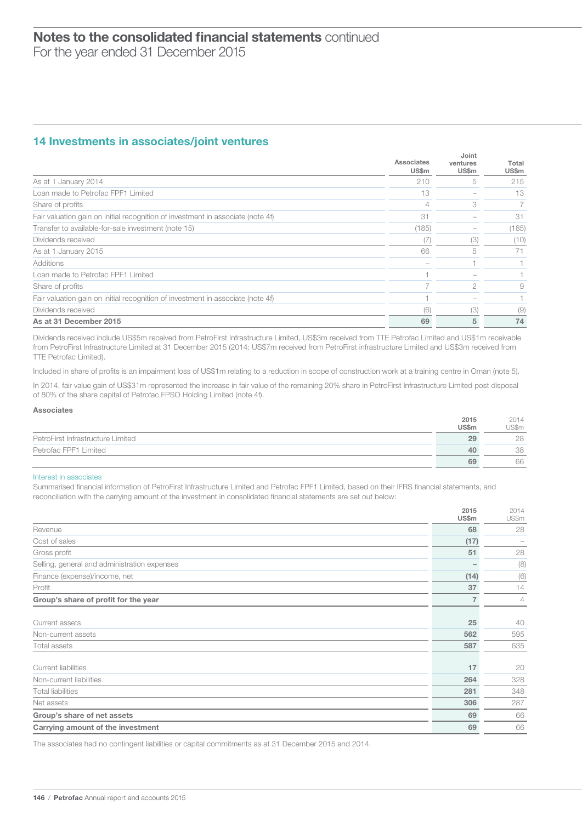### 14 Investments in associates/joint ventures

|                                                                                 | Associates<br><b>US\$m</b> | Joint<br>ventures<br><b>US\$m</b> | Total<br>US\$m |
|---------------------------------------------------------------------------------|----------------------------|-----------------------------------|----------------|
| As at 1 January 2014                                                            | 210                        | 5                                 | 215            |
| Loan made to Petrofac FPF1 Limited                                              | 13                         |                                   | 13             |
| Share of profits                                                                |                            | 3                                 |                |
| Fair valuation gain on initial recognition of investment in associate (note 4f) | 31                         |                                   | 31             |
| Transfer to available-for-sale investment (note 15)                             | (185)                      |                                   | (185)          |
| Dividends received                                                              | (7                         | (3)                               | (10)           |
| As at 1 January 2015                                                            | 66                         | 5                                 | 71             |
| Additions                                                                       |                            |                                   |                |
| Loan made to Petrofac FPF1 Limited                                              |                            |                                   |                |
| Share of profits                                                                |                            | $\mathfrak{D}$                    | 9              |
| Fair valuation gain on initial recognition of investment in associate (note 4f) |                            |                                   |                |
| Dividends received                                                              | (6)                        | (3)                               | (9)            |
| As at 31 December 2015                                                          | 69                         | 5                                 | 74             |

Dividends received include US\$5m received from PetroFirst Infrastructure Limited, US\$3m received from TTE Petrofac Limited and US\$1m receivable from PetroFirst Infrastructure Limited at 31 December 2015 (2014: US\$7m received from PetroFirst infrastructure Limited and US\$3m received from TTE Petrofac Limited).

Included in share of profits is an impairment loss of US\$1m relating to a reduction in scope of construction work at a training centre in Oman (note 5).

In 2014, fair value gain of US\$31m represented the increase in fair value of the remaining 20% share in PetroFirst Infrastructure Limited post disposal of 80% of the share capital of Petrofac FPSO Holding Limited (note 4f).

#### Associates

|                                   | 2015<br>US\$m | 2014<br>US\$m |
|-----------------------------------|---------------|---------------|
| PetroFirst Infrastructure Limited | 29            | 28            |
| Petrofac FPF1 Limited             | 40            | 38            |
|                                   | 69            | 66            |

#### Interest in associates

Summarised financial information of PetroFirst Infrastructure Limited and Petrofac FPF1 Limited, based on their IFRS financial statements, and reconciliation with the carrying amount of the investment in consolidated financial statements are set out below:

|                                              | 2015<br>US\$m | 2014<br>US\$m  |
|----------------------------------------------|---------------|----------------|
| Revenue                                      | 68            | 28             |
| Cost of sales                                | (17)          |                |
| Gross profit                                 | 51            | 28             |
| Selling, general and administration expenses |               | (8)            |
| Finance (expense)/income, net                | (14)          | (6)            |
| Profit                                       | 37            | 14             |
| Group's share of profit for the year         | 7             | $\overline{4}$ |
|                                              |               |                |
| Current assets                               | 25            | 40             |
| Non-current assets                           | 562           | 595            |
| Total assets                                 | 587           | 635            |
|                                              |               |                |
| <b>Current liabilities</b>                   | 17            | 20             |
| Non-current liabilities                      | 264           | 328            |
| <b>Total liabilities</b>                     | 281           | 348            |
| Net assets                                   | 306           | 287            |
| Group's share of net assets                  | 69            | 66             |
| Carrying amount of the investment            | 69            | 66             |

The associates had no contingent liabilities or capital commitments as at 31 December 2015 and 2014.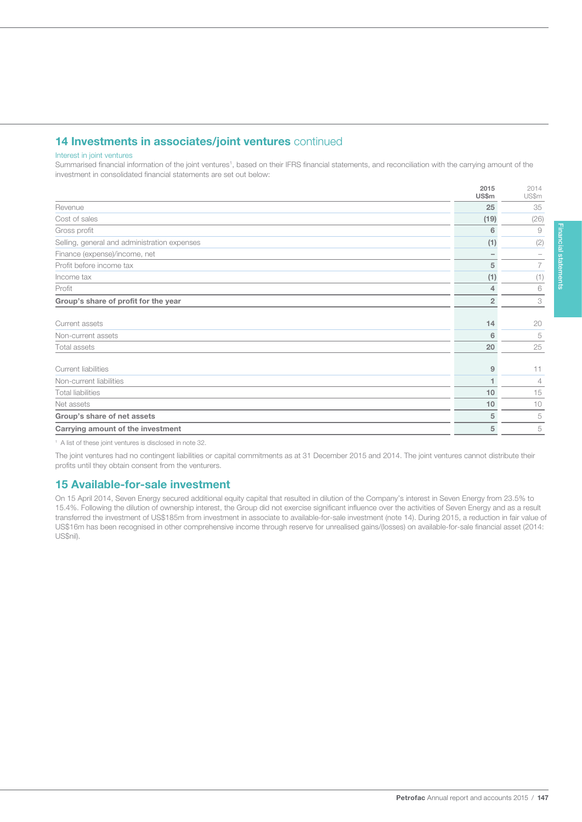# 14 Investments in associates/joint ventures continued

#### Interest in joint ventures

147

Summarised financial information of the joint ventures<sup>1</sup>, based on their IFRS financial statements, and reconciliation with the carrying amount of the investment in consolidated financial statements are set out below:

|                                              | 2015<br><b>US\$m</b> | 2014<br>US\$m  |
|----------------------------------------------|----------------------|----------------|
| Revenue                                      | 25                   | 35             |
| Cost of sales                                | (19)                 | (26)           |
| Gross profit                                 | 6                    | $\overline{9}$ |
| Selling, general and administration expenses | (1)                  | (2)            |
| Finance (expense)/income, net                |                      |                |
| Profit before income tax                     | 5                    | 7              |
| Income tax                                   | (1)                  | (1)            |
| Profit                                       | 4                    | 6              |
| Group's share of profit for the year         | $\overline{2}$       | 3              |
|                                              |                      |                |
| Current assets                               | 14                   | 20             |
| Non-current assets                           | 6                    | 5              |
| Total assets                                 | 20                   | 25             |
| Current liabilities                          | 9                    | 11             |
| Non-current liabilities                      |                      | $\overline{4}$ |
| <b>Total liabilities</b>                     | 10                   | 15             |
| Net assets                                   | 10                   | 10             |
| Group's share of net assets                  | 5                    | 5              |
| Carrying amount of the investment            | 5                    | 5              |
|                                              |                      |                |

<sup>1</sup> A list of these joint ventures is disclosed in note 32.

The joint ventures had no contingent liabilities or capital commitments as at 31 December 2015 and 2014. The joint ventures cannot distribute their profits until they obtain consent from the venturers.

### 15 Available-for-sale investment

On 15 April 2014, Seven Energy secured additional equity capital that resulted in dilution of the Company's interest in Seven Energy from 23.5% to 15.4%. Following the dilution of ownership interest, the Group did not exercise significant influence over the activities of Seven Energy and as a result transferred the investment of US\$185m from investment in associate to available-for-sale investment (note 14). During 2015, a reduction in fair value of US\$16m has been recognised in other comprehensive income through reserve for unrealised gains/(losses) on available-for-sale financial asset (2014: US\$nil).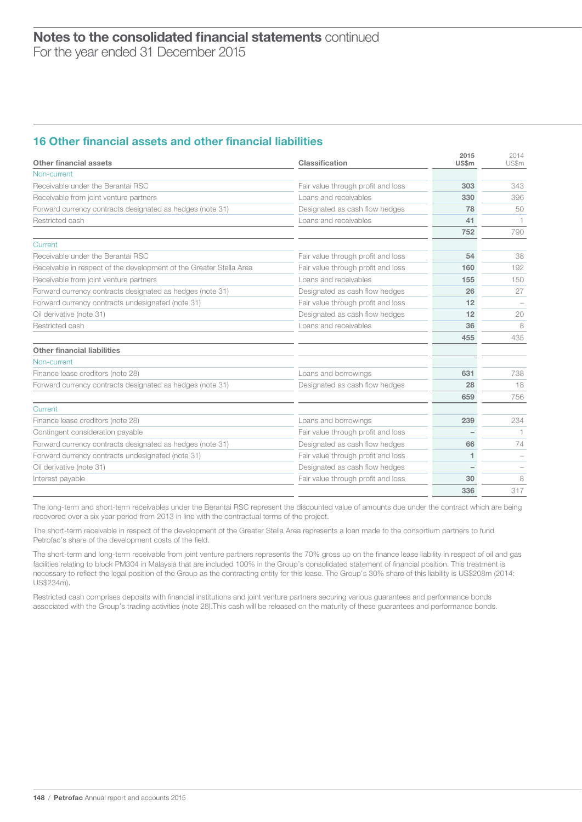# 16 Other financial assets and other financial liabilities

| Other financial assets                                              | Classification                     | 2015<br><b>US\$m</b> | 2014<br>US\$m |
|---------------------------------------------------------------------|------------------------------------|----------------------|---------------|
| Non-current                                                         |                                    |                      |               |
| Receivable under the Berantai RSC                                   | Fair value through profit and loss | 303                  | 343           |
| Receivable from joint venture partners                              | Loans and receivables              | 330                  | 396           |
| Forward currency contracts designated as hedges (note 31)           | Designated as cash flow hedges     | 78                   | 50            |
| Restricted cash                                                     | Loans and receivables              | 41                   |               |
|                                                                     |                                    | 752                  | 790           |
| Current                                                             |                                    |                      |               |
| Receivable under the Berantai RSC                                   | Fair value through profit and loss | 54                   | 38            |
| Receivable in respect of the development of the Greater Stella Area | Fair value through profit and loss | 160                  | 192           |
| Receivable from joint venture partners                              | Loans and receivables              | 155                  | 150           |
| Forward currency contracts designated as hedges (note 31)           | Designated as cash flow hedges     | 26                   | 27            |
| Forward currency contracts undesignated (note 31)                   | Fair value through profit and loss | 12                   |               |
| Oil derivative (note 31)                                            | Designated as cash flow hedges     | 12                   | 20            |
| Restricted cash                                                     | Loans and receivables              | 36                   | 8             |
|                                                                     |                                    | 455                  | 435           |
| <b>Other financial liabilities</b>                                  |                                    |                      |               |
| Non-current                                                         |                                    |                      |               |
| Finance lease creditors (note 28)                                   | Loans and borrowings               | 631                  | 738           |
| Forward currency contracts designated as hedges (note 31)           | Designated as cash flow hedges     | 28                   | 18            |
|                                                                     |                                    | 659                  | 756           |
| Current                                                             |                                    |                      |               |
| Finance lease creditors (note 28)                                   | Loans and borrowings               | 239                  | 234           |
| Contingent consideration payable                                    | Fair value through profit and loss |                      |               |
| Forward currency contracts designated as hedges (note 31)           | Designated as cash flow hedges     | 66                   | 74            |
| Forward currency contracts undesignated (note 31)                   | Fair value through profit and loss | 1                    |               |
| Oil derivative (note 31)                                            | Designated as cash flow hedges     |                      |               |
| Interest payable                                                    | Fair value through profit and loss | 30                   | 8             |
|                                                                     |                                    | 336                  | 317           |

The long-term and short-term receivables under the Berantai RSC represent the discounted value of amounts due under the contract which are being recovered over a six year period from 2013 in line with the contractual terms of the project.

The short-term receivable in respect of the development of the Greater Stella Area represents a loan made to the consortium partners to fund Petrofac's share of the development costs of the field.

The short-term and long-term receivable from joint venture partners represents the 70% gross up on the finance lease liability in respect of oil and gas facilities relating to block PM304 in Malaysia that are included 100% in the Group's consolidated statement of financial position. This treatment is necessary to reflect the legal position of the Group as the contracting entity for this lease. The Group's 30% share of this liability is US\$208m (2014: US\$234m).

Restricted cash comprises deposits with financial institutions and joint venture partners securing various guarantees and performance bonds associated with the Group's trading activities (note 28).This cash will be released on the maturity of these guarantees and performance bonds.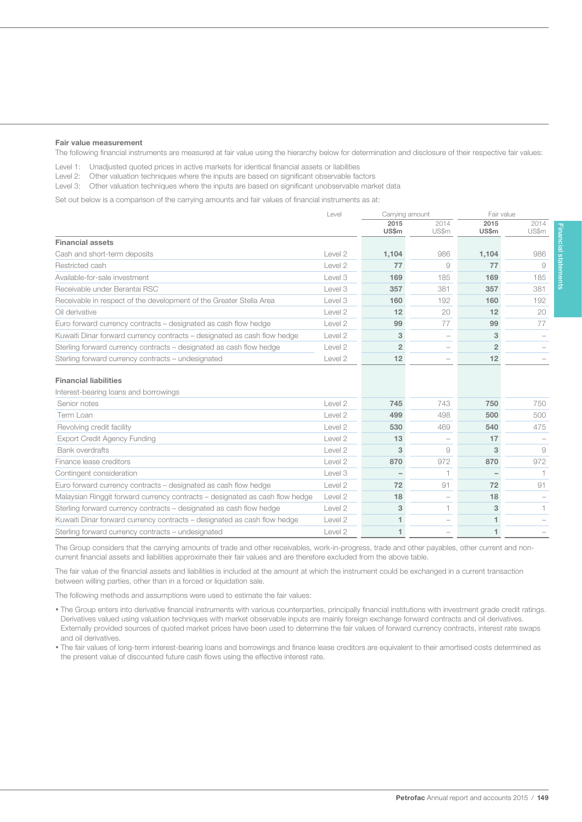#### Fair value measurement

149

The following financial instruments are measured at fair value using the hierarchy below for determination and disclosure of their respective fair values:

Level 1: Unadjusted quoted prices in active markets for identical financial assets or liabilities

Level 2: Other valuation techniques where the inputs are based on significant observable factors

Level 3: Other valuation techniques where the inputs are based on significant unobservable market data

Set out below is a comparison of the carrying amounts and fair values of financial instruments as at:

|                                                                              | Level              | Carrying amount          |                          | Fair value           |                |
|------------------------------------------------------------------------------|--------------------|--------------------------|--------------------------|----------------------|----------------|
|                                                                              |                    | 2015<br><b>US\$m</b>     | 2014<br>US\$m            | 2015<br><b>US\$m</b> | 2014<br>US\$m  |
| <b>Financial assets</b>                                                      |                    |                          |                          |                      |                |
| Cash and short-term deposits                                                 | Level 2            | 1,104                    | 986                      | 1,104                | 986            |
| Restricted cash                                                              | Level 2            | 77                       | 9                        | 77                   | 9              |
| Available-for-sale investment                                                | Level 3            | 169                      | 185                      | 169                  | 185            |
| Receivable under Berantai RSC                                                | Level 3            | 357                      | 381                      | 357                  | 381            |
| Receivable in respect of the development of the Greater Stella Area          | Level 3            | 160                      | 192                      | 160                  | 192            |
| Oil derivative                                                               | Level 2            | 12                       | 20                       | 12                   | 20             |
| Euro forward currency contracts – designated as cash flow hedge              | Level <sub>2</sub> | 99                       | 77                       | 99                   | 77             |
| Kuwaiti Dinar forward currency contracts – designated as cash flow hedge     | Level <sub>2</sub> | 3                        |                          | 3                    |                |
| Sterling forward currency contracts – designated as cash flow hedge          | Level <sub>2</sub> | $\overline{2}$           | $\overline{\phantom{0}}$ | $\overline{2}$       |                |
| Sterling forward currency contracts - undesignated                           | Level 2            | 12                       | $\overline{\phantom{0}}$ | 12                   |                |
| <b>Financial liabilities</b>                                                 |                    |                          |                          |                      |                |
| Interest-bearing loans and borrowings                                        |                    |                          |                          |                      |                |
| Senior notes                                                                 | Level 2            | 745                      | 743                      | 750                  | 750            |
| Term Loan                                                                    | Level 2            | 499                      | 498                      | 500                  | 500            |
| Revolving credit facility                                                    | Level 2            | 530                      | 469                      | 540                  | 475            |
| <b>Export Credit Agency Funding</b>                                          | Level 2            | 13                       | $\overline{\phantom{0}}$ | 17                   |                |
| Bank overdrafts                                                              | Level 2            | 3                        | 9                        | 3                    | 9              |
| Finance lease creditors                                                      | Level 2            | 870                      | 972                      | 870                  | 972            |
| Contingent consideration                                                     | Level 3            | $\overline{\phantom{a}}$ |                          |                      |                |
| Euro forward currency contracts – designated as cash flow hedge              | Level 2            | 72                       | 91                       | 72                   | 91             |
| Malaysian Ringgit forward currency contracts - designated as cash flow hedge | Level <sub>2</sub> | 18                       |                          | 18                   |                |
| Sterling forward currency contracts – designated as cash flow hedge          | Level 2            | 3                        | 1                        | 3                    | $\overline{1}$ |
| Kuwaiti Dinar forward currency contracts – designated as cash flow hedge     | Level 2            | 1                        |                          | 1                    |                |

The Group considers that the carrying amounts of trade and other receivables, work-in-progress, trade and other payables, other current and noncurrent financial assets and liabilities approximate their fair values and are therefore excluded from the above table.

The fair value of the financial assets and liabilities is included at the amount at which the instrument could be exchanged in a current transaction between willing parties, other than in a forced or liquidation sale.

Sterling forward currency contracts – undesignated Level 2 1 – 1 – 1 1 – 1 1 – 1 1 – 1 1 – 1 1 – 1 1 – 1 1 – 1 1 – 1 1 – 1 1 – 1 1 – 1 1 – 1 1 – 1 1 – 1 1 – 1 1 – 1 1 – 1 1 – 1 1 – 1 1 – 1 1 – 1 1 – 1 1 – 1 1 – 1 1 – 1 – 1

The following methods and assumptions were used to estimate the fair values:

- The Group enters into derivative financial instruments with various counterparties, principally financial institutions with investment grade credit ratings. Derivatives valued using valuation techniques with market observable inputs are mainly foreign exchange forward contracts and oil derivatives. Externally provided sources of quoted market prices have been used to determine the fair values of forward currency contracts, interest rate swaps and oil derivatives.
- The fair values of long-term interest-bearing loans and borrowings and finance lease creditors are equivalent to their amortised costs determined as the present value of discounted future cash flows using the effective interest rate.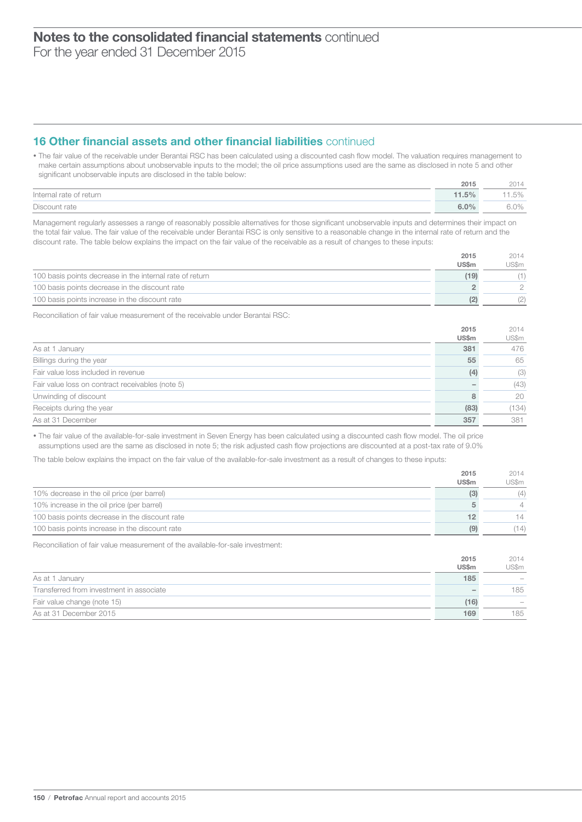For the year ended 31 December 2015

# 16 Other financial assets and other financial liabilities continued

• The fair value of the receivable under Berantai RSC has been calculated using a discounted cash flow model. The valuation requires management to make certain assumptions about unobservable inputs to the model; the oil price assumptions used are the same as disclosed in note 5 and other significant unobservable inputs are disclosed in the table below:

|                         | 2015    | 2014  |
|-------------------------|---------|-------|
| Internal rate of return | 11.5%   | 11.5% |
| Discount rate           | $6.0\%$ | 6.0%  |

Management regularly assesses a range of reasonably possible alternatives for those significant unobservable inputs and determines their impact on the total fair value. The fair value of the receivable under Berantai RSC is only sensitive to a reasonable change in the internal rate of return and the discount rate. The table below explains the impact on the fair value of the receivable as a result of changes to these inputs:

|                                                          | 2015  | 2014  |
|----------------------------------------------------------|-------|-------|
|                                                          | US\$m | US\$m |
| 100 basis points decrease in the internal rate of return | (19)  |       |
| 100 basis points decrease in the discount rate           |       |       |
| 100 basis points increase in the discount rate           | (2)   |       |

Reconciliation of fair value measurement of the receivable under Berantai RSC:

|                                                  | 2015<br><b>US\$m</b> | 2014<br>US\$m |
|--------------------------------------------------|----------------------|---------------|
| As at 1 January                                  | 381                  | 476           |
| Billings during the year                         | 55                   | 65            |
| Fair value loss included in revenue              | (4)                  | (3)           |
| Fair value loss on contract receivables (note 5) |                      | (43)          |
| Unwinding of discount                            | я                    | 20            |
| Receipts during the year                         | (83)                 | (134)         |
| As at 31 December                                | 357                  | 381           |

• The fair value of the available-for-sale investment in Seven Energy has been calculated using a discounted cash flow model. The oil price assumptions used are the same as disclosed in note 5; the risk adjusted cash flow projections are discounted at a post-tax rate of 9.0%

The table below explains the impact on the fair value of the available-for-sale investment as a result of changes to these inputs:

|                                                | 2015         | 2014           |
|------------------------------------------------|--------------|----------------|
|                                                | <b>US\$m</b> | US\$m          |
| 10% decrease in the oil price (per barrel)     | (3)          | (4)            |
| 10% increase in the oil price (per barrel)     |              | $\overline{4}$ |
| 100 basis points decrease in the discount rate | 12           | 14             |
| 100 basis points increase in the discount rate | (9)          | (14)           |

Reconciliation of fair value measurement of the available-for-sale investment:

|                                          | 2015         | 2014                                  |
|------------------------------------------|--------------|---------------------------------------|
|                                          | <b>US\$m</b> | US\$m                                 |
| As at 1 January                          | 185          | $\hspace{1.0cm} \rule{1.5cm}{0.15cm}$ |
| Transferred from investment in associate |              | 185                                   |
| Fair value change (note 15)              | (16)         | $\qquad \qquad$                       |
| As at 31 December 2015                   | 169          | 185                                   |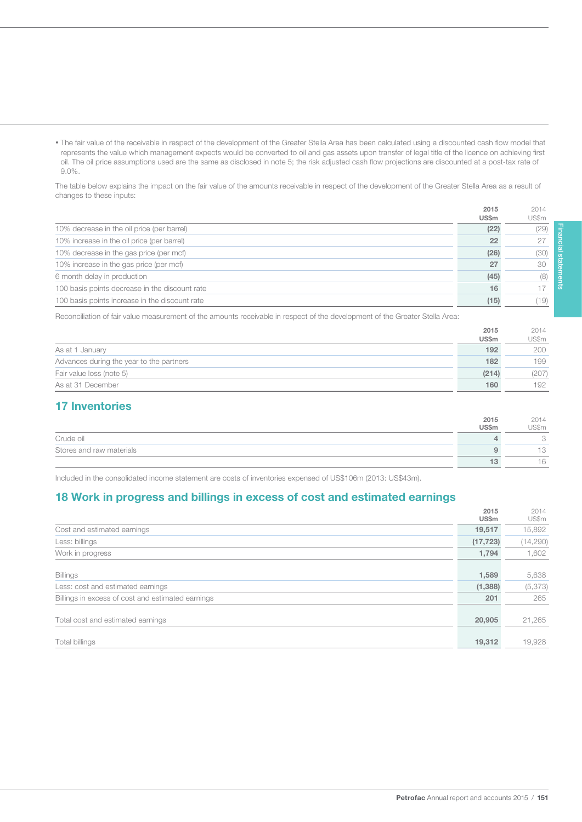• The fair value of the receivable in respect of the development of the Greater Stella Area has been calculated using a discounted cash flow model that represents the value which management expects would be converted to oil and gas assets upon transfer of legal title of the licence on achieving first oil. The oil price assumptions used are the same as disclosed in note 5; the risk adjusted cash flow projections are discounted at a post-tax rate of 9.0%.

The table below explains the impact on the fair value of the amounts receivable in respect of the development of the Greater Stella Area as a result of changes to these inputs:

|                                                | 2015         | 2014  |
|------------------------------------------------|--------------|-------|
|                                                | <b>US\$m</b> | US\$m |
| 10% decrease in the oil price (per barrel)     | (22)         | (29)  |
| 10% increase in the oil price (per barrel)     | 22           | 27    |
| 10% decrease in the gas price (per mcf)        | (26)         | (30)  |
| 10% increase in the gas price (per mcf)        | 27           | 30    |
| 6 month delay in production                    | (45)         | (8)   |
| 100 basis points decrease in the discount rate | 16           |       |
| 100 basis points increase in the discount rate | (15)         | (19)  |

Reconciliation of fair value measurement of the amounts receivable in respect of the development of the Greater Stella Area:

|                                          | 2015         | 2014  |
|------------------------------------------|--------------|-------|
|                                          | <b>US\$m</b> | US\$m |
| As at 1 January                          | 192          | 200   |
| Advances during the year to the partners | 182          | 199   |
| Fair value loss (note 5)                 | (214)        | (207) |
| As at 31 December                        | 160          | 192   |

# 17 Inventories

151

|                          | 2015  | 2014        |
|--------------------------|-------|-------------|
|                          | US\$m | US\$m       |
| Crude oil                |       | $\check{~}$ |
| Stores and raw materials |       | ∣∪          |
|                          | ıз    | 16          |

Included in the consolidated income statement are costs of inventories expensed of US\$106m (2013: US\$43m).

### 18 Work in progress and billings in excess of cost and estimated earnings

|                                                   | 2015         | 2014     |
|---------------------------------------------------|--------------|----------|
|                                                   | <b>US\$m</b> | US\$m    |
| Cost and estimated earnings                       | 19,517       | 15,892   |
| Less: billings                                    | (17, 723)    | (14,290) |
| Work in progress                                  | 1,794        | 1,602    |
|                                                   |              |          |
| Billings                                          | 1,589        | 5,638    |
| Less: cost and estimated earnings                 | (1,388)      | (5,373)  |
| Billings in excess of cost and estimated earnings | 201          | 265      |
|                                                   |              |          |
| Total cost and estimated earnings                 | 20,905       | 21,265   |
|                                                   |              |          |
| Total billings                                    | 19,312       | 19,928   |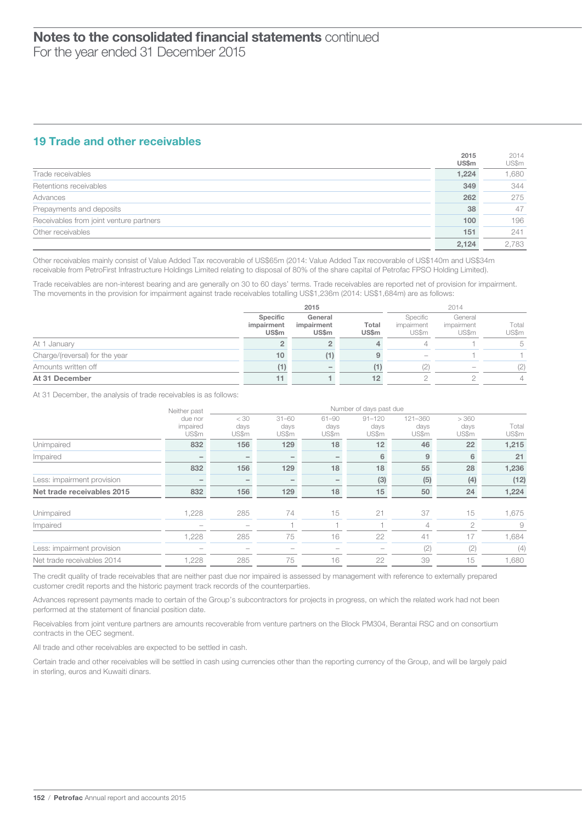### 19 Trade and other receivables

|                                         | 2015<br><b>US\$m</b> | 2014<br>US\$m |
|-----------------------------------------|----------------------|---------------|
| Trade receivables                       | 1,224                | 1,680         |
| Retentions receivables                  | 349                  | 344           |
| Advances                                | 262                  | 275           |
| Prepayments and deposits                | 38                   | 47            |
| Receivables from joint venture partners | 100                  | 196           |
| Other receivables                       | 151                  | 241           |
|                                         | 2.124                | 2.783         |

Other receivables mainly consist of Value Added Tax recoverable of US\$65m (2014: Value Added Tax recoverable of US\$140m and US\$34m receivable from PetroFirst Infrastructure Holdings Limited relating to disposal of 80% of the share capital of Petrofac FPSO Holding Limited).

Trade receivables are non-interest bearing and are generally on 30 to 60 days' terms. Trade receivables are reported net of provision for impairment. The movements in the provision for impairment against trade receivables totalling US\$1,236m (2014: US\$1,684m) are as follows:

|                                |                                        | 2015                                  |                       |                                 | 2014                           |                |  |
|--------------------------------|----------------------------------------|---------------------------------------|-----------------------|---------------------------------|--------------------------------|----------------|--|
|                                | Specific<br>impairment<br><b>US\$m</b> | General<br>impairment<br><b>US\$m</b> | Total<br><b>US\$m</b> | Specific<br>impairment<br>US\$m | General<br>impairment<br>US\$m | Total<br>US\$m |  |
| At 1 January                   |                                        |                                       |                       |                                 |                                | 5              |  |
| Charge/(reversal) for the year | 10                                     |                                       |                       | $\overline{\phantom{a}}$        |                                |                |  |
| Amounts written off            |                                        |                                       | (1)                   | (2)                             |                                | (2)            |  |
| At 31 December                 |                                        |                                       | 12                    |                                 |                                | $\Delta$       |  |

At 31 December, the analysis of trade receivables is as follows:

|                            | Neither past                 | Number of days past due  |                            |                            |                             |                          |                        |                |  |
|----------------------------|------------------------------|--------------------------|----------------------------|----------------------------|-----------------------------|--------------------------|------------------------|----------------|--|
|                            | due nor<br>impaired<br>US\$m | < 30<br>days<br>US\$m    | $31 - 60$<br>days<br>US\$m | $61 - 90$<br>days<br>US\$m | $91 - 120$<br>days<br>US\$m | 121-360<br>days<br>US\$m | > 360<br>days<br>US\$m | Total<br>US\$m |  |
| Unimpaired                 | 832                          | 156                      | 129                        | 18                         | 12                          | 46                       | 22                     | 1,215          |  |
| Impaired                   |                              | $\overline{\phantom{a}}$ | -                          | -                          | 6                           | 9                        | 6                      | 21             |  |
|                            | 832                          | 156                      | 129                        | 18                         | 18                          | 55                       | 28                     | 1,236          |  |
| Less: impairment provision |                              | $\overline{\phantom{a}}$ | -                          | $\overline{\phantom{a}}$   | (3)                         | (5)                      | (4)                    | (12)           |  |
| Net trade receivables 2015 | 832                          | 156                      | 129                        | 18                         | 15                          | 50                       | 24                     | 1,224          |  |
| Unimpaired                 | 1,228                        | 285                      | 74                         | 15                         | 21                          | 37                       | 15                     | 1,675          |  |
| Impaired                   |                              |                          |                            |                            |                             | 4                        | $\overline{c}$         | 9              |  |
|                            | 1,228                        | 285                      | 75                         | 16                         | 22                          | 41                       | 17                     | 1,684          |  |
| Less: impairment provision |                              |                          |                            |                            | $\overline{\phantom{0}}$    | (2)                      | (2)                    | (4)            |  |
| Net trade receivables 2014 | 1.228                        | 285                      | 75                         | 16                         | 22                          | 39                       | 15                     | 1,680          |  |

The credit quality of trade receivables that are neither past due nor impaired is assessed by management with reference to externally prepared customer credit reports and the historic payment track records of the counterparties.

Advances represent payments made to certain of the Group's subcontractors for projects in progress, on which the related work had not been performed at the statement of financial position date.

Receivables from joint venture partners are amounts recoverable from venture partners on the Block PM304, Berantai RSC and on consortium contracts in the OEC segment.

All trade and other receivables are expected to be settled in cash.

Certain trade and other receivables will be settled in cash using currencies other than the reporting currency of the Group, and will be largely paid in sterling, euros and Kuwaiti dinars.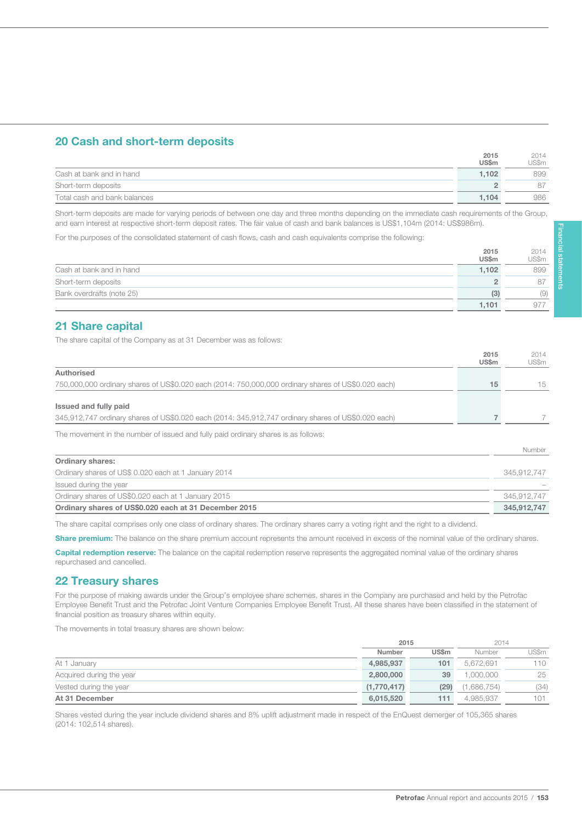# 20 Cash and short-term deposits

|                              | 2015         | 2014  |
|------------------------------|--------------|-------|
|                              | <b>US\$m</b> | US\$m |
| Cash at bank and in hand     | 1.102        | 899   |
| Short-term deposits          |              |       |
| Total cash and bank balances | 1.104        | 986   |

Short-term deposits are made for varying periods of between one day and three months depending on the immediate cash requirements of the Group, and earn interest at respective short-term deposit rates. The fair value of cash and bank balances is US\$1,104m (2014: US\$986m).

For the purposes of the consolidated statement of cash flows, cash and cash equivalents comprise the following:

|                           | 2015         | 2014  |
|---------------------------|--------------|-------|
|                           | <b>US\$m</b> | US\$m |
| Cash at bank and in hand  | 1.102        | 899   |
| Short-term deposits       |              | 87    |
| Bank overdrafts (note 25) | (3)          | (9)   |
|                           | 1.101        | 977   |

### 21 Share capital

153

The share capital of the Company as at 31 December was as follows:

|                                                                                                     | 2015<br>US\$m | 2014<br>US\$m |
|-----------------------------------------------------------------------------------------------------|---------------|---------------|
| Authorised                                                                                          |               |               |
| 750,000,000 ordinary shares of US\$0.020 each (2014: 750,000,000 ordinary shares of US\$0.020 each) | 15            | 15            |
| Issued and fully paid                                                                               |               |               |
| 345,912,747 ordinary shares of US\$0.020 each (2014: 345,912,747 ordinary shares of US\$0.020 each) |               |               |
| The movement in the number of issued and fully paid ordinary shares is as follows:                  |               |               |
|                                                                                                     |               | Number        |
| <b>Ordinary shares:</b>                                                                             |               |               |
| Ordinary shares of US\$ 0.020 each at 1 January 2014                                                |               | 345.912.747   |
| Issued during the year                                                                              |               |               |
| Ordinary shares of US\$0.020 each at 1 January 2015                                                 |               | 345,912,747   |
| Ordinary shares of US\$0.020 each at 31 December 2015                                               |               | 345,912,747   |

The share capital comprises only one class of ordinary shares. The ordinary shares carry a voting right and the right to a dividend.

Share premium: The balance on the share premium account represents the amount received in excess of the nominal value of the ordinary shares.

Capital redemption reserve: The balance on the capital redemption reserve represents the aggregated nominal value of the ordinary shares repurchased and cancelled.

### 22 Treasury shares

For the purpose of making awards under the Group's employee share schemes, shares in the Company are purchased and held by the Petrofac Employee Benefit Trust and the Petrofac Joint Venture Companies Employee Benefit Trust. All these shares have been classified in the statement of financial position as treasury shares within equity.

The movements in total treasury shares are shown below:

|                          | 2015        |              | 2014        |       |  |
|--------------------------|-------------|--------------|-------------|-------|--|
|                          | Number      | <b>US\$m</b> | Number      | US\$m |  |
| At 1 January             | 4,985,937   | 101          | 5.672.691   | 110   |  |
| Acquired during the year | 2,800,000   | 39           | .000.000    | 25    |  |
| Vested during the year   | (1,770,417) | (29)         | (1,686,754) | (34)  |  |
| At 31 December           | 6,015,520   | 111          | 4.985.937   | 101   |  |

Shares vested during the year include dividend shares and 8% uplift adjustment made in respect of the EnQuest demerger of 105,365 shares (2014: 102,514 shares).

 $2015$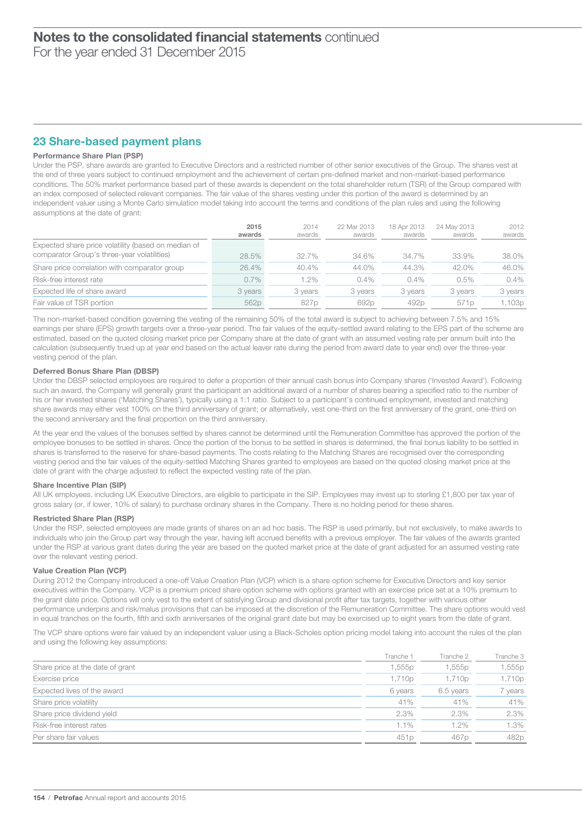# 23 Share-based payment plans

#### Performance Share Plan (PSP)

Under the PSP, share awards are granted to Executive Directors and a restricted number of other senior executives of the Group. The shares vest at the end of three years subject to continued employment and the achievement of certain pre-defined market and non-market-based performance conditions. The 50% market performance based part of these awards is dependent on the total shareholder return (TSR) of the Group compared with an index composed of selected relevant companies. The fair value of the shares vesting under this portion of the award is determined by an independent valuer using a Monte Carlo simulation model taking into account the terms and conditions of the plan rules and using the following assumptions at the date of grant:

|                                                                                                    | 2015<br>awards | 2014<br>awards | 22 Mar 2013<br>awards | 18 Apr 2013<br>awards | 24 May 2013<br>awards | 2012<br>awards |
|----------------------------------------------------------------------------------------------------|----------------|----------------|-----------------------|-----------------------|-----------------------|----------------|
| Expected share price volatility (based on median of<br>comparator Group's three-year volatilities) | 28.5%          | 32.7%          | 34.6%                 | 34.7%                 | 33.9%                 | 38.0%          |
| Share price correlation with comparator group                                                      | 26.4%          | 40.4%          | 44.0%                 | 44.3%                 | 42.0%                 | 46.0%          |
| Risk-free interest rate                                                                            | $0.7\%$        | 1.2%           | $0.4\%$               | $0.4\%$               | 0.5%                  | $0.4\%$        |
| Expected life of share award                                                                       | 3 years        | 3 years        | 3 years               | 3 years               | 3 years               | 3 years        |
| Fair value of TSR portion                                                                          | 562p           | 827p           | 692p                  | 492p                  | 571p                  | 1,103p         |

The non-market-based condition governing the vesting of the remaining 50% of the total award is subject to achieving between 7.5% and 15%<br>comings not obere (EDS) grouth torgets over a three vest period. The fair velves of amings per share (EPS) growth targets over a three-year period. The fair values of the equity-settled award relating to the EPS part of the scheme are earnings per share (EPS) growth targets over a three-year period. The f estimated, based on the quoted closing market price per Company share at the date of grant with an assumed vesting rate per annum built into the estimated, based on the quoted closing market price per Company share at the calculation (subsequently trued up at year end based on the actual leaver rate during the period from award date to year end) over the three-year vesting period of the plan.

#### Deferred Bonus Share Plan (DBSP)

Under the DBSP selected employees are required to defer a proportion of their annual cash bonus into Company shares ('Invested Award'). Following such an award, the Company will generally grant the participant an additional award of a number of shares bearing a specified ratio to the number of his or her invested shares ('Matching Shares'), typically using a 1:1 ratio. Subject to a participant's continued employment, invested and matching share awards may either vest 100% on the third anniversary of grant; or alternatively, vest one-third on the first anniversary of the grant, one-third on the second anniversary and the final proportion on the third anniversary.

At the year end the values of the bonuses settled by shares cannot be determined until the Remuneration Committee has approved the portion of the employee bonuses to be settled in shares. Once the portion of the bonus to be settled in shares is determined, the final bonus liability to be settled in shares is transferred to the reserve for share-based payments. The costs relating to the Matching Shares are recognised over the corresponding vesting period and the fair values of the equity-settled Matching Shares granted to employees are based on the quoted closing market price at the date of grant with the charge adjusted to reflect the expected vesting rate of the plan.

#### Share Incentive Plan (SIP)

All UK employees, including UK Executive Directors, are eligible to participate in the SIP. Employees may invest up to sterling £1,800 per tax year of gross salary (or, if lower, 10% of salary) to purchase ordinary shares in the Company. There is no holding period for these shares.

#### Restricted Share Plan (RSP)

Under the RSP, selected employees are made grants of shares on an ad hoc basis. The RSP is used primarily, but not exclusively, to make awards to individuals who join the Group part way through the year, having left accrued benefits with a previous employer. The fair values of the awards granted under the RSP at various grant dates during the year are based on the quoted market price at the date of grant adjusted for an assumed vesting rate over the relevant vesting period.

#### Value Creation Plan (VCP)

During 2012 the Company introduced a one-off Value Creation Plan (VCP) which is a share option scheme for Executive Directors and key senior executives within the Company. VCP is a premium priced share option scheme with options granted with an exercise price set at a 10% premium to the grant date price. Options will only vest to the extent of satisfying Group and divisional profit after tax targets, together with various other performance underpins and risk/malus provisions that can be imposed at the discretion of the Remuneration Committee. The share options would vest in equal tranches on the fourth, fifth and sixth anniversaries of the original grant date but may be exercised up to eight years from the date of grant.

The VCP share options were fair valued by an independent valuer using a Black-Scholes option pricing model taking into account the rules of the plan and using the following key assumptions:

|                                  | Tranche <sup>-</sup> | Tranche 2        | Tranche 3 |
|----------------------------------|----------------------|------------------|-----------|
| Share price at the date of grant | 1,555p               | 1,555p           | 1,555p    |
| Exercise price                   | 1,710p               | 1,710p           | 1,710p    |
| Expected lives of the award      | 6 years              | 6.5 years        | 7 years   |
| Share price volatility           | 41%                  | 41%              | 41%       |
| Share price dividend yield       | 2.3%                 | 2.3%             | 2.3%      |
| Risk-free interest rates         | 1.1%                 | 1.2%             | 1.3%      |
| Per share fair values            | 451 <sub>p</sub>     | 467 <sub>p</sub> | 482p      |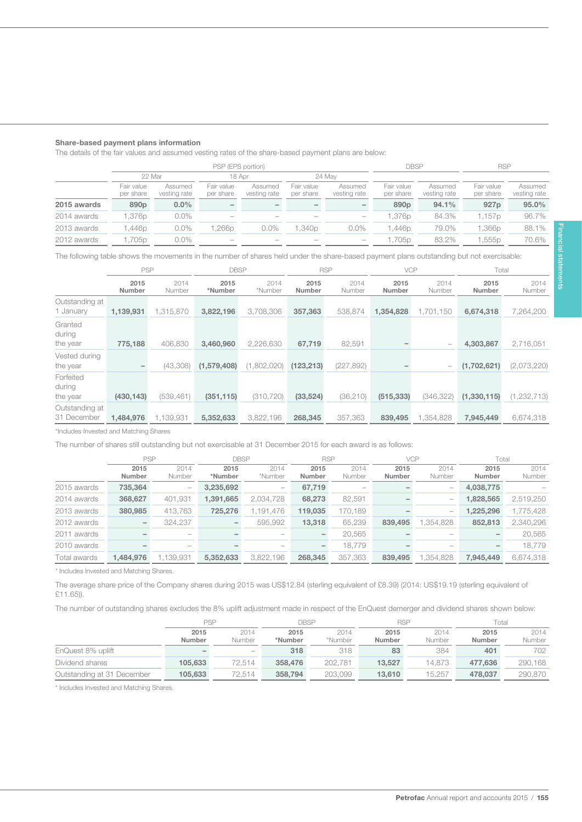#### Share-based payment plans information

155

The details of the fair values and assumed vesting rates of the share-based payment plans are below:

|             |                         | PSP (EPS portion)       |                         |                          |                         |                                 |                         | DBSP                    | <b>RSP</b>              |                         |
|-------------|-------------------------|-------------------------|-------------------------|--------------------------|-------------------------|---------------------------------|-------------------------|-------------------------|-------------------------|-------------------------|
|             | 22 Mar                  |                         | 18 Apr                  |                          |                         | 24 May                          |                         |                         |                         |                         |
|             | Fair value<br>per share | Assumed<br>vesting rate | Fair value<br>per share | Assumed<br>vesting rate  | Fair value<br>per share | Assumed<br>vesting rate         | Fair value<br>per share | Assumed<br>vesting rate | Fair value<br>per share | Assumed<br>vesting rate |
| 2015 awards | 890 <sub>p</sub>        | $0.0\%$                 |                         | $\overline{\phantom{a}}$ | -                       |                                 | 890 <sub>p</sub>        | 94.1%                   | 927 <sub>p</sub>        | 95.0%                   |
| 2014 awards | .376p                   | $0.0\%$                 | $\hspace{0.05cm}$       | $\hspace{0.05cm}$        | $\hspace{0.05cm}$       | $\hspace{0.1mm}-\hspace{0.1mm}$ | .376p                   | 84.3%                   | 1.157p                  | 96.7%                   |
| 2013 awards | .446p                   | $0.0\%$                 | .266p                   | $0.0\%$                  | .340 <sub>p</sub>       | $0.0\%$                         | .446p                   | 79.0%                   | .366p                   | 88.1%                   |
| 2012 awards | .705p                   | $0.0\%$                 |                         |                          |                         |                                 | ,705p                   | 83.2%                   | .555 <sub>p</sub>       | 70.6%                   |

The following table shows the movements in the number of shares held under the share-based payment plans outstanding but not exercisable:

|                                 | <b>PSP</b>            |                | <b>DBSP</b>     |                 | <b>RSP</b><br><b>VCP</b> |                | Total                 |                          |                |                |
|---------------------------------|-----------------------|----------------|-----------------|-----------------|--------------------------|----------------|-----------------------|--------------------------|----------------|----------------|
|                                 | 2015<br><b>Number</b> | 2014<br>Number | 2015<br>*Number | 2014<br>*Number | 2015<br><b>Number</b>    | 2014<br>Number | 2015<br><b>Number</b> | 2014<br>Number           | 2015<br>Number | 2014<br>Number |
| Outstanding at<br>1 January     | 1,139,931             | 1,315,870      | 3,822,196       | 3,708,306       | 357,363                  | 538,874        | 1,354,828             | 1,701,150                | 6,674,318      | 7,264,200      |
| Granted<br>during<br>the year   | 775,188               | 406,830        | 3,460,960       | 2,226,630       | 67,719                   | 82,591         |                       | $\overline{\phantom{a}}$ | 4,303,867      | 2,716,051      |
| Vested during<br>the year       |                       | (43,308)       | (1,579,408)     | (1,802,020)     | (123, 213)               | (227, 892)     |                       | $\overline{\phantom{m}}$ | (1,702,621)    | (2,073,220)    |
| Forfeited<br>during<br>the year | (430, 143)            | (539, 461)     | (351, 115)      | (310, 720)      | (33, 524)                | (36,210)       | (515, 333)            | (346, 322)               | (1,330,115)    | (1, 232, 713)  |
| Outstanding at<br>31 December   | 1,484,976             | 1,139,931      | 5,352,633       | 3,822,196       | 268,345                  | 357,363        | 839,495               | 1,354,828                | 7,945,449      | 6,674,318      |

\*Includes Invested and Matching Shares

The number of shares still outstanding but not exercisable at 31 December 2015 for each award is as follows:

|              | <b>PSP</b>    |                                 | <b>DBSP</b> |                                 | <b>RSP</b>    |         | <b>VCP</b> |          | Total     |           |
|--------------|---------------|---------------------------------|-------------|---------------------------------|---------------|---------|------------|----------|-----------|-----------|
|              | 2015          | 2014                            | 2015        | 2014                            | 2015          | 2014    | 2015       | 2014     | 2015      | 2014      |
|              | <b>Number</b> | Number                          | *Number     | *Number                         | <b>Number</b> | Number  | Number     | Number   | Number    | Number    |
| 2015 awards  | 735,364       | $\qquad \qquad -$               | 3,235,692   | $\hspace{0.1mm}-\hspace{0.1mm}$ | 67,719        |         |            |          | 4,038,775 |           |
| 2014 awards  | 368,627       | 401,931                         | 1,391,665   | 2.034.728                       | 68,273        | 82,591  |            |          | 1,828,565 | 2,519,250 |
| 2013 awards  | 380,985       | 413,763                         | 725,276     | 1,191,476                       | 119,035       | 170,189 |            |          | 1,225,296 | ,775,428  |
| 2012 awards  |               | 324,237                         |             | 595,992                         | 13,318        | 65,239  | 839,495    | ,354,828 | 852,813   | 2,340,296 |
| 2011 awards  |               | $\hspace{0.1mm}-\hspace{0.1mm}$ |             | $\hspace{0.05cm}$               | -             | 20,565  |            |          |           | 20,565    |
| 2010 awards  |               | $\overline{\phantom{a}}$        |             | $\hspace{0.05cm}$               | -             | 18.779  |            |          |           | 18.779    |
| Total awards | 1,484,976     | 1.139.931                       | 5,352,633   | 3.822.196                       | 268,345       | 357,363 | 839,495    | .354.828 | 7.945.449 | 6,674,318 |

\* Includes Invested and Matching Shares.

The average share price of the Company shares during 2015 was US\$12.84 (sterling equivalent of £8.39) (2014: US\$19.19 (sterling equivalent of £11.65)).

The number of outstanding shares excludes the 8% uplift adjustment made in respect of the EnQuest demerger and dividend shares shown below:

|                            | PSP                      |                                 |         | <b>DBSP</b> |               | <b>RSP</b> | Total         |         |
|----------------------------|--------------------------|---------------------------------|---------|-------------|---------------|------------|---------------|---------|
|                            | 2015                     | 2014                            | 2015    | 2014        | 2015          | 2014       | 2015          | 2014    |
|                            | <b>Number</b>            | Number                          | *Number | *Number     | <b>Number</b> | Number     | <b>Number</b> | Number  |
| EnQuest 8% uplift          | $\overline{\phantom{a}}$ | $\hspace{0.1mm}-\hspace{0.1mm}$ | 318     | 318         | 83            | 384        | 401           | 702     |
| Dividend shares            | 105.633                  | 72.514                          | 358,476 | 202,781     | 13.527        | 14.873     | 477.636       | 290,168 |
| Outstanding at 31 December | 105.633                  | 72.514                          | 358,794 | 203.099     | 13.610        | 15.257     | 478.037       | 290.870 |

\* Includes Invested and Matching Shares.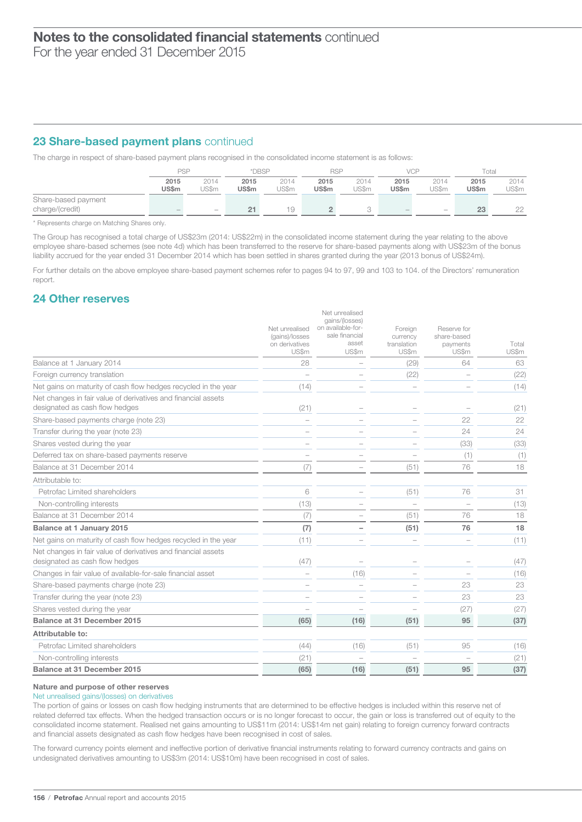# 23 Share-based payment plans continued

The charge in respect of share-based payment plans recognised in the consolidated income statement is as follows:

|                     | <b>PSP</b>    |                          | *DBSP<br><b>RSP</b>  |               |                      | VCP           |                          | Total                    |               |               |
|---------------------|---------------|--------------------------|----------------------|---------------|----------------------|---------------|--------------------------|--------------------------|---------------|---------------|
|                     | 2015<br>US\$m | 2014<br>JS\$m            | 2015<br><b>US\$m</b> | 2014<br>US\$m | 2015<br><b>US\$m</b> | 2014<br>US\$m | 2015<br>US\$m            | 2014<br>US\$m            | 2015<br>US\$m | 2014<br>JS\$m |
| Share-based payment |               |                          |                      |               |                      |               |                          |                          |               |               |
| charge/(credit)     |               | $\overline{\phantom{a}}$ | 21                   | 19            |                      |               | $\overline{\phantom{a}}$ | $\overline{\phantom{a}}$ | 23            | nn            |

\* Represents charge on Matching Shares only.

The Group has recognised a total charge of US\$23m (2014: US\$22m) in the consolidated income statement during the year relating to the above employee share-based schemes (see note 4d) which has been transferred to the reserve for share-based payments along with US\$23m of the bonus liability accrued for the year ended 31 December 2014 which has been settled in shares granted during the year (2013 bonus of US\$24m).

For further details on the above employee share-based payment schemes refer to pages 94 to 97, 99 and 103 to 104. of the Directors' remuneration report.

### 24 Other reserves

|                                                                                                 | Net unrealised<br>(gains)/losses<br>on derivatives<br>US\$m | Net unrealised<br>gains/(losses)<br>on available-for-<br>sale financial<br>asset<br>US\$m | Foreign<br>currency<br>translation<br>US\$m | Reserve for<br>share-based<br>payments<br>US\$m | Total<br>US\$m |
|-------------------------------------------------------------------------------------------------|-------------------------------------------------------------|-------------------------------------------------------------------------------------------|---------------------------------------------|-------------------------------------------------|----------------|
| Balance at 1 January 2014                                                                       | 28                                                          |                                                                                           | (29)                                        | 64                                              | 63             |
| Foreign currency translation                                                                    |                                                             |                                                                                           | (22)                                        |                                                 | (22)           |
| Net gains on maturity of cash flow hedges recycled in the year                                  | (14)                                                        |                                                                                           |                                             |                                                 | (14)           |
| Net changes in fair value of derivatives and financial assets<br>designated as cash flow hedges | (21)                                                        |                                                                                           |                                             |                                                 | (21)           |
| Share-based payments charge (note 23)                                                           |                                                             |                                                                                           |                                             | 22                                              | 22             |
| Transfer during the year (note 23)                                                              |                                                             |                                                                                           |                                             | 24                                              | 24             |
| Shares vested during the year                                                                   |                                                             |                                                                                           |                                             | (33)                                            | (33)           |
| Deferred tax on share-based payments reserve                                                    |                                                             |                                                                                           |                                             | (1)                                             | (1)            |
| Balance at 31 December 2014                                                                     | (7)                                                         |                                                                                           | (51)                                        | 76                                              | 18             |
| Attributable to:                                                                                |                                                             |                                                                                           |                                             |                                                 |                |
| Petrofac Limited shareholders                                                                   | 6                                                           |                                                                                           | (51)                                        | 76                                              | 31             |
| Non-controlling interests                                                                       | (13)                                                        |                                                                                           |                                             |                                                 | (13)           |
| Balance at 31 December 2014                                                                     | (7)                                                         |                                                                                           | (51)                                        | 76                                              | 18             |
| <b>Balance at 1 January 2015</b>                                                                | (7)                                                         |                                                                                           | (51)                                        | 76                                              | 18             |
| Net gains on maturity of cash flow hedges recycled in the year                                  | (11)                                                        |                                                                                           |                                             |                                                 | (11)           |
| Net changes in fair value of derivatives and financial assets<br>designated as cash flow hedges | (47)                                                        |                                                                                           |                                             |                                                 | (47)           |
| Changes in fair value of available-for-sale financial asset                                     |                                                             | (16)                                                                                      |                                             |                                                 | (16)           |
| Share-based payments charge (note 23)                                                           |                                                             |                                                                                           |                                             | 23                                              | 23             |
| Transfer during the year (note 23)                                                              |                                                             |                                                                                           |                                             | 23                                              | 23             |
| Shares vested during the year                                                                   |                                                             |                                                                                           |                                             | (27)                                            | (27)           |
| Balance at 31 December 2015                                                                     | (65)                                                        | (16)                                                                                      | (51)                                        | 95                                              | (37)           |
| Attributable to:                                                                                |                                                             |                                                                                           |                                             |                                                 |                |
| Petrofac Limited shareholders                                                                   | (44)                                                        | (16)                                                                                      | (51)                                        | 95                                              | (16)           |
| Non-controlling interests                                                                       | (21)                                                        |                                                                                           |                                             |                                                 | (21)           |
| Balance at 31 December 2015                                                                     | (65)                                                        | (16)                                                                                      | (51)                                        | 95                                              | (37)           |
|                                                                                                 |                                                             |                                                                                           |                                             |                                                 |                |

#### Nature and purpose of other reserves

Net unrealised gains/(losses) on derivatives

The portion of gains or losses on cash flow hedging instruments that are determined to be effective hedges is included within this reserve net of related deferred tax effects. When the hedged transaction occurs or is no longer forecast to occur, the gain or loss is transferred out of equity to the consolidated income statement. Realised net gains amounting to US\$11m (2014: US\$14m net gain) relating to foreign currency forward contracts and financial assets designated as cash flow hedges have been recognised in cost of sales.

The forward currency points element and ineffective portion of derivative financial instruments relating to forward currency contracts and gains on undesignated derivatives amounting to US\$3m (2014: US\$10m) have been recognised in cost of sales.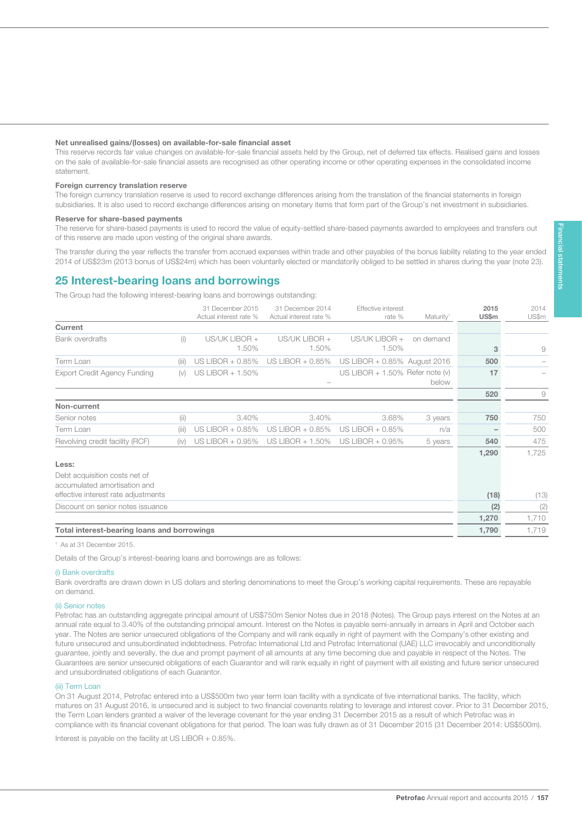#### Net unrealised gains/(losses) on available-for-sale financial asset

This reserve records fair value changes on available-for-sale financial assets held by the Group, net of deferred tax effects. Realised gains and losses on the sale of available-for-sale financial assets are recognised as other operating income or other operating expenses in the consolidated income statement.

#### Foreign currency translation reserve

157

The foreign currency translation reserve is used to record exchange differences arising from the translation of the financial statements in foreign subsidiaries. It is also used to record exchange differences arising on monetary items that form part of the Group's net investment in subsidiaries.

#### Reserve for share-based payments

The reserve for share-based payments is used to record the value of equity-settled share-based payments awarded to employees and transfers out of this reserve are made upon vesting of the original share awards.

The transfer during the year reflects the transfer from accrued expenses within trade and other payables of the bonus liability relating to the year ended 2014 of US\$23m (2013 bonus of US\$24m) which has been voluntarily elected or mandatorily obliged to be settled in shares during the year (note 23).

### 25 Interest-bearing loans and borrowings

The Group had the following interest-bearing loans and borrowings outstanding:

|                                                               |       | 31 December 2015<br>Actual interest rate % | 31 December 2014<br>Actual interest rate % | Effective interest<br>rate %       | Maturity <sup>1</sup> | 2015<br>US\$m | 2014<br>US\$m |
|---------------------------------------------------------------|-------|--------------------------------------------|--------------------------------------------|------------------------------------|-----------------------|---------------|---------------|
| Current                                                       |       |                                            |                                            |                                    |                       |               |               |
| <b>Bank overdrafts</b>                                        | (i)   | US/UK LIBOR +<br>1.50%                     | US/UK LIBOR +<br>1.50%                     | US/UK LIBOR +<br>1.50%             | on demand             | 3             | 9             |
| Term Loan                                                     | (iii) | US LIBOR + 0.85%                           | US LIBOR + 0.85%                           | US LIBOR + 0.85% August 2016       |                       | 500           |               |
| <b>Export Credit Agency Funding</b>                           | (v)   | US LIBOR + 1.50%                           |                                            | US LIBOR $+ 1.50\%$ Refer note (v) | below                 | 17            |               |
|                                                               |       |                                            |                                            |                                    |                       | 520           | 9             |
| Non-current                                                   |       |                                            |                                            |                                    |                       |               |               |
| Senior notes                                                  | (ii)  | 3.40%                                      | 3.40%                                      | 3.68%                              | 3 years               | 750           | 750           |
| Term Loan                                                     | (iii) | US LIBOR + 0.85%                           | US LIBOR $+$ 0.85%                         | US LIBOR $+$ 0.85%                 | n/a                   |               | 500           |
| Revolving credit facility (RCF)                               | (iv)  | US LIBOR + 0.95%                           | US LIBOR + 1.50%                           | US LIBOR $+$ 0.95%                 | 5 years               | 540           | 475           |
| Less:                                                         |       |                                            |                                            |                                    |                       | 1,290         | 1,725         |
| Debt acquisition costs net of<br>accumulated amortisation and |       |                                            |                                            |                                    |                       |               |               |
| effective interest rate adjustments                           |       |                                            |                                            |                                    |                       | (18)          | (13)          |
| Discount on senior notes issuance                             |       |                                            |                                            |                                    |                       | (2)           | (2)           |
|                                                               |       |                                            |                                            |                                    |                       | 1,270         | 1,710         |
| Total interest-bearing loans and borrowings                   |       |                                            |                                            |                                    |                       | 1,790         | 1,719         |

#### <sup>1</sup> As at 31 December 2015.

Details of the Group's interest-bearing loans and borrowings are as follows:

#### (i) Bank overdrafts

Bank overdrafts are drawn down in US dollars and sterling denominations to meet the Group's working capital requirements. These are repayable on demand.

#### (ii) Senior notes

Petrofac has an outstanding aggregate principal amount of US\$750m Senior Notes due in 2018 (Notes). The Group pays interest on the Notes at an annual rate equal to 3.40% of the outstanding principal amount. Interest on the Notes is payable semi-annually in arrears in April and October each year. The Notes are senior unsecured obligations of the Company and will rank equally in right of payment with the Company's other existing and future unsecured and unsubordinated indebtedness. Petrofac International Ltd and Petrofac International (UAE) LLC irrevocably and unconditionally guarantee, jointly and severally, the due and prompt payment of all amounts at any time becoming due and payable in respect of the Notes. The Guarantees are senior unsecured obligations of each Guarantor and will rank equally in right of payment with all existing and future senior unsecured and unsubordinated obligations of each Guarantor.

#### (iii) Term Loan

On 31 August 2014, Petrofac entered into a US\$500m two year term loan facility with a syndicate of five international banks. The facility, which matures on 31 August 2016, is unsecured and is subject to two financial covenants relating to leverage and interest cover. Prior to 31 December 2015, the Term Loan lenders granted a waiver of the leverage covenant for the year ending 31 December 2015 as a result of which Petrofac was in compliance with its financial covenant obligations for that period. The loan was fully drawn as of 31 December 2015 (31 December 2014: US\$500m).

Interest is payable on the facility at US LIBOR + 0.85%.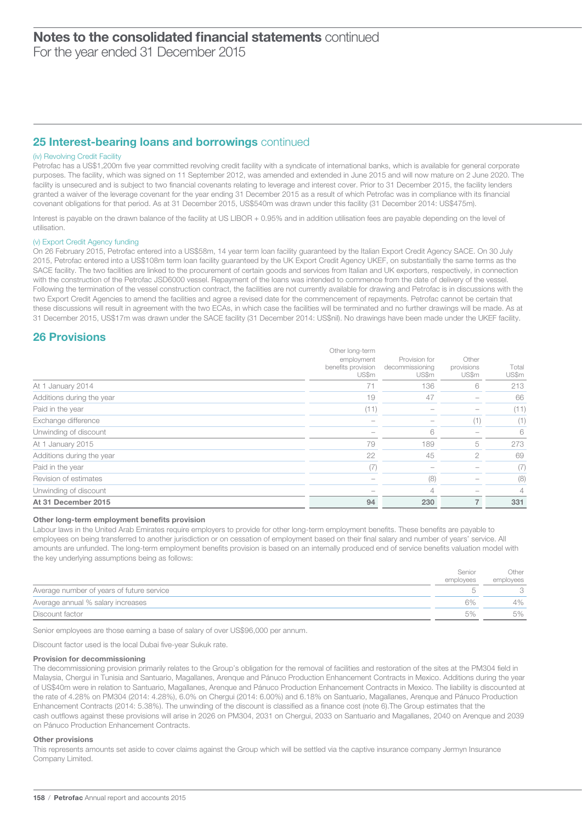For the year ended 31 December 2015

# 25 Interest-bearing loans and borrowings continued

#### (iv) Revolving Credit Facility

Petrofac has a US\$1,200m five year committed revolving credit facility with a syndicate of international banks, which is available for general corporate purposes. The facility, which was signed on 11 September 2012, was amended and extended in June 2015 and will now mature on 2 June 2020. The facility is unsecured and is subject to two financial covenants relating to leverage and interest cover. Prior to 31 December 2015, the facility lenders granted a waiver of the leverage covenant for the year ending 31 December 2015 as a result of which Petrofac was in compliance with its financial covenant obligations for that period. As at 31 December 2015, US\$540m was drawn under this facility (31 December 2014: US\$475m).

Interest is payable on the drawn balance of the facility at US LIBOR + 0.95% and in addition utilisation fees are payable depending on the level of utilisation.

#### (v) Export Credit Agency funding

On 26 February 2015, Petrofac entered into a US\$58m, 14 year term loan facility guaranteed by the Italian Export Credit Agency SACE. On 30 July 2015, Petrofac entered into a US\$108m term loan facility guaranteed by the UK Export Credit Agency UKEF, on substantially the same terms as the SACE facility. The two facilities are linked to the procurement of certain goods and services from Italian and UK exporters, respectively, in connection with the construction of the Petrofac JSD6000 vessel. Repayment of the loans was intended to commence from the date of delivery of the vessel. Following the termination of the vessel construction contract, the facilities are not currently available for drawing and Petrofac is in discussions with the two Export Credit Agencies to amend the facilities and agree a revised date for the commencement of repayments. Petrofac cannot be certain that these discussions will result in agreement with the two ECAs, in which case the facilities will be terminated and no further drawings will be made. As at 31 December 2015, US\$17m was drawn under the SACE facility (31 December 2014: US\$nil). No drawings have been made under the UKEF facility.

### 26 Provisions

|                           | Other long-term<br>employment<br>benefits provision<br>US\$m | Provision for<br>decommissioning<br>US\$m | Other<br>provisions<br>US\$m | Total<br>US\$m |
|---------------------------|--------------------------------------------------------------|-------------------------------------------|------------------------------|----------------|
| At 1 January 2014         | 71                                                           | 136                                       | 6                            | 213            |
| Additions during the year | 19                                                           | 47                                        |                              | 66             |
| Paid in the year          | (11)                                                         |                                           |                              | (11)           |
| Exchange difference       |                                                              |                                           | (1)                          | (1)            |
| Unwinding of discount     |                                                              | 6                                         |                              | 6              |
| At 1 January 2015         | 79                                                           | 189                                       | 5                            | 273            |
| Additions during the year | 22                                                           | 45                                        | $\mathfrak{D}$               | 69             |
| Paid in the year          | (7)                                                          |                                           |                              | (7)            |
| Revision of estimates     |                                                              | (8)                                       |                              | (8)            |
| Unwinding of discount     |                                                              | 4                                         |                              | 4              |
| At 31 December 2015       | 94                                                           | 230                                       | $\overline{7}$               | 331            |

#### Other long-term employment benefits provision

Labour laws in the United Arab Emirates require employers to provide for other long-term employment benefits. These benefits are payable to employees on being transferred to another jurisdiction or on cessation of employment based on their final salary and number of years' service. All amounts are unfunded. The long-term employment benefits provision is based on an internally produced end of service benefits valuation model with the key underlying assumptions being as follows:

|                                           | Senior    | Other     |
|-------------------------------------------|-----------|-----------|
|                                           | employees | employees |
| Average number of years of future service |           |           |
| Average annual % salary increases         | 6%        | 4%        |
| Discount factor                           | 5%        | 5%        |

Senior employees are those earning a base of salary of over US\$96,000 per annum.

Discount factor used is the local Dubai five-year Sukuk rate.

#### Provision for decommissioning

The decommissioning provision primarily relates to the Group's obligation for the removal of facilities and restoration of the sites at the PM304 field in Malaysia, Chergui in Tunisia and Santuario, Magallanes, Arenque and Pánuco Production Enhancement Contracts in Mexico. Additions during the year of US\$40m were in relation to Santuario, Magallanes, Arenque and Pánuco Production Enhancement Contracts in Mexico. The liability is discounted at the rate of 4.28% on PM304 (2014: 4.28%), 6.0% on Chergui (2014: 6.00%) and 6.18% on Santuario, Magallanes, Arenque and Pánuco Production Enhancement Contracts (2014: 5.38%). The unwinding of the discount is classified as a finance cost (note 6).The Group estimates that the cash outflows against these provisions will arise in 2026 on PM304, 2031 on Chergui, 2033 on Santuario and Magallanes, 2040 on Arenque and 2039 on Pánuco Production Enhancement Contracts.

#### Other provisions

This represents amounts set aside to cover claims against the Group which will be settled via the captive insurance company Jermyn Insurance Company Limited.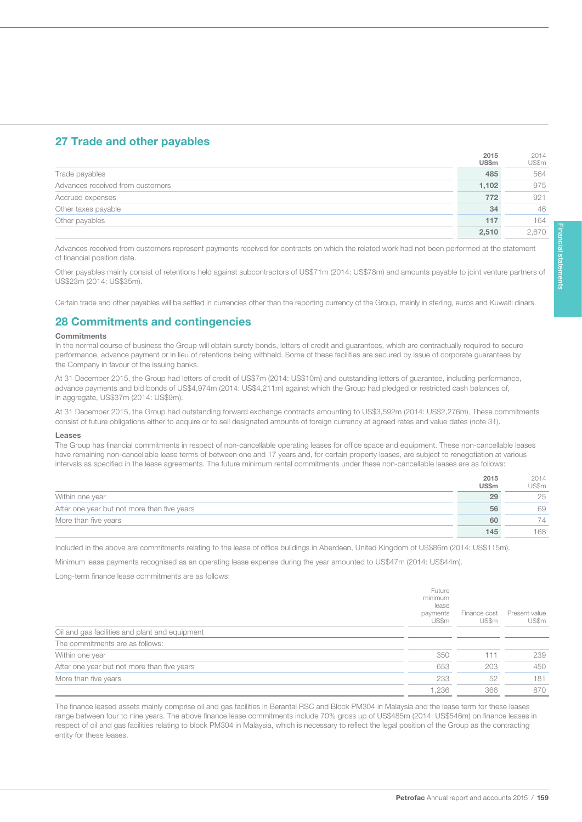# 27 Trade and other payables

|                                  | 2015<br><b>US\$m</b> | 2014<br>US\$m |
|----------------------------------|----------------------|---------------|
| Trade payables                   | 485                  | 564           |
| Advances received from customers | 1,102                | 975           |
| Accrued expenses                 | 772                  | 921           |
| Other taxes payable              | 34                   | 46            |
| Other payables                   | 117                  | 164           |
|                                  | 2.510                | 2.670         |

Advances received from customers represent payments received for contracts on which the related work had not been performed at the statement of financial position date.

Other payables mainly consist of retentions held against subcontractors of US\$71m (2014: US\$78m) and amounts payable to joint venture partners of US\$23m (2014: US\$35m).

Certain trade and other payables will be settled in currencies other than the reporting currency of the Group, mainly in sterling, euros and Kuwaiti dinars.

### 28 Commitments and contingencies

#### **Commitments**

159

In the normal course of business the Group will obtain surety bonds, letters of credit and guarantees, which are contractually required to secure performance, advance payment or in lieu of retentions being withheld. Some of these facilities are secured by issue of corporate guarantees by the Company in favour of the issuing banks.

At 31 December 2015, the Group had letters of credit of US\$7m (2014: US\$10m) and outstanding letters of guarantee, including performance, advance payments and bid bonds of US\$4,974m (2014: US\$4,211m) against which the Group had pledged or restricted cash balances of, in aggregate, US\$37m (2014: US\$9m).

At 31 December 2015, the Group had outstanding forward exchange contracts amounting to US\$3,592m (2014: US\$2,276m). These commitments consist of future obligations either to acquire or to sell designated amounts of foreign currency at agreed rates and value dates (note 31).

#### Leases

The Group has financial commitments in respect of non-cancellable operating leases for office space and equipment. These non-cancellable leases have remaining non-cancellable lease terms of between one and 17 years and, for certain property leases, are subject to renegotiation at various intervals as specified in the lease agreements. The future minimum rental commitments under these non-cancellable leases are as follows:

|                                             | 2015<br><b>US\$m</b> | 2014<br>US\$m |
|---------------------------------------------|----------------------|---------------|
| Within one year                             | 29                   | 25            |
| After one year but not more than five years | 56                   | 69            |
| More than five years                        | 60                   | 74            |
|                                             | 145                  | 168           |

Included in the above are commitments relating to the lease of office buildings in Aberdeen, United Kingdom of US\$86m (2014: US\$115m).

Minimum lease payments recognised as an operating lease expense during the year amounted to US\$47m (2014: US\$44m).

Long-term finance lease commitments are as follows:

|                                                | Future<br>minimum<br>lease<br>payments<br>US\$m | Finance cost<br>US\$m | Present value<br>US\$m |
|------------------------------------------------|-------------------------------------------------|-----------------------|------------------------|
| Oil and gas facilities and plant and equipment |                                                 |                       |                        |
| The commitments are as follows:                |                                                 |                       |                        |
| Within one year                                | 350                                             | 111                   | 239                    |
| After one year but not more than five years    | 653                                             | 203                   | 450                    |
| More than five years                           | 233                                             | 52                    | 181                    |
|                                                | .236                                            | 366                   | 870                    |

The finance leased assets mainly comprise oil and gas facilities in Berantai RSC and Block PM304 in Malaysia and the lease term for these leases range between four to nine years. The above finance lease commitments include 70% gross up of US\$485m (2014: US\$546m) on finance leases in respect of oil and gas facilities relating to block PM304 in Malaysia, which is necessary to reflect the legal position of the Group as the contracting entity for these leases.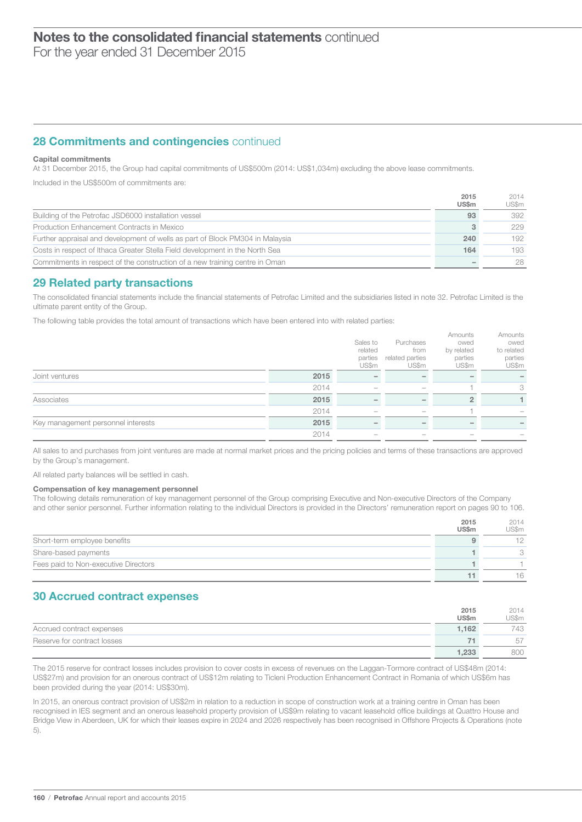# $\overline{\phantom{0}}$ Notes to the consolidated financial statements continued

For the year ended 31 December 2015

# **28 Commitments and contingencies continued**

#### Capital commitments

At 31 December 2015, the Group had capital commitments of US\$500m (2014: US\$1,034m) excluding the above lease commitments.

Included in the US\$500m of commitments are:

|                                                                               | 2015<br><b>US\$m</b> | 2014<br>US\$m |
|-------------------------------------------------------------------------------|----------------------|---------------|
| Building of the Petrofac JSD6000 installation vessel                          | 93                   | 392           |
| Production Enhancement Contracts in Mexico                                    |                      | 229           |
| Further appraisal and development of wells as part of Block PM304 in Malaysia | 240                  | 192           |
| Costs in respect of Ithaca Greater Stella Field development in the North Sea  | 164                  | 193           |
| Commitments in respect of the construction of a new training centre in Oman   |                      | 28            |

### 29 Related party transactions

The consolidated financial statements include the financial statements of Petrofac Limited and the subsidiaries listed in note 32. Petrofac Limited is the ultimate parent entity of the Group.

The following table provides the total amount of transactions which have been entered into with related parties:

|                                    |      | Sales to<br>related<br>parties<br>US\$m | Purchases<br>from<br>related parties<br>US\$m | Amounts<br>owed<br>by related<br>parties<br>US\$m | Amounts<br>owed<br>to related<br>parties<br>US\$m |
|------------------------------------|------|-----------------------------------------|-----------------------------------------------|---------------------------------------------------|---------------------------------------------------|
| Joint ventures                     | 2015 |                                         |                                               |                                                   |                                                   |
|                                    | 2014 |                                         |                                               |                                                   | 3                                                 |
| Associates                         | 2015 |                                         |                                               |                                                   |                                                   |
|                                    | 2014 |                                         |                                               |                                                   |                                                   |
| Key management personnel interests | 2015 |                                         |                                               |                                                   |                                                   |
|                                    | 2014 |                                         |                                               |                                                   |                                                   |

All sales to and purchases from joint ventures are made at normal market prices and the pricing policies and terms of these transactions are approved by the Group's management.

All related party balances will be settled in cash.

#### Compensation of key management personnel

The following details remuneration of key management personnel of the Group comprising Executive and Non-executive Directors of the Company and other senior personnel. Further information relating to the individual Directors is provided in the Directors' remuneration report on pages 90 to 106.

|                                      | 2015<br>US\$ <sub>m</sub> | 2014<br>US\$m |
|--------------------------------------|---------------------------|---------------|
| Short-term employee benefits         |                           |               |
| Share-based payments                 |                           |               |
| Fees paid to Non-executive Directors |                           |               |
|                                      |                           | 16            |

# 30 Accrued contract expenses

|                             | 2015         | 2014   |
|-----------------------------|--------------|--------|
|                             | <b>US\$m</b> | 'JS\$m |
| Accrued contract expenses   | 1.162        | 743    |
| Reserve for contract losses | 71           | 57     |
|                             | 1,233        | 800    |

The 2015 reserve for contract losses includes provision to cover costs in excess of revenues on the Laggan-Tormore contract of US\$48m (2014: US\$27m) and provision for an onerous contract of US\$12m relating to Ticleni Production Enhancement Contract in Romania of which US\$6m has been provided during the year (2014: US\$30m).

In 2015, an onerous contract provision of US\$2m in relation to a reduction in scope of construction work at a training centre in Oman has been recognised in IES segment and an onerous leasehold property provision of US\$9m relating to vacant leasehold office buildings at Quattro House and Bridge View in Aberdeen, UK for which their leases expire in 2024 and 2026 respectively has been recognised in Offshore Projects & Operations (note 5).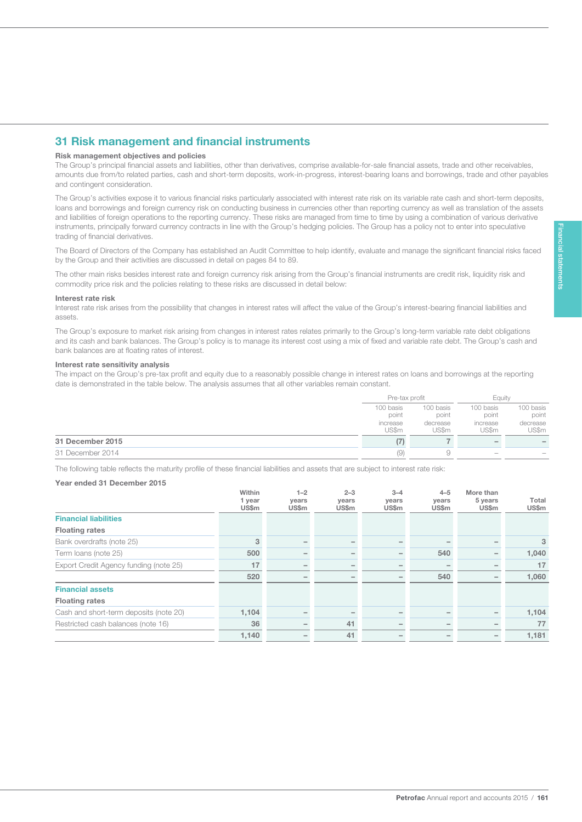# 31 Risk management and financial instruments

#### Risk management objectives and policies

The Group's principal financial assets and liabilities, other than derivatives, comprise available-for-sale financial assets, trade and other receivables, amounts due from/to related parties, cash and short-term deposits, work-in-progress, interest-bearing loans and borrowings, trade and other payables and contingent consideration.

The Group's activities expose it to various financial risks particularly associated with interest rate risk on its variable rate cash and short-term deposits, loans and borrowings and foreign currency risk on conducting business in currencies other than reporting currency as well as translation of the assets and liabilities of foreign operations to the reporting currency. These risks are managed from time to time by using a combination of various derivative instruments, principally forward currency contracts in line with the Group's hedging policies. The Group has a policy not to enter into speculative trading of financial derivatives.

The Board of Directors of the Company has established an Audit Committee to help identify, evaluate and manage the significant financial risks faced by the Group and their activities are discussed in detail on pages 84 to 89.

The other main risks besides interest rate and foreign currency risk arising from the Group's financial instruments are credit risk, liquidity risk and commodity price risk and the policies relating to these risks are discussed in detail below:

#### Interest rate risk

161

Interest rate risk arises from the possibility that changes in interest rates will affect the value of the Group's interest-bearing financial liabilities and assets.

The Group's exposure to market risk arising from changes in interest rates relates primarily to the Group's long-term variable rate debt obligations and its cash and bank balances. The Group's policy is to manage its interest cost using a mix of fixed and variable rate debt. The Group's cash and bank balances are at floating rates of interest.

#### Interest rate sensitivity analysis

The impact on the Group's pre-tax profit and equity due to a reasonably possible change in interest rates on loans and borrowings at the reporting date is demonstrated in the table below. The analysis assumes that all other variables remain constant.

|                  | Pre-tax profit |           | Eauity                   |                          |
|------------------|----------------|-----------|--------------------------|--------------------------|
|                  | 100 basis      | 100 basis | 100 basis                | 100 basis                |
|                  | point          | point     | point                    | point                    |
|                  | increase       | decrease  | increase                 | decrease                 |
|                  | US\$m          | US\$m     | US\$m                    | US\$m                    |
| 31 December 2015 | (7)            |           |                          | $\overline{\phantom{a}}$ |
| 31 December 2014 | (9)            | У         | $\overline{\phantom{a}}$ |                          |

The following table reflects the maturity profile of these financial liabilities and assets that are subject to interest rate risk:

#### Year ended 31 December 2015

|                                        | Within<br>1 year<br>US\$m | $1 - 2$<br>years<br>US\$m | $2 - 3$<br>years<br>US\$m | $3 - 4$<br>years<br>US\$m | $4 - 5$<br>years<br>US\$m | More than<br>5 years<br>US\$m | Total<br>US\$m |
|----------------------------------------|---------------------------|---------------------------|---------------------------|---------------------------|---------------------------|-------------------------------|----------------|
| <b>Financial liabilities</b>           |                           |                           |                           |                           |                           |                               |                |
| <b>Floating rates</b>                  |                           |                           |                           |                           |                           |                               |                |
| Bank overdrafts (note 25)              | 3                         |                           |                           |                           |                           |                               | 3              |
| Term Ioans (note 25)                   | 500                       |                           |                           | $\overline{\phantom{0}}$  | 540                       |                               | 1,040          |
| Export Credit Agency funding (note 25) | 17                        |                           |                           | -                         |                           |                               | 17             |
|                                        | 520                       | $\overline{\phantom{a}}$  |                           | $\overline{\phantom{a}}$  | 540                       |                               | 1,060          |
| <b>Financial assets</b>                |                           |                           |                           |                           |                           |                               |                |
| <b>Floating rates</b>                  |                           |                           |                           |                           |                           |                               |                |
| Cash and short-term deposits (note 20) | 1,104                     |                           |                           |                           |                           |                               | 1,104          |
| Restricted cash balances (note 16)     | 36                        |                           | 41                        | $\overline{\phantom{a}}$  |                           |                               | 77             |
|                                        | 1,140                     |                           | 41                        | -                         |                           |                               | 1,181          |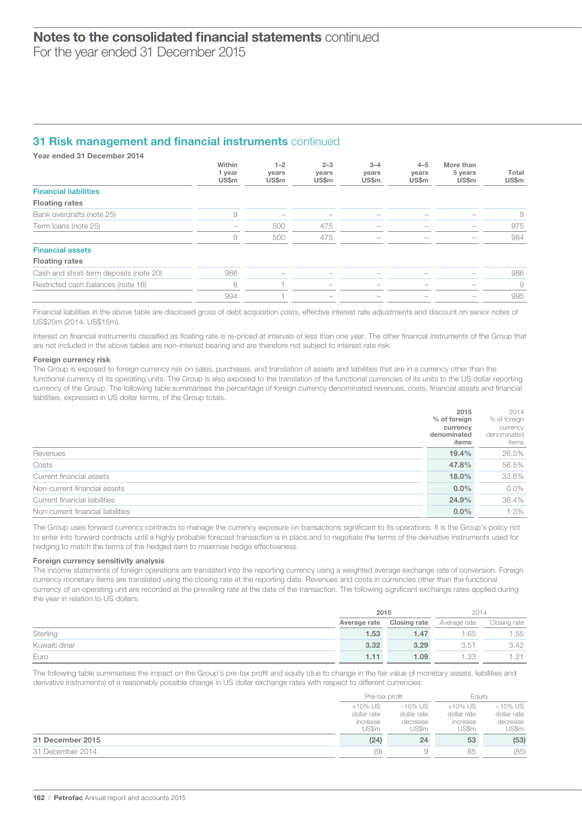## **31 Risk management and financial instruments continued**

Year ended 31 December 2014

|                                        | Within<br>1 year | $1 - 2$<br>years         | $2 - 3$<br>years         | $3 - 4$<br>years         | $4 - 5$<br>years         | More than<br>5 years | Total          |
|----------------------------------------|------------------|--------------------------|--------------------------|--------------------------|--------------------------|----------------------|----------------|
| <b>Financial liabilities</b>           | US\$m            | US\$m                    | US\$m                    | US\$m                    | US\$m                    | US\$m                | US\$m          |
| <b>Floating rates</b>                  |                  |                          |                          |                          |                          |                      |                |
| Bank overdrafts (note 25)              | 9                |                          |                          |                          |                          |                      | 9              |
| Term Ioans (note 25)                   |                  | 500                      | 475                      |                          |                          |                      | 975            |
|                                        | 9                | 500                      | 475                      |                          |                          |                      | 984            |
| <b>Financial assets</b>                |                  |                          |                          |                          |                          |                      |                |
| <b>Floating rates</b>                  |                  |                          |                          |                          |                          |                      |                |
| Cash and short-term deposits (note 20) | 986              | $\overline{\phantom{m}}$ |                          |                          |                          |                      | 986            |
| Restricted cash balances (note 16)     | 8                |                          | $\overline{\phantom{0}}$ | $\overline{\phantom{0}}$ | $\overline{\phantom{0}}$ |                      | $\overline{9}$ |
|                                        | 994              |                          |                          |                          |                          |                      | 995            |

Financial liabilities in the above table are disclosed gross of debt acquisition costs, effective interest rate adjustments and discount on senior notes of US\$20m (2014: US\$15m).

Interest on financial instruments classified as floating rate is re-priced at intervals of less than one year. The other financial instruments of the Group that are not included in the above tables are non-interest bearing and are therefore not subject to interest rate risk.

#### Foreign currency risk

The Group is exposed to foreign currency risk on sales, purchases, and translation of assets and liabilities that are in a currency other than the functional currency of its operating units. The Group is also exposed to the translation of the functional currencies of its units to the US dollar reporting currency of the Group. The following table summarises the percentage of foreign currency denominated revenues, costs, financial assets and financial liabilities, expressed in US dollar terms, of the Group totals.

|                                   | 2015         | 2014         |
|-----------------------------------|--------------|--------------|
|                                   | % of foreign | % of foreign |
|                                   | currency     | currency     |
|                                   | denominated  | denominated  |
|                                   | items        | items        |
| Revenues                          | 19.4%        | 26.5%        |
| Costs                             | 47.8%        | 56.5%        |
| Current financial assets          | 18.0%        | 33.6%        |
| Non-current financial assets      | $0.0\%$      | $0.0\%$      |
| Current financial liabilities     | 24.9%        | 36.4%        |
| Non-current financial liabilities | $0.0\%$      | 1.3%         |

The Group uses forward currency contracts to manage the currency exposure on transactions significant to its operations. It is the Group's policy not to enter into forward contracts until a highly probable forecast transaction is in place and to negotiate the terms of the derivative instruments used for hedging to match the terms of the hedged item to maximise hedge effectiveness.

#### Foreign currency sensitivity analysis

The income statements of foreign operations are translated into the reporting currency using a weighted average exchange rate of conversion. Foreign currency monetary items are translated using the closing rate at the reporting date. Revenues and costs in currencies other than the functional currency of an operating unit are recorded at the prevailing rate at the date of the transaction. The following significant exchange rates applied during the year in relation to US dollars:

|               |              | 2015                |              | 2014         |
|---------------|--------------|---------------------|--------------|--------------|
|               | Average rate | <b>Closing rate</b> | Average rate | Closing rate |
| Sterling      | 1.53         | 1.47                | .65          | 1.55         |
| Kuwaiti dinar | 3.32         | 3.29                | 3.51         | 3.42         |
| Euro          | 1.11         | 1.09                | .33          | ـ 21. ا      |

The following table summarises the impact on the Group's pre-tax profit and equity (due to change in the fair value of monetary assets, liabilities and derivative instruments) of a reasonably possible change in US dollar exchange rates with respect to different currencies:

|                  | Pre-tax profit                                 |                                                | Eauitv                                      |                                                |
|------------------|------------------------------------------------|------------------------------------------------|---------------------------------------------|------------------------------------------------|
|                  | $+10\%$ US<br>dollar rate<br>increase<br>US\$m | $-10\%$ US<br>dollar rate<br>decrease<br>US\$m | +10% US<br>dollar rate<br>increase<br>US\$m | $-10\%$ US<br>dollar rate<br>decrease<br>US\$m |
| 31 December 2015 | (24)                                           | 24                                             | 53                                          | (53)                                           |
| 31 December 2014 | (9)                                            |                                                | 85                                          | (85)                                           |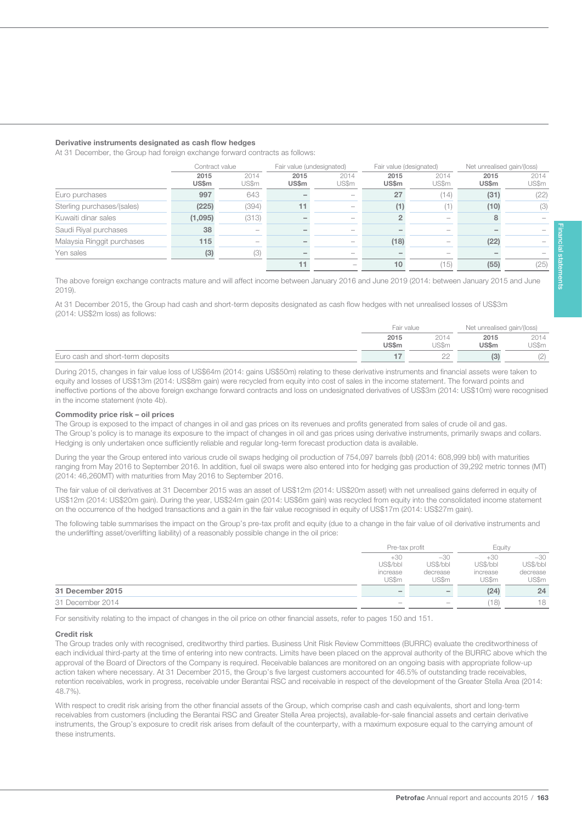#### Derivative instruments designated as cash flow hedges

At 31 December, the Group had foreign exchange forward contracts as follows:

|                            | Contract value |               | Fair value (undesignated) |                          | Fair value (designated) |               | Net unrealised gain/(loss) |               |
|----------------------------|----------------|---------------|---------------------------|--------------------------|-------------------------|---------------|----------------------------|---------------|
|                            | 2015<br>US\$m  | 2014<br>US\$m | 2015<br><b>US\$m</b>      | 2014<br>US\$m            | 2015<br>US\$m           | 2014<br>US\$m | 2015<br>US\$m              | 2014<br>US\$m |
| Euro purchases             | 997            | 643           |                           |                          | 27                      | (14)          | (31)                       | (22)          |
| Sterling purchases/(sales) | (225)          | (394)         |                           |                          | (1)                     | (1)           | (10)                       | (3)           |
| Kuwaiti dinar sales        | (1,095)        | (313)         |                           |                          |                         |               |                            |               |
| Saudi Riyal purchases      | 38             |               |                           |                          |                         |               |                            |               |
| Malaysia Ringgit purchases | 115            |               |                           |                          | (18)                    |               | (22)                       |               |
| Yen sales                  | (3)            | (3)           |                           |                          |                         |               |                            |               |
|                            |                |               |                           | $\overline{\phantom{a}}$ | 10                      | 15)           | (55)                       | (25)          |

The above foreign exchange contracts mature and will affect income between January 2016 and June 2019 (2014: between January 2015 and June 2019).

At 31 December 2015, the Group had cash and short-term deposits designated as cash flow hedges with net unrealised losses of US\$3m (2014: US\$2m loss) as follows:

|                                   | Fair value |       | Net unrealised gain/(loss) |       |
|-----------------------------------|------------|-------|----------------------------|-------|
|                                   | 2015       | 2014  | 2015                       | 2014  |
|                                   | US\$m      | US\$m | <b>US\$m</b>               | JS\$m |
| Euro cash and short-term deposits |            | $- -$ | (3                         | (2)   |

During 2015, changes in fair value loss of US\$64m (2014: gains US\$50m) relating to these derivative instruments and financial assets were taken to equity and losses of US\$13m (2014: US\$8m gain) were recycled from equity into cost of sales in the income statement. The forward points and ineffective portions of the above foreign exchange forward contracts and loss on undesignated derivatives of US\$3m (2014: US\$10m) were recognised in the income statement (note 4b).

#### Commodity price risk – oil prices

The Group is exposed to the impact of changes in oil and gas prices on its revenues and profits generated from sales of crude oil and gas. The Group's policy is to manage its exposure to the impact of changes in oil and gas prices using derivative instruments, primarily swaps and collars. Hedging is only undertaken once sufficiently reliable and regular long-term forecast production data is available.

During the year the Group entered into various crude oil swaps hedging oil production of 754,097 barrels (bbl) (2014: 608,999 bbl) with maturities ranging from May 2016 to September 2016. In addition, fuel oil swaps were also entered into for hedging gas production of 39,292 metric tonnes (MT) (2014: 46,260MT) with maturities from May 2016 to September 2016.

The fair value of oil derivatives at 31 December 2015 was an asset of US\$12m (2014: US\$20m asset) with net unrealised gains deferred in equity of US\$12m (2014: US\$20m gain). During the year, US\$24m gain (2014: US\$6m gain) was recycled from equity into the consolidated income statement on the occurrence of the hedged transactions and a gain in the fair value recognised in equity of US\$17m (2014: US\$27m gain).

The following table summarises the impact on the Group's pre-tax profit and equity (due to a change in the fair value of oil derivative instruments and the underlifting asset/overlifting liability) of a reasonably possible change in the oil price:

|                  |                                        | Pre-tax profit                         |                                        | Eauitv                                 |
|------------------|----------------------------------------|----------------------------------------|----------------------------------------|----------------------------------------|
|                  | $+30$<br>US\$/bbl<br>increase<br>US\$m | $-30$<br>US\$/bbl<br>decrease<br>US\$m | $+30$<br>US\$/bbl<br>increase<br>US\$m | $-30$<br>US\$/bbl<br>decrease<br>US\$m |
| 31 December 2015 | $\equiv$                               | $\overline{\phantom{a}}$               | (24)                                   | 24                                     |
| 31 December 2014 | $\hspace{0.1mm}-\hspace{0.1mm}$        | $\overline{\phantom{0}}$               | 18)                                    | 18                                     |

For sensitivity relating to the impact of changes in the oil price on other financial assets, refer to pages 150 and 151.

#### Credit risk

The Group trades only with recognised, creditworthy third parties. Business Unit Risk Review Committees (BURRC) evaluate the creditworthiness of each individual third-party at the time of entering into new contracts. Limits have been placed on the approval authority of the BURRC above which the approval of the Board of Directors of the Company is required. Receivable balances are monitored on an ongoing basis with appropriate follow-up action taken where necessary. At 31 December 2015, the Group's five largest customers accounted for 46.5% of outstanding trade receivables, retention receivables, work in progress, receivable under Berantai RSC and receivable in respect of the development of the Greater Stella Area (2014: 48.7%).

With respect to credit risk arising from the other financial assets of the Group, which comprise cash and cash equivalents, short and long-term receivables from customers (including the Berantai RSC and Greater Stella Area projects), available-for-sale financial assets and certain derivative instruments, the Group's exposure to credit risk arises from default of the counterparty, with a maximum exposure equal to the carrying amount of these instruments.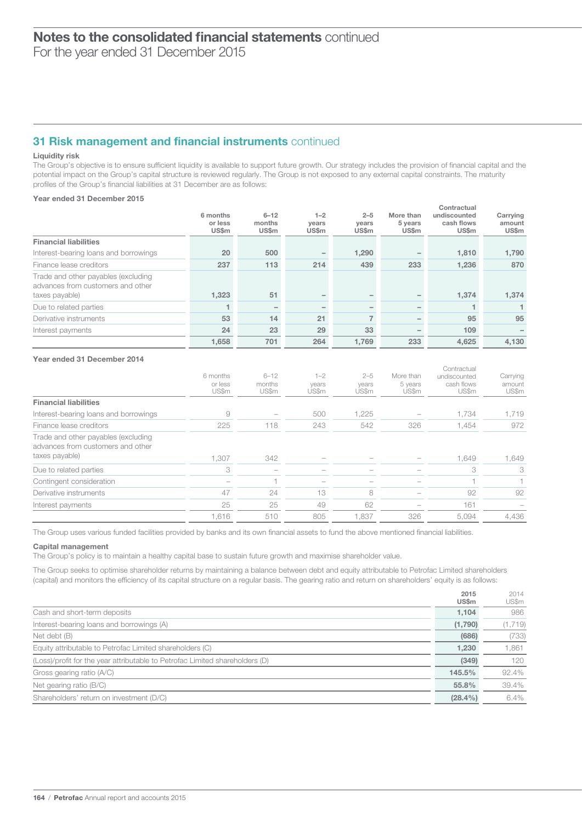For the year ended 31 December 2015

# 31 Risk management and financial instruments continued

#### Liquidity risk

The Group's objective is to ensure sufficient liquidity is available to support future growth. Our strategy includes the provision of financial capital and the potential impact on the Group's capital structure is reviewed regularly. The Group is not exposed to any external capital constraints. The maturity profiles of the Group's financial liabilities at 31 December are as follows:

### Year ended 31 December 2015

|                                                                                            | 6 months<br>or less<br>US\$m | $6 - 12$<br>months<br><b>US\$m</b> | $1 - 2$<br>years<br><b>US\$m</b> | $2 - 5$<br>years<br>US\$m | More than<br>5 years<br>US\$m | Contractual<br>undiscounted<br>cash flows<br><b>US\$m</b> | Carrying<br>amount<br>US\$m |
|--------------------------------------------------------------------------------------------|------------------------------|------------------------------------|----------------------------------|---------------------------|-------------------------------|-----------------------------------------------------------|-----------------------------|
| <b>Financial liabilities</b>                                                               |                              |                                    |                                  |                           |                               |                                                           |                             |
| Interest-bearing loans and borrowings                                                      | 20                           | 500                                |                                  | 1,290                     |                               | 1,810                                                     | 1,790                       |
| Finance lease creditors                                                                    | 237                          | 113                                | 214                              | 439                       | 233                           | 1,236                                                     | 870                         |
| Trade and other payables (excluding<br>advances from customers and other<br>taxes payable) | 1,323                        | 51                                 |                                  |                           |                               | 1,374                                                     | 1,374                       |
| Due to related parties                                                                     | 1                            |                                    | $\overline{\phantom{0}}$         |                           | $\qquad \qquad -$             | -1                                                        | 1                           |
| Derivative instruments                                                                     | 53                           | 14                                 | 21                               | $\overline{7}$            |                               | 95                                                        | 95                          |
| Interest payments                                                                          | 24                           | 23                                 | 29                               | 33                        |                               | 109                                                       |                             |
|                                                                                            | 1,658                        | 701                                | 264                              | 1,769                     | 233                           | 4,625                                                     | 4,130                       |
| Year ended 31 December 2014                                                                | 6 months<br>or less<br>US\$m | $6 - 12$<br>months<br>US\$m        | $1 - 2$<br>years<br>US\$m        | $2 - 5$<br>years<br>US\$m | More than<br>5 years<br>US\$m | Contractual<br>undiscounted<br>cash flows<br>US\$m        | Carrying<br>amount<br>US\$m |
| <b>Financial liabilities</b>                                                               |                              |                                    |                                  |                           |                               |                                                           |                             |
| Interest-bearing loans and borrowings                                                      | 9                            |                                    | 500                              | 1,225                     |                               | 1.734                                                     | 1,719                       |
| Finance lease creditors                                                                    | 225                          | 118                                | 243                              | 542                       | 326                           | 1,454                                                     | 972                         |
| Trade and other payables (excluding<br>advances from customers and other<br>taxes payable) | 1,307                        | 342                                |                                  |                           |                               | 1,649                                                     | 1,649                       |
| Due to related parties                                                                     | 3                            | $\sim$                             | $\overline{\phantom{a}}$         |                           |                               | 3                                                         | 3                           |
| Contingent consideration                                                                   |                              | $\overline{1}$                     | $\overline{\phantom{0}}$         |                           |                               |                                                           |                             |
| Derivative instruments                                                                     | 47                           | 24                                 | 13                               | 8                         |                               | 92                                                        | 92                          |
| Interest payments                                                                          | 25                           | 25                                 | 49                               | 62                        |                               | 161                                                       |                             |
|                                                                                            | 1,616                        | 510                                | 805                              | 1,837                     | 326                           | 5,094                                                     | 4,436                       |

The Group uses various funded facilities provided by banks and its own financial assets to fund the above mentioned financial liabilities.

#### Capital management

The Group's policy is to maintain a healthy capital base to sustain future growth and maximise shareholder value.

The Group seeks to optimise shareholder returns by maintaining a balance between debt and equity attributable to Petrofac Limited shareholders (capital) and monitors the efficiency of its capital structure on a regular basis. The gearing ratio and return on shareholders' equity is as follows:

|                                                                              | ---<br><b>US\$m</b> | $   -$<br>US\$m |
|------------------------------------------------------------------------------|---------------------|-----------------|
| Cash and short-term deposits                                                 | 1.104               | 986             |
| Interest-bearing loans and borrowings (A)                                    | (1,790)             | (1,719)         |
| Net debt (B)                                                                 | (686)               | (733)           |
| Equity attributable to Petrofac Limited shareholders (C)                     | 1,230               | 1,861           |
| (Loss)/profit for the year attributable to Petrofac Limited shareholders (D) | (349)               | $120 -$         |
| Gross gearing ratio (A/C)                                                    | 145.5%              | 92.4%           |
| Net gearing ratio (B/C)                                                      | 55.8%               | 39.4%           |
| Shareholders' return on investment (D/C)                                     | $(28.4\%)$          | $6.4\%$         |

2015

2014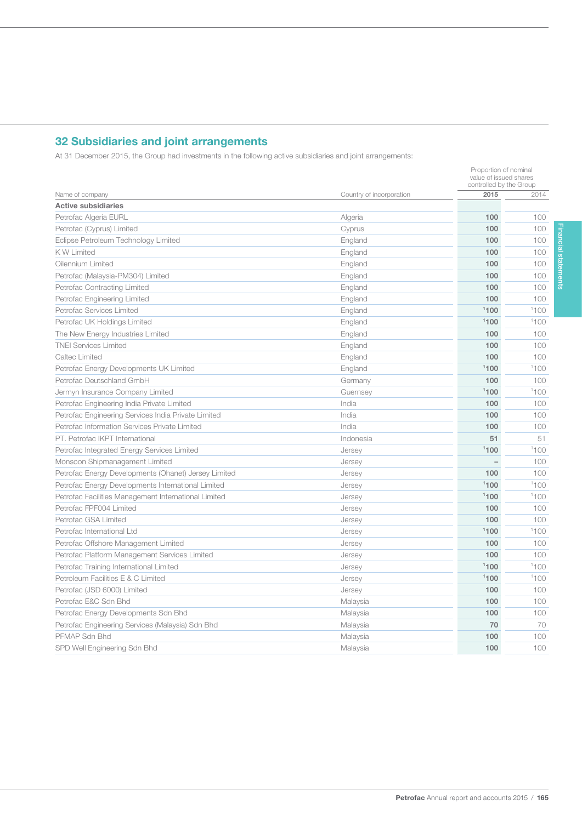# 32 Subsidiaries and joint arrangements

165

At 31 December 2015, the Group had investments in the following active subsidiaries and joint arrangements:

|                                                      |                          |      | value of issued shares<br>controlled by the Group |  |
|------------------------------------------------------|--------------------------|------|---------------------------------------------------|--|
| Name of company                                      | Country of incorporation | 2015 | 2014                                              |  |
| <b>Active subsidiaries</b>                           |                          |      |                                                   |  |
| Petrofac Algeria EURL                                | Algeria                  | 100  | 100                                               |  |
| Petrofac (Cyprus) Limited                            | Cyprus                   | 100  | 100                                               |  |
| Eclipse Petroleum Technology Limited                 | England                  | 100  | 100                                               |  |
| <b>KW Limited</b>                                    | England                  | 100  | 100                                               |  |
| Oilennium Limited                                    | England                  | 100  | 100                                               |  |
| Petrofac (Malaysia-PM304) Limited                    | England                  | 100  | 100                                               |  |
| Petrofac Contracting Limited                         | England                  | 100  | 100                                               |  |
| Petrofac Engineering Limited                         | England                  | 100  | 100                                               |  |
| Petrofac Services Limited                            | England                  | 1100 | 1100                                              |  |
| Petrofac UK Holdings Limited                         | England                  | 1100 | 1100                                              |  |
| The New Energy Industries Limited                    | England                  | 100  | 100                                               |  |
| <b>TNEI Services Limited</b>                         | England                  | 100  | 100                                               |  |
| Caltec Limited                                       | England                  | 100  | 100                                               |  |
| Petrofac Energy Developments UK Limited              | England                  | 1100 | 1100                                              |  |
| Petrofac Deutschland GmbH                            | Germany                  | 100  | 100                                               |  |
| Jermyn Insurance Company Limited                     | Guernsey                 | 1100 | 1100                                              |  |
| Petrofac Engineering India Private Limited           | India                    | 100  | 100                                               |  |
| Petrofac Engineering Services India Private Limited  | India                    | 100  | 100                                               |  |
| Petrofac Information Services Private Limited        | India                    | 100  | 100                                               |  |
| PT. Petrofac IKPT International                      | Indonesia                | 51   | 51                                                |  |
| Petrofac Integrated Energy Services Limited          | Jersey                   | 1100 | 1100                                              |  |
| Monsoon Shipmanagement Limited                       | Jersey                   |      | 100                                               |  |
| Petrofac Energy Developments (Ohanet) Jersey Limited | Jersey                   | 100  | 100                                               |  |
| Petrofac Energy Developments International Limited   | Jersey                   | 1100 | 1100                                              |  |
| Petrofac Facilities Management International Limited | Jersey                   | 1100 | 1100                                              |  |
| Petrofac FPF004 Limited                              | Jersey                   | 100  | 100                                               |  |
| Petrofac GSA Limited                                 | Jersey                   | 100  | 100                                               |  |
| Petrofac International Ltd                           | Jersey                   | 1100 | 1100                                              |  |
| Petrofac Offshore Management Limited                 | Jersey                   | 100  | 100                                               |  |
| Petrofac Platform Management Services Limited        | Jersey                   | 100  | 100                                               |  |
| Petrofac Training International Limited              | Jersey                   | 1100 | 1100                                              |  |
| Petroleum Facilities E & C Limited                   | Jersey                   | 1100 | 1100                                              |  |
| Petrofac (JSD 6000) Limited                          | Jersey                   | 100  | 100                                               |  |
| Petrofac E&C Sdn Bhd                                 | Malaysia                 | 100  | 100                                               |  |
| Petrofac Energy Developments Sdn Bhd                 | Malaysia                 | 100  | 100                                               |  |
| Petrofac Engineering Services (Malaysia) Sdn Bhd     | Malaysia                 | 70   | 70                                                |  |
| PFMAP Sdn Bhd                                        | Malaysia                 | 100  | 100                                               |  |
| SPD Well Engineering Sdn Bhd                         | Malaysia                 | 100  | 100                                               |  |

Proportion of nominal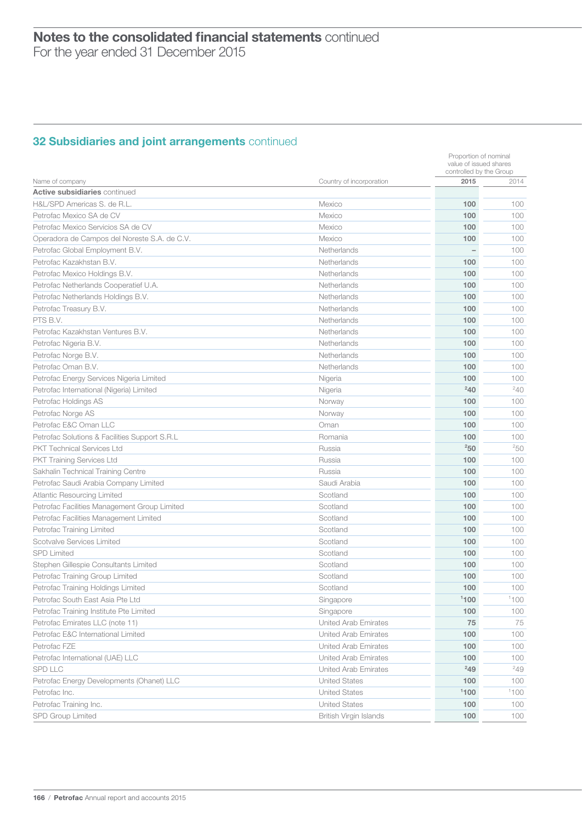# 32 Subsidiaries and joint arrangements continued

| 2015<br>Name of company<br>Country of incorporation<br>2014<br><b>Active subsidiaries continued</b><br>H&L/SPD Americas S. de R.L.<br>100<br>Mexico<br>100<br>Petrofac Mexico SA de CV<br>Mexico<br>100<br>100<br>Petrofac Mexico Servicios SA de CV<br>Mexico<br>100<br>100<br>Operadora de Campos del Noreste S.A. de C.V.<br>Mexico<br>100<br>100<br>Petrofac Global Employment B.V.<br>Netherlands<br>100<br>Petrofac Kazakhstan B.V.<br>Netherlands<br>100<br>100<br>100<br>Petrofac Mexico Holdings B.V.<br>100<br>Netherlands<br>100<br>Petrofac Netherlands Cooperatief U.A.<br>100<br>Netherlands<br>100<br>100<br>Petrofac Netherlands Holdings B.V.<br>Netherlands<br>100<br>100<br>Petrofac Treasury B.V.<br>Netherlands<br>PTS B.V.<br>100<br>100<br>Netherlands<br>100<br>100<br>Petrofac Kazakhstan Ventures B.V.<br>Netherlands<br>100<br>100<br>Petrofac Nigeria B.V.<br>Netherlands<br>100<br>100<br>Petrofac Norge B.V.<br>Netherlands<br>Petrofac Oman B.V.<br>100<br>100<br>Netherlands<br>100<br>Petrofac Energy Services Nigeria Limited<br>100<br>Nigeria<br>$^{2}40$<br>$^{2}40$<br>Petrofac International (Nigeria) Limited<br>Nigeria<br>Petrofac Holdings AS<br>100<br>100<br>Norway<br>100<br>100<br>Petrofac Norge AS<br>Norway<br>Petrofac E&C Oman LLC<br>Oman<br>100<br>100<br>100<br>100<br>Petrofac Solutions & Facilities Support S.R.L<br>Romania<br>250<br>250<br><b>PKT Technical Services Ltd</b><br>Russia<br><b>PKT Training Services Ltd</b><br>Russia<br>100<br>100<br>Sakhalin Technical Training Centre<br>Russia<br>100<br>100<br>Petrofac Saudi Arabia Company Limited<br>Saudi Arabia<br>100<br>100<br><b>Atlantic Resourcing Limited</b><br>Scotland<br>100<br>100<br>Petrofac Facilities Management Group Limited<br>Scotland<br>100<br>100<br>100<br>100<br>Scotland<br>Petrofac Facilities Management Limited<br>100<br>Petrofac Training Limited<br>Scotland<br>100<br>100<br>Scotvalve Services Limited<br>Scotland<br>100<br>100<br><b>SPD Limited</b><br>Scotland<br>100<br>100<br>Stephen Gillespie Consultants Limited<br>100<br>Scotland<br>100<br>Petrofac Training Group Limited<br>100<br>Scotland<br>100<br>100<br>Petrofac Training Holdings Limited<br>Scotland<br>1100<br>1100<br>Petrofac South East Asia Pte Ltd<br>Singapore<br>100<br>Petrofac Training Institute Pte Limited<br>Singapore<br>100<br><b>United Arab Emirates</b><br>75<br>Petrofac Emirates LLC (note 11)<br>75<br>100<br>United Arab Emirates<br>100<br>100<br>United Arab Emirates<br>100<br>Petrofac International (UAE) LLC<br>100<br>United Arab Emirates<br>100<br>$^{2}49$<br>$^{2}49$<br>United Arab Emirates<br>100<br>Petrofac Energy Developments (Ohanet) LLC<br><b>United States</b><br>100<br>1100<br>1100<br><b>United States</b><br>100<br><b>United States</b><br>100<br>British Virgin Islands<br>100<br>100 |                                    |  |                         | Proportion of nominal<br>value of issued shares |  |  |
|-----------------------------------------------------------------------------------------------------------------------------------------------------------------------------------------------------------------------------------------------------------------------------------------------------------------------------------------------------------------------------------------------------------------------------------------------------------------------------------------------------------------------------------------------------------------------------------------------------------------------------------------------------------------------------------------------------------------------------------------------------------------------------------------------------------------------------------------------------------------------------------------------------------------------------------------------------------------------------------------------------------------------------------------------------------------------------------------------------------------------------------------------------------------------------------------------------------------------------------------------------------------------------------------------------------------------------------------------------------------------------------------------------------------------------------------------------------------------------------------------------------------------------------------------------------------------------------------------------------------------------------------------------------------------------------------------------------------------------------------------------------------------------------------------------------------------------------------------------------------------------------------------------------------------------------------------------------------------------------------------------------------------------------------------------------------------------------------------------------------------------------------------------------------------------------------------------------------------------------------------------------------------------------------------------------------------------------------------------------------------------------------------------------------------------------------------------------------------------------------------------------------------------------------------------------------------------------------------------------------------------------------------------------------------------------------------------------------------------------------------------------------------------------------------------------------------------------------------------------------------|------------------------------------|--|-------------------------|-------------------------------------------------|--|--|
|                                                                                                                                                                                                                                                                                                                                                                                                                                                                                                                                                                                                                                                                                                                                                                                                                                                                                                                                                                                                                                                                                                                                                                                                                                                                                                                                                                                                                                                                                                                                                                                                                                                                                                                                                                                                                                                                                                                                                                                                                                                                                                                                                                                                                                                                                                                                                                                                                                                                                                                                                                                                                                                                                                                                                                                                                                                                       |                                    |  | controlled by the Group |                                                 |  |  |
|                                                                                                                                                                                                                                                                                                                                                                                                                                                                                                                                                                                                                                                                                                                                                                                                                                                                                                                                                                                                                                                                                                                                                                                                                                                                                                                                                                                                                                                                                                                                                                                                                                                                                                                                                                                                                                                                                                                                                                                                                                                                                                                                                                                                                                                                                                                                                                                                                                                                                                                                                                                                                                                                                                                                                                                                                                                                       |                                    |  |                         |                                                 |  |  |
|                                                                                                                                                                                                                                                                                                                                                                                                                                                                                                                                                                                                                                                                                                                                                                                                                                                                                                                                                                                                                                                                                                                                                                                                                                                                                                                                                                                                                                                                                                                                                                                                                                                                                                                                                                                                                                                                                                                                                                                                                                                                                                                                                                                                                                                                                                                                                                                                                                                                                                                                                                                                                                                                                                                                                                                                                                                                       |                                    |  |                         |                                                 |  |  |
|                                                                                                                                                                                                                                                                                                                                                                                                                                                                                                                                                                                                                                                                                                                                                                                                                                                                                                                                                                                                                                                                                                                                                                                                                                                                                                                                                                                                                                                                                                                                                                                                                                                                                                                                                                                                                                                                                                                                                                                                                                                                                                                                                                                                                                                                                                                                                                                                                                                                                                                                                                                                                                                                                                                                                                                                                                                                       |                                    |  |                         |                                                 |  |  |
|                                                                                                                                                                                                                                                                                                                                                                                                                                                                                                                                                                                                                                                                                                                                                                                                                                                                                                                                                                                                                                                                                                                                                                                                                                                                                                                                                                                                                                                                                                                                                                                                                                                                                                                                                                                                                                                                                                                                                                                                                                                                                                                                                                                                                                                                                                                                                                                                                                                                                                                                                                                                                                                                                                                                                                                                                                                                       |                                    |  |                         |                                                 |  |  |
|                                                                                                                                                                                                                                                                                                                                                                                                                                                                                                                                                                                                                                                                                                                                                                                                                                                                                                                                                                                                                                                                                                                                                                                                                                                                                                                                                                                                                                                                                                                                                                                                                                                                                                                                                                                                                                                                                                                                                                                                                                                                                                                                                                                                                                                                                                                                                                                                                                                                                                                                                                                                                                                                                                                                                                                                                                                                       |                                    |  |                         |                                                 |  |  |
|                                                                                                                                                                                                                                                                                                                                                                                                                                                                                                                                                                                                                                                                                                                                                                                                                                                                                                                                                                                                                                                                                                                                                                                                                                                                                                                                                                                                                                                                                                                                                                                                                                                                                                                                                                                                                                                                                                                                                                                                                                                                                                                                                                                                                                                                                                                                                                                                                                                                                                                                                                                                                                                                                                                                                                                                                                                                       |                                    |  |                         |                                                 |  |  |
|                                                                                                                                                                                                                                                                                                                                                                                                                                                                                                                                                                                                                                                                                                                                                                                                                                                                                                                                                                                                                                                                                                                                                                                                                                                                                                                                                                                                                                                                                                                                                                                                                                                                                                                                                                                                                                                                                                                                                                                                                                                                                                                                                                                                                                                                                                                                                                                                                                                                                                                                                                                                                                                                                                                                                                                                                                                                       |                                    |  |                         |                                                 |  |  |
|                                                                                                                                                                                                                                                                                                                                                                                                                                                                                                                                                                                                                                                                                                                                                                                                                                                                                                                                                                                                                                                                                                                                                                                                                                                                                                                                                                                                                                                                                                                                                                                                                                                                                                                                                                                                                                                                                                                                                                                                                                                                                                                                                                                                                                                                                                                                                                                                                                                                                                                                                                                                                                                                                                                                                                                                                                                                       |                                    |  |                         |                                                 |  |  |
|                                                                                                                                                                                                                                                                                                                                                                                                                                                                                                                                                                                                                                                                                                                                                                                                                                                                                                                                                                                                                                                                                                                                                                                                                                                                                                                                                                                                                                                                                                                                                                                                                                                                                                                                                                                                                                                                                                                                                                                                                                                                                                                                                                                                                                                                                                                                                                                                                                                                                                                                                                                                                                                                                                                                                                                                                                                                       |                                    |  |                         |                                                 |  |  |
|                                                                                                                                                                                                                                                                                                                                                                                                                                                                                                                                                                                                                                                                                                                                                                                                                                                                                                                                                                                                                                                                                                                                                                                                                                                                                                                                                                                                                                                                                                                                                                                                                                                                                                                                                                                                                                                                                                                                                                                                                                                                                                                                                                                                                                                                                                                                                                                                                                                                                                                                                                                                                                                                                                                                                                                                                                                                       |                                    |  |                         |                                                 |  |  |
|                                                                                                                                                                                                                                                                                                                                                                                                                                                                                                                                                                                                                                                                                                                                                                                                                                                                                                                                                                                                                                                                                                                                                                                                                                                                                                                                                                                                                                                                                                                                                                                                                                                                                                                                                                                                                                                                                                                                                                                                                                                                                                                                                                                                                                                                                                                                                                                                                                                                                                                                                                                                                                                                                                                                                                                                                                                                       |                                    |  |                         |                                                 |  |  |
|                                                                                                                                                                                                                                                                                                                                                                                                                                                                                                                                                                                                                                                                                                                                                                                                                                                                                                                                                                                                                                                                                                                                                                                                                                                                                                                                                                                                                                                                                                                                                                                                                                                                                                                                                                                                                                                                                                                                                                                                                                                                                                                                                                                                                                                                                                                                                                                                                                                                                                                                                                                                                                                                                                                                                                                                                                                                       |                                    |  |                         |                                                 |  |  |
|                                                                                                                                                                                                                                                                                                                                                                                                                                                                                                                                                                                                                                                                                                                                                                                                                                                                                                                                                                                                                                                                                                                                                                                                                                                                                                                                                                                                                                                                                                                                                                                                                                                                                                                                                                                                                                                                                                                                                                                                                                                                                                                                                                                                                                                                                                                                                                                                                                                                                                                                                                                                                                                                                                                                                                                                                                                                       |                                    |  |                         |                                                 |  |  |
|                                                                                                                                                                                                                                                                                                                                                                                                                                                                                                                                                                                                                                                                                                                                                                                                                                                                                                                                                                                                                                                                                                                                                                                                                                                                                                                                                                                                                                                                                                                                                                                                                                                                                                                                                                                                                                                                                                                                                                                                                                                                                                                                                                                                                                                                                                                                                                                                                                                                                                                                                                                                                                                                                                                                                                                                                                                                       |                                    |  |                         |                                                 |  |  |
|                                                                                                                                                                                                                                                                                                                                                                                                                                                                                                                                                                                                                                                                                                                                                                                                                                                                                                                                                                                                                                                                                                                                                                                                                                                                                                                                                                                                                                                                                                                                                                                                                                                                                                                                                                                                                                                                                                                                                                                                                                                                                                                                                                                                                                                                                                                                                                                                                                                                                                                                                                                                                                                                                                                                                                                                                                                                       |                                    |  |                         |                                                 |  |  |
|                                                                                                                                                                                                                                                                                                                                                                                                                                                                                                                                                                                                                                                                                                                                                                                                                                                                                                                                                                                                                                                                                                                                                                                                                                                                                                                                                                                                                                                                                                                                                                                                                                                                                                                                                                                                                                                                                                                                                                                                                                                                                                                                                                                                                                                                                                                                                                                                                                                                                                                                                                                                                                                                                                                                                                                                                                                                       |                                    |  |                         |                                                 |  |  |
|                                                                                                                                                                                                                                                                                                                                                                                                                                                                                                                                                                                                                                                                                                                                                                                                                                                                                                                                                                                                                                                                                                                                                                                                                                                                                                                                                                                                                                                                                                                                                                                                                                                                                                                                                                                                                                                                                                                                                                                                                                                                                                                                                                                                                                                                                                                                                                                                                                                                                                                                                                                                                                                                                                                                                                                                                                                                       |                                    |  |                         |                                                 |  |  |
|                                                                                                                                                                                                                                                                                                                                                                                                                                                                                                                                                                                                                                                                                                                                                                                                                                                                                                                                                                                                                                                                                                                                                                                                                                                                                                                                                                                                                                                                                                                                                                                                                                                                                                                                                                                                                                                                                                                                                                                                                                                                                                                                                                                                                                                                                                                                                                                                                                                                                                                                                                                                                                                                                                                                                                                                                                                                       |                                    |  |                         |                                                 |  |  |
|                                                                                                                                                                                                                                                                                                                                                                                                                                                                                                                                                                                                                                                                                                                                                                                                                                                                                                                                                                                                                                                                                                                                                                                                                                                                                                                                                                                                                                                                                                                                                                                                                                                                                                                                                                                                                                                                                                                                                                                                                                                                                                                                                                                                                                                                                                                                                                                                                                                                                                                                                                                                                                                                                                                                                                                                                                                                       |                                    |  |                         |                                                 |  |  |
|                                                                                                                                                                                                                                                                                                                                                                                                                                                                                                                                                                                                                                                                                                                                                                                                                                                                                                                                                                                                                                                                                                                                                                                                                                                                                                                                                                                                                                                                                                                                                                                                                                                                                                                                                                                                                                                                                                                                                                                                                                                                                                                                                                                                                                                                                                                                                                                                                                                                                                                                                                                                                                                                                                                                                                                                                                                                       |                                    |  |                         |                                                 |  |  |
|                                                                                                                                                                                                                                                                                                                                                                                                                                                                                                                                                                                                                                                                                                                                                                                                                                                                                                                                                                                                                                                                                                                                                                                                                                                                                                                                                                                                                                                                                                                                                                                                                                                                                                                                                                                                                                                                                                                                                                                                                                                                                                                                                                                                                                                                                                                                                                                                                                                                                                                                                                                                                                                                                                                                                                                                                                                                       |                                    |  |                         |                                                 |  |  |
|                                                                                                                                                                                                                                                                                                                                                                                                                                                                                                                                                                                                                                                                                                                                                                                                                                                                                                                                                                                                                                                                                                                                                                                                                                                                                                                                                                                                                                                                                                                                                                                                                                                                                                                                                                                                                                                                                                                                                                                                                                                                                                                                                                                                                                                                                                                                                                                                                                                                                                                                                                                                                                                                                                                                                                                                                                                                       |                                    |  |                         |                                                 |  |  |
|                                                                                                                                                                                                                                                                                                                                                                                                                                                                                                                                                                                                                                                                                                                                                                                                                                                                                                                                                                                                                                                                                                                                                                                                                                                                                                                                                                                                                                                                                                                                                                                                                                                                                                                                                                                                                                                                                                                                                                                                                                                                                                                                                                                                                                                                                                                                                                                                                                                                                                                                                                                                                                                                                                                                                                                                                                                                       |                                    |  |                         |                                                 |  |  |
|                                                                                                                                                                                                                                                                                                                                                                                                                                                                                                                                                                                                                                                                                                                                                                                                                                                                                                                                                                                                                                                                                                                                                                                                                                                                                                                                                                                                                                                                                                                                                                                                                                                                                                                                                                                                                                                                                                                                                                                                                                                                                                                                                                                                                                                                                                                                                                                                                                                                                                                                                                                                                                                                                                                                                                                                                                                                       |                                    |  |                         |                                                 |  |  |
|                                                                                                                                                                                                                                                                                                                                                                                                                                                                                                                                                                                                                                                                                                                                                                                                                                                                                                                                                                                                                                                                                                                                                                                                                                                                                                                                                                                                                                                                                                                                                                                                                                                                                                                                                                                                                                                                                                                                                                                                                                                                                                                                                                                                                                                                                                                                                                                                                                                                                                                                                                                                                                                                                                                                                                                                                                                                       |                                    |  |                         |                                                 |  |  |
|                                                                                                                                                                                                                                                                                                                                                                                                                                                                                                                                                                                                                                                                                                                                                                                                                                                                                                                                                                                                                                                                                                                                                                                                                                                                                                                                                                                                                                                                                                                                                                                                                                                                                                                                                                                                                                                                                                                                                                                                                                                                                                                                                                                                                                                                                                                                                                                                                                                                                                                                                                                                                                                                                                                                                                                                                                                                       |                                    |  |                         |                                                 |  |  |
|                                                                                                                                                                                                                                                                                                                                                                                                                                                                                                                                                                                                                                                                                                                                                                                                                                                                                                                                                                                                                                                                                                                                                                                                                                                                                                                                                                                                                                                                                                                                                                                                                                                                                                                                                                                                                                                                                                                                                                                                                                                                                                                                                                                                                                                                                                                                                                                                                                                                                                                                                                                                                                                                                                                                                                                                                                                                       |                                    |  |                         |                                                 |  |  |
|                                                                                                                                                                                                                                                                                                                                                                                                                                                                                                                                                                                                                                                                                                                                                                                                                                                                                                                                                                                                                                                                                                                                                                                                                                                                                                                                                                                                                                                                                                                                                                                                                                                                                                                                                                                                                                                                                                                                                                                                                                                                                                                                                                                                                                                                                                                                                                                                                                                                                                                                                                                                                                                                                                                                                                                                                                                                       |                                    |  |                         |                                                 |  |  |
|                                                                                                                                                                                                                                                                                                                                                                                                                                                                                                                                                                                                                                                                                                                                                                                                                                                                                                                                                                                                                                                                                                                                                                                                                                                                                                                                                                                                                                                                                                                                                                                                                                                                                                                                                                                                                                                                                                                                                                                                                                                                                                                                                                                                                                                                                                                                                                                                                                                                                                                                                                                                                                                                                                                                                                                                                                                                       |                                    |  |                         |                                                 |  |  |
|                                                                                                                                                                                                                                                                                                                                                                                                                                                                                                                                                                                                                                                                                                                                                                                                                                                                                                                                                                                                                                                                                                                                                                                                                                                                                                                                                                                                                                                                                                                                                                                                                                                                                                                                                                                                                                                                                                                                                                                                                                                                                                                                                                                                                                                                                                                                                                                                                                                                                                                                                                                                                                                                                                                                                                                                                                                                       |                                    |  |                         |                                                 |  |  |
|                                                                                                                                                                                                                                                                                                                                                                                                                                                                                                                                                                                                                                                                                                                                                                                                                                                                                                                                                                                                                                                                                                                                                                                                                                                                                                                                                                                                                                                                                                                                                                                                                                                                                                                                                                                                                                                                                                                                                                                                                                                                                                                                                                                                                                                                                                                                                                                                                                                                                                                                                                                                                                                                                                                                                                                                                                                                       |                                    |  |                         |                                                 |  |  |
|                                                                                                                                                                                                                                                                                                                                                                                                                                                                                                                                                                                                                                                                                                                                                                                                                                                                                                                                                                                                                                                                                                                                                                                                                                                                                                                                                                                                                                                                                                                                                                                                                                                                                                                                                                                                                                                                                                                                                                                                                                                                                                                                                                                                                                                                                                                                                                                                                                                                                                                                                                                                                                                                                                                                                                                                                                                                       |                                    |  |                         |                                                 |  |  |
|                                                                                                                                                                                                                                                                                                                                                                                                                                                                                                                                                                                                                                                                                                                                                                                                                                                                                                                                                                                                                                                                                                                                                                                                                                                                                                                                                                                                                                                                                                                                                                                                                                                                                                                                                                                                                                                                                                                                                                                                                                                                                                                                                                                                                                                                                                                                                                                                                                                                                                                                                                                                                                                                                                                                                                                                                                                                       |                                    |  |                         |                                                 |  |  |
|                                                                                                                                                                                                                                                                                                                                                                                                                                                                                                                                                                                                                                                                                                                                                                                                                                                                                                                                                                                                                                                                                                                                                                                                                                                                                                                                                                                                                                                                                                                                                                                                                                                                                                                                                                                                                                                                                                                                                                                                                                                                                                                                                                                                                                                                                                                                                                                                                                                                                                                                                                                                                                                                                                                                                                                                                                                                       |                                    |  |                         |                                                 |  |  |
|                                                                                                                                                                                                                                                                                                                                                                                                                                                                                                                                                                                                                                                                                                                                                                                                                                                                                                                                                                                                                                                                                                                                                                                                                                                                                                                                                                                                                                                                                                                                                                                                                                                                                                                                                                                                                                                                                                                                                                                                                                                                                                                                                                                                                                                                                                                                                                                                                                                                                                                                                                                                                                                                                                                                                                                                                                                                       |                                    |  |                         |                                                 |  |  |
|                                                                                                                                                                                                                                                                                                                                                                                                                                                                                                                                                                                                                                                                                                                                                                                                                                                                                                                                                                                                                                                                                                                                                                                                                                                                                                                                                                                                                                                                                                                                                                                                                                                                                                                                                                                                                                                                                                                                                                                                                                                                                                                                                                                                                                                                                                                                                                                                                                                                                                                                                                                                                                                                                                                                                                                                                                                                       |                                    |  |                         |                                                 |  |  |
|                                                                                                                                                                                                                                                                                                                                                                                                                                                                                                                                                                                                                                                                                                                                                                                                                                                                                                                                                                                                                                                                                                                                                                                                                                                                                                                                                                                                                                                                                                                                                                                                                                                                                                                                                                                                                                                                                                                                                                                                                                                                                                                                                                                                                                                                                                                                                                                                                                                                                                                                                                                                                                                                                                                                                                                                                                                                       |                                    |  |                         |                                                 |  |  |
|                                                                                                                                                                                                                                                                                                                                                                                                                                                                                                                                                                                                                                                                                                                                                                                                                                                                                                                                                                                                                                                                                                                                                                                                                                                                                                                                                                                                                                                                                                                                                                                                                                                                                                                                                                                                                                                                                                                                                                                                                                                                                                                                                                                                                                                                                                                                                                                                                                                                                                                                                                                                                                                                                                                                                                                                                                                                       |                                    |  |                         |                                                 |  |  |
|                                                                                                                                                                                                                                                                                                                                                                                                                                                                                                                                                                                                                                                                                                                                                                                                                                                                                                                                                                                                                                                                                                                                                                                                                                                                                                                                                                                                                                                                                                                                                                                                                                                                                                                                                                                                                                                                                                                                                                                                                                                                                                                                                                                                                                                                                                                                                                                                                                                                                                                                                                                                                                                                                                                                                                                                                                                                       | Petrofac E&C International Limited |  |                         |                                                 |  |  |
|                                                                                                                                                                                                                                                                                                                                                                                                                                                                                                                                                                                                                                                                                                                                                                                                                                                                                                                                                                                                                                                                                                                                                                                                                                                                                                                                                                                                                                                                                                                                                                                                                                                                                                                                                                                                                                                                                                                                                                                                                                                                                                                                                                                                                                                                                                                                                                                                                                                                                                                                                                                                                                                                                                                                                                                                                                                                       | Petrofac FZE                       |  |                         |                                                 |  |  |
|                                                                                                                                                                                                                                                                                                                                                                                                                                                                                                                                                                                                                                                                                                                                                                                                                                                                                                                                                                                                                                                                                                                                                                                                                                                                                                                                                                                                                                                                                                                                                                                                                                                                                                                                                                                                                                                                                                                                                                                                                                                                                                                                                                                                                                                                                                                                                                                                                                                                                                                                                                                                                                                                                                                                                                                                                                                                       |                                    |  |                         |                                                 |  |  |
|                                                                                                                                                                                                                                                                                                                                                                                                                                                                                                                                                                                                                                                                                                                                                                                                                                                                                                                                                                                                                                                                                                                                                                                                                                                                                                                                                                                                                                                                                                                                                                                                                                                                                                                                                                                                                                                                                                                                                                                                                                                                                                                                                                                                                                                                                                                                                                                                                                                                                                                                                                                                                                                                                                                                                                                                                                                                       | <b>SPD LLC</b>                     |  |                         |                                                 |  |  |
|                                                                                                                                                                                                                                                                                                                                                                                                                                                                                                                                                                                                                                                                                                                                                                                                                                                                                                                                                                                                                                                                                                                                                                                                                                                                                                                                                                                                                                                                                                                                                                                                                                                                                                                                                                                                                                                                                                                                                                                                                                                                                                                                                                                                                                                                                                                                                                                                                                                                                                                                                                                                                                                                                                                                                                                                                                                                       |                                    |  |                         |                                                 |  |  |
|                                                                                                                                                                                                                                                                                                                                                                                                                                                                                                                                                                                                                                                                                                                                                                                                                                                                                                                                                                                                                                                                                                                                                                                                                                                                                                                                                                                                                                                                                                                                                                                                                                                                                                                                                                                                                                                                                                                                                                                                                                                                                                                                                                                                                                                                                                                                                                                                                                                                                                                                                                                                                                                                                                                                                                                                                                                                       | Petrofac Inc.                      |  |                         |                                                 |  |  |
|                                                                                                                                                                                                                                                                                                                                                                                                                                                                                                                                                                                                                                                                                                                                                                                                                                                                                                                                                                                                                                                                                                                                                                                                                                                                                                                                                                                                                                                                                                                                                                                                                                                                                                                                                                                                                                                                                                                                                                                                                                                                                                                                                                                                                                                                                                                                                                                                                                                                                                                                                                                                                                                                                                                                                                                                                                                                       | Petrofac Training Inc.             |  |                         |                                                 |  |  |
|                                                                                                                                                                                                                                                                                                                                                                                                                                                                                                                                                                                                                                                                                                                                                                                                                                                                                                                                                                                                                                                                                                                                                                                                                                                                                                                                                                                                                                                                                                                                                                                                                                                                                                                                                                                                                                                                                                                                                                                                                                                                                                                                                                                                                                                                                                                                                                                                                                                                                                                                                                                                                                                                                                                                                                                                                                                                       | SPD Group Limited                  |  |                         |                                                 |  |  |